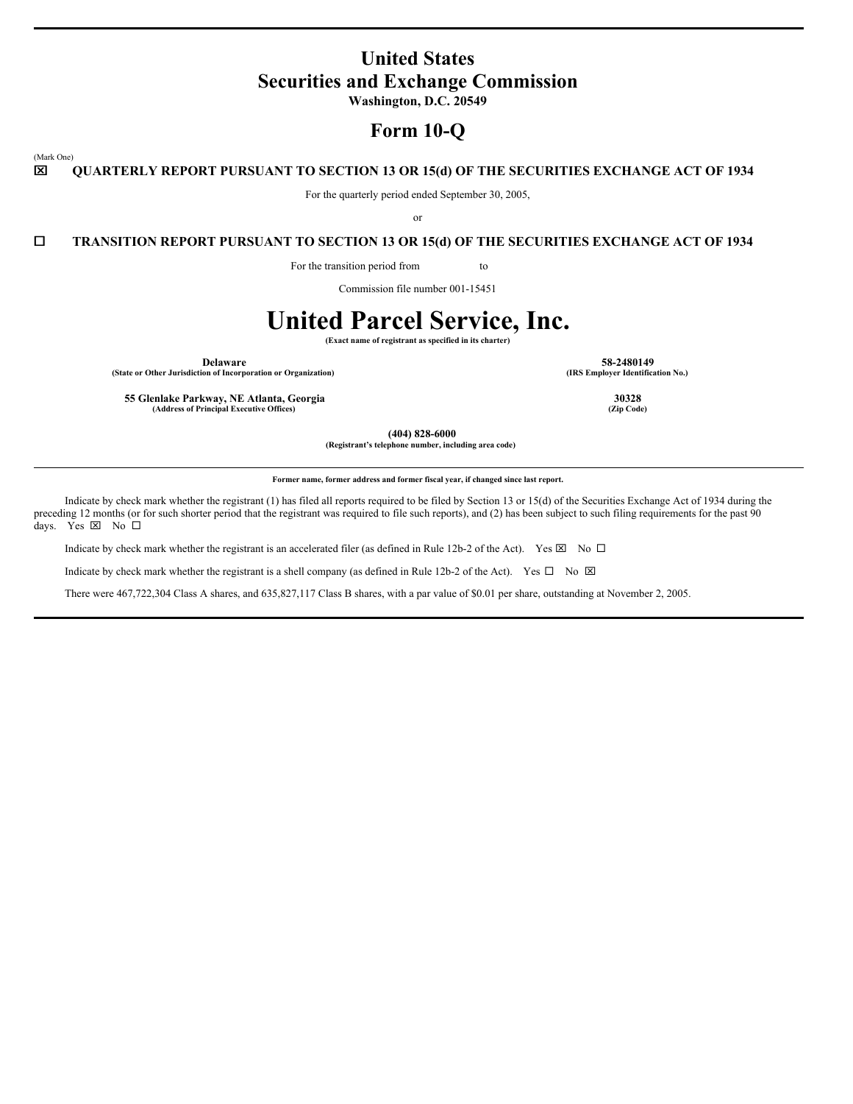# **United States Securities and Exchange Commission**

**Washington, D.C. 20549**

# **Form 10-Q**

(Mark One)

x **QUARTERLY REPORT PURSUANT TO SECTION 13 OR 15(d) OF THE SECURITIES EXCHANGE ACT OF 1934**

For the quarterly period ended September 30, 2005,

or

# ¨ **TRANSITION REPORT PURSUANT TO SECTION 13 OR 15(d) OF THE SECURITIES EXCHANGE ACT OF 1934**

For the transition period from to

Commission file number 001-15451

# **United Parcel Service, Inc.**

**(Exact name of registrant as specified in its charter)**

**Delaware 58-2480149 (State or Other Jurisdiction of Incorporation or Organization) (IRS Employer Identification No.)**

**55 Glenlake Parkway, NE Atlanta, Georgia 30328**  $(A$ ddress of **Principal Executive** Offices)

**(404) 828-6000**

**(Registrant's telephone number, including area code)**

**Former name, former address and former fiscal year, if changed since last report.**

Indicate by check mark whether the registrant (1) has filed all reports required to be filed by Section 13 or 15(d) of the Securities Exchange Act of 1934 during the preceding 12 months (or for such shorter period that the registrant was required to file such reports), and (2) has been subject to such filing requirements for the past 90 days. Yes  $\times$  No  $\Box$ 

Indicate by check mark whether the registrant is an accelerated filer (as defined in Rule 12b-2 of the Act). Yes  $\boxtimes$  No  $\Box$ 

Indicate by check mark whether the registrant is a shell company (as defined in Rule 12b-2 of the Act). Yes  $\Box$  No  $\boxtimes$ 

There were 467,722,304 Class A shares, and 635,827,117 Class B shares, with a par value of \$0.01 per share, outstanding at November 2, 2005.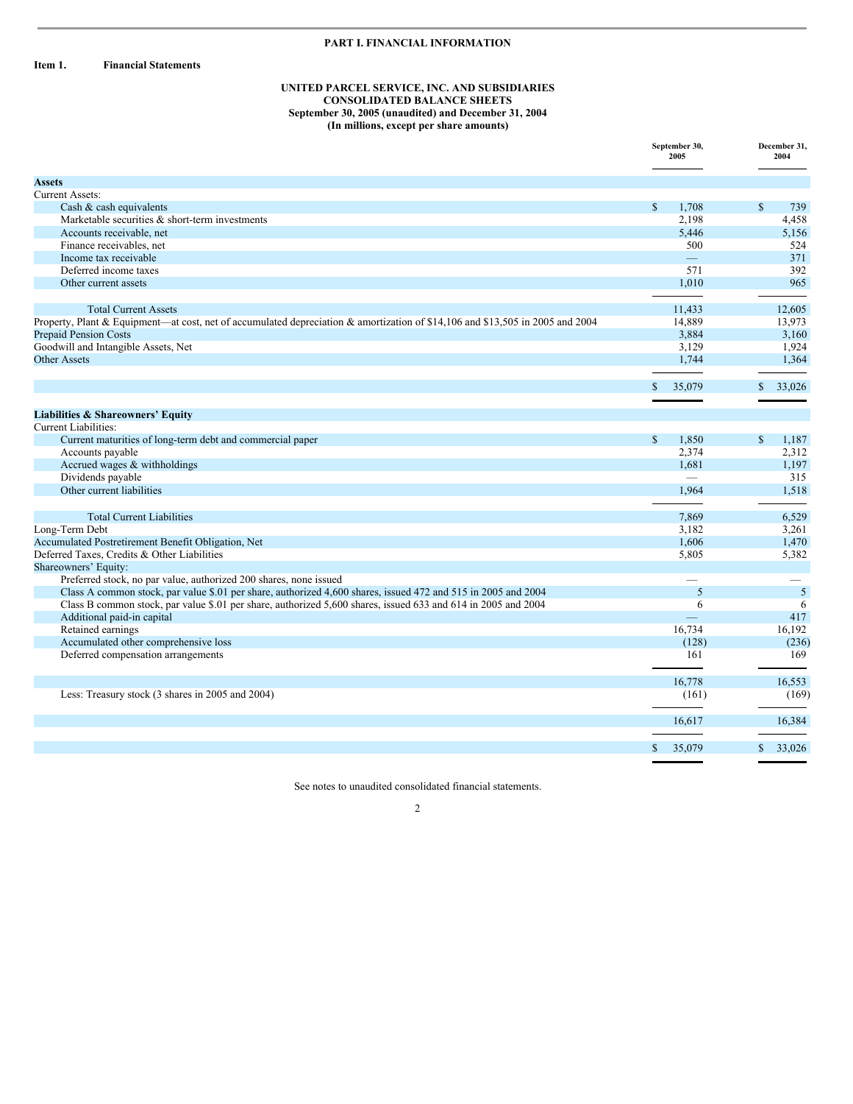# **PART I. FINANCIAL INFORMATION**

**Item 1. Financial Statements**

#### **UNITED PARCEL SERVICE, INC. AND SUBSIDIARIES CONSOLIDATED BALANCE SHEETS September 30, 2005 (unaudited) and December 31, 2004 (In millions, except per share amounts)**

|                                                                                                                               | September 30,<br>2005    | December 31,<br>2004     |
|-------------------------------------------------------------------------------------------------------------------------------|--------------------------|--------------------------|
| <b>Assets</b>                                                                                                                 |                          |                          |
| <b>Current Assets:</b>                                                                                                        |                          |                          |
| Cash & cash equivalents                                                                                                       | 1,708<br>$\mathbb{S}$    | $\mathbb{S}$<br>739      |
| Marketable securities & short-term investments                                                                                | 2,198                    | 4,458                    |
| Accounts receivable, net                                                                                                      | 5,446                    | 5,156                    |
| Finance receivables, net                                                                                                      | 500                      | 524                      |
| Income tax receivable                                                                                                         | $\qquad \qquad =$        | 371                      |
| Deferred income taxes                                                                                                         | 571                      | 392                      |
| Other current assets                                                                                                          | 1,010                    | 965                      |
|                                                                                                                               |                          |                          |
| <b>Total Current Assets</b>                                                                                                   | 11,433                   | 12,605                   |
| Property, Plant & Equipment—at cost, net of accumulated depreciation & amortization of \$14,106 and \$13,505 in 2005 and 2004 | 14,889                   | 13,973                   |
| Prepaid Pension Costs                                                                                                         | 3,884                    | 3,160                    |
| Goodwill and Intangible Assets, Net                                                                                           | 3,129                    | 1,924                    |
| Other Assets                                                                                                                  | 1,744                    | 1,364                    |
|                                                                                                                               |                          |                          |
|                                                                                                                               | 35,079<br>\$.            | 33,026                   |
|                                                                                                                               |                          |                          |
|                                                                                                                               |                          |                          |
| <b>Liabilities &amp; Shareowners' Equity</b>                                                                                  |                          |                          |
| <b>Current Liabilities:</b>                                                                                                   |                          |                          |
| Current maturities of long-term debt and commercial paper                                                                     | 1,850<br>$\mathbb{S}$    | $\mathbb{S}$<br>1,187    |
| Accounts payable                                                                                                              | 2,374                    | 2,312                    |
| Accrued wages & withholdings                                                                                                  | 1,681                    | 1,197                    |
| Dividends payable                                                                                                             | $\overline{\phantom{a}}$ | 315                      |
| Other current liabilities                                                                                                     | 1.964                    | 1,518                    |
|                                                                                                                               |                          |                          |
| <b>Total Current Liabilities</b>                                                                                              | 7,869                    | 6,529                    |
| Long-Term Debt                                                                                                                | 3,182                    | 3,261                    |
| Accumulated Postretirement Benefit Obligation, Net                                                                            | 1,606                    | 1,470                    |
| Deferred Taxes, Credits & Other Liabilities                                                                                   | 5,805                    | 5,382                    |
| Shareowners' Equity:                                                                                                          |                          |                          |
| Preferred stock, no par value, authorized 200 shares, none issued                                                             | $\overline{\phantom{0}}$ | $\overline{\phantom{0}}$ |
| Class A common stock, par value \$.01 per share, authorized 4,600 shares, issued 472 and 515 in 2005 and 2004                 | 5                        | 5                        |
| Class B common stock, par value \$.01 per share, authorized 5,600 shares, issued 633 and 614 in 2005 and 2004                 | 6                        | 6                        |
| Additional paid-in capital                                                                                                    |                          | 417                      |
| Retained earnings                                                                                                             | 16,734                   | 16,192                   |
| Accumulated other comprehensive loss                                                                                          | (128)                    | (236)                    |
| Deferred compensation arrangements                                                                                            | 161                      | 169                      |
|                                                                                                                               |                          |                          |
|                                                                                                                               | 16,778                   | 16,553                   |
| Less: Treasury stock (3 shares in 2005 and 2004)                                                                              | (161)                    | (169)                    |
|                                                                                                                               |                          |                          |
|                                                                                                                               | 16,617                   | 16,384                   |
|                                                                                                                               |                          |                          |
|                                                                                                                               | 35,079<br><sup>\$</sup>  | 33,026<br>S.             |
|                                                                                                                               |                          |                          |

See notes to unaudited consolidated financial statements.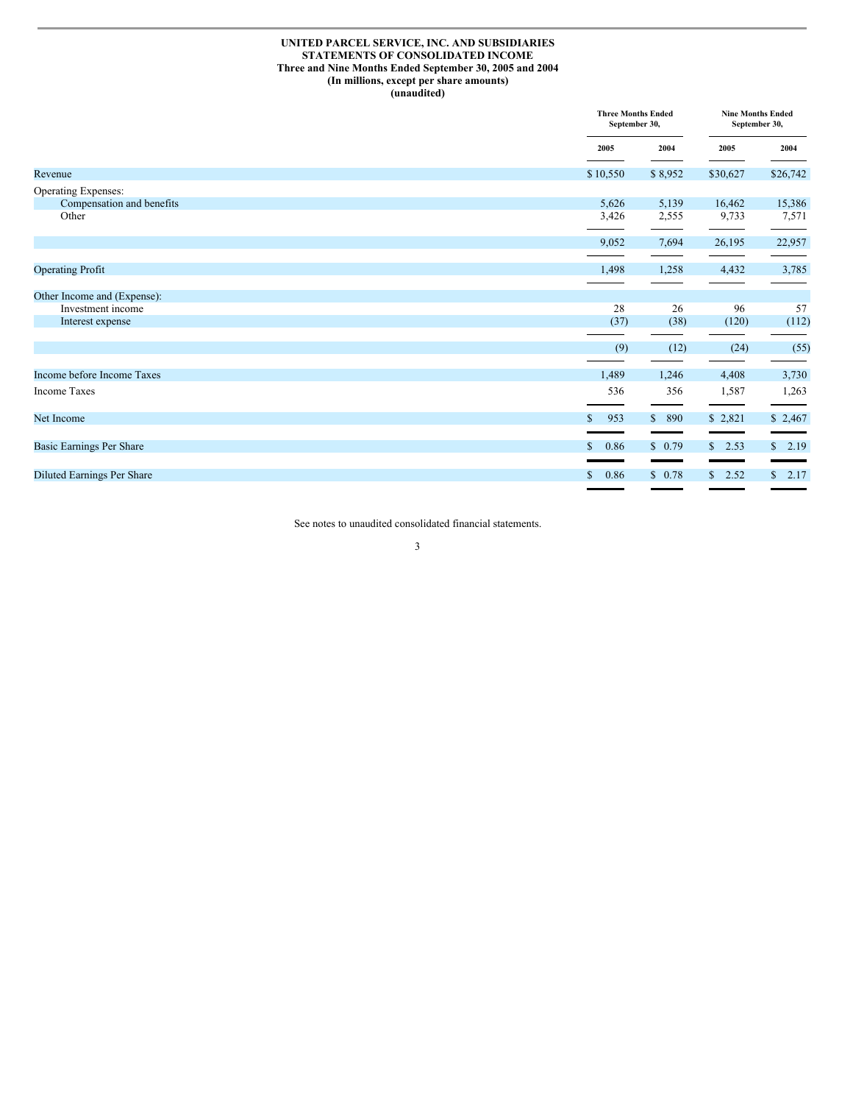#### **UNITED PARCEL SERVICE, INC. AND SUBSIDIARIES STATEMENTS OF CONSOLIDATED INCOME Three and Nine Months Ended September 30, 2005 and 2004 (In millions, except per share amounts) (unaudited)**

|                                   |                     | <b>Three Months Ended</b><br>September 30, |                      | <b>Nine Months Ended</b><br>September 30, |  |
|-----------------------------------|---------------------|--------------------------------------------|----------------------|-------------------------------------------|--|
|                                   | 2005                | 2004                                       | 2005                 | 2004                                      |  |
| Revenue                           | \$10,550            | \$8,952                                    | \$30,627             | \$26,742                                  |  |
| Operating Expenses:               |                     |                                            |                      |                                           |  |
| Compensation and benefits         | 5,626               | 5,139                                      | 16,462               | 15,386                                    |  |
| Other                             | 3,426               | 2,555                                      | 9,733                | 7,571                                     |  |
|                                   | 9,052               | 7,694                                      | 26,195               | 22,957                                    |  |
| <b>Operating Profit</b>           | 1,498               | 1,258                                      | 4,432                | 3,785                                     |  |
| Other Income and (Expense):       |                     |                                            |                      |                                           |  |
| Investment income                 | 28                  | 26                                         | 96                   | 57                                        |  |
| Interest expense                  | (37)                | (38)                                       | (120)                | (112)                                     |  |
|                                   | (9)                 | (12)                                       | (24)                 | (55)                                      |  |
| Income before Income Taxes        | 1,489               | 1,246                                      | 4,408                | 3,730                                     |  |
| <b>Income Taxes</b>               | 536                 | 356                                        | 1,587                | 1,263                                     |  |
| Net Income                        | $\mathbb{S}$<br>953 | \$<br>890                                  | \$2,821              | \$2,467                                   |  |
| Basic Earnings Per Share          | \$.<br>0.86         | \$0.79                                     | 2.53<br>$\mathbf{s}$ | $\mathbb{S}$<br>2.19                      |  |
|                                   |                     |                                            |                      |                                           |  |
| <b>Diluted Earnings Per Share</b> | \$<br>0.86          | \$0.78                                     | 2.52<br>$\mathbb{S}$ | 2.17<br>$\mathbb{S}$                      |  |
|                                   |                     |                                            |                      |                                           |  |

See notes to unaudited consolidated financial statements.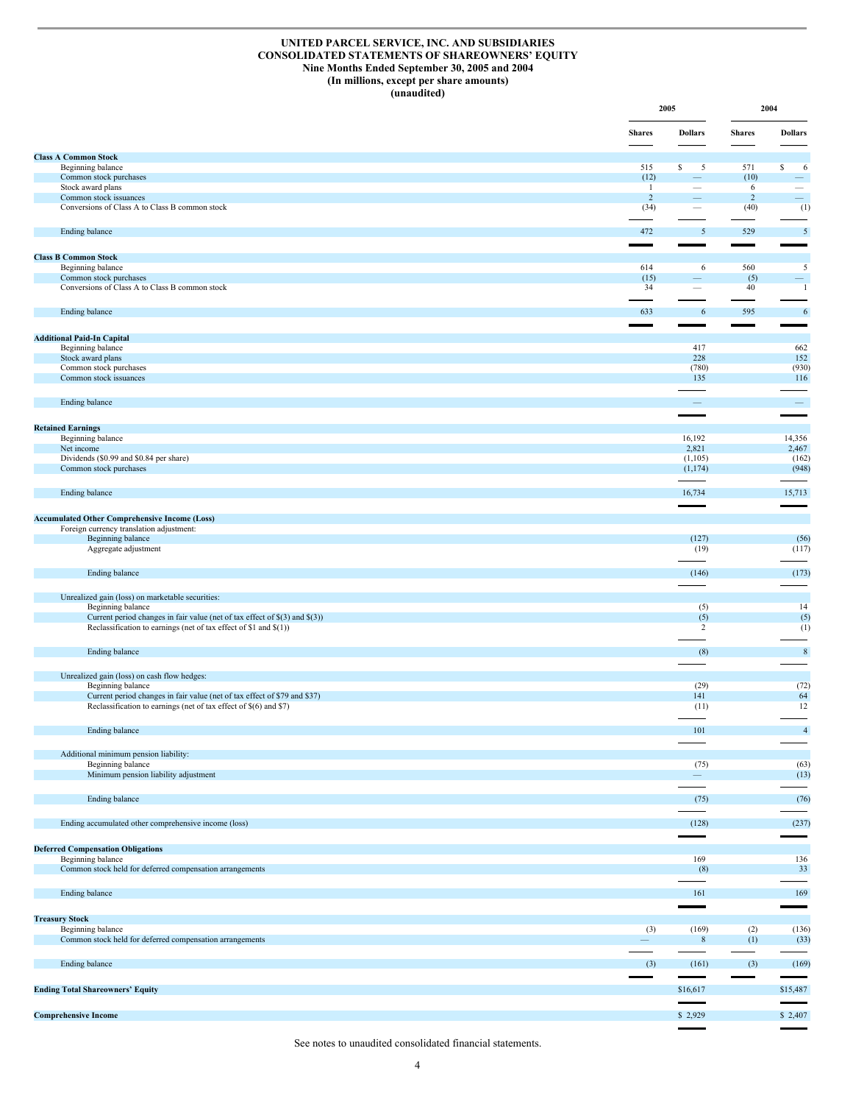#### **UNITED PARCEL SERVICE, INC. AND SUBSIDIARIES CONSOLIDATED STATEMENTS OF SHAREOWNERS' EQUITY Nine Months Ended September 30, 2005 and 2004 (In millions, except per share amounts) (unaudited)**

| <b>Dollars</b><br><b>Dollars</b><br><b>Shares</b><br><b>Shares</b><br><b>Class A Common Stock</b><br>$\mathbb{S}$<br>5<br>571<br>$\mathbb{S}$<br>Beginning balance<br>515<br>6<br>(10)<br>Common stock purchases<br>(12)<br>$\qquad \qquad -$<br>6<br>Stock award plans<br>$\mathbf{1}$<br>$\overline{c}$<br>$\overline{2}$<br>Common stock issuances<br>$\overbrace{\phantom{12333}}$<br>(1)<br>Conversions of Class A to Class B common stock<br>(34)<br>(40)<br>$\hspace{0.1mm}-\hspace{0.1mm}$<br>472<br>529<br>$\overline{5}$<br>Ending balance<br>5<br><b>Class B Common Stock</b><br>614<br>6<br>560<br>5<br>Beginning balance<br>Common stock purchases<br>(15)<br>(5)<br>Conversions of Class A to Class B common stock<br>34<br>40<br>-1<br>595<br>633<br>Ending balance<br>6<br>6<br><b>Additional Paid-In Capital</b><br>Beginning balance<br>417<br>662<br>228<br>152<br>Stock award plans<br>Common stock purchases<br>(780)<br>(930)<br>Common stock issuances<br>135<br>116<br>Ending balance<br>$\overline{\phantom{m}}$<br>$\overline{\phantom{m}}$<br><b>Retained Earnings</b><br>Beginning balance<br>16,192<br>14,356<br>2,821<br>Net income<br>2,467<br>Dividends (\$0.99 and \$0.84 per share)<br>(1,105)<br>(162)<br>Common stock purchases<br>(948)<br>(1,174)<br>16,734<br>15,713<br>Ending balance<br><b>Accumulated Other Comprehensive Income (Loss)</b><br>Foreign currency translation adjustment:<br>Beginning balance<br>(127)<br>(56)<br>Aggregate adjustment<br>(19)<br>(173)<br>Ending balance<br>(146)<br>Unrealized gain (loss) on marketable securities:<br>Beginning balance<br>(5)<br>14<br>Current period changes in fair value (net of tax effect of \$(3) and \$(3))<br>(5)<br>(5)<br>Reclassification to earnings (net of tax effect of \$1 and \$(1))<br>$\overline{2}$<br>$\,8\,$<br>(8)<br>Ending balance<br>Unrealized gain (loss) on cash flow hedges:<br>Beginning balance<br>(29)<br>(72)<br>Current period changes in fair value (net of tax effect of \$79 and \$37)<br>141<br>64<br>Reclassification to earnings (net of tax effect of \$(6) and \$7)<br>12<br>(11)<br>101<br>$\overline{4}$<br>Ending balance<br>Additional minimum pension liability:<br>Beginning balance<br>(75)<br>(63)<br>Minimum pension liability adjustment<br>(13)<br>$\hspace{0.1mm}-\hspace{0.1mm}$<br>(75)<br>(76)<br>Ending balance<br>Ending accumulated other comprehensive income (loss)<br>(128)<br>(237)<br><b>Deferred Compensation Obligations</b><br>Beginning balance<br>169<br>136<br>Common stock held for deferred compensation arrangements<br>33<br>(8)<br>161<br>169<br><b>Ending balance</b><br><b>Treasury Stock</b><br>Beginning balance<br>(3)<br>(169)<br>(2)<br>(136)<br>Common stock held for deferred compensation arrangements<br>$8\phantom{.}$<br>(1)<br>(33)<br><b>Ending balance</b><br>(161)<br>(3)<br>(169)<br>(3)<br>\$15,487<br><b>Ending Total Shareowners' Equity</b><br>\$16,617<br>\$2,929<br>\$2,407<br><b>Comprehensive Income</b> |  | 2005 | 2004 |  |
|---------------------------------------------------------------------------------------------------------------------------------------------------------------------------------------------------------------------------------------------------------------------------------------------------------------------------------------------------------------------------------------------------------------------------------------------------------------------------------------------------------------------------------------------------------------------------------------------------------------------------------------------------------------------------------------------------------------------------------------------------------------------------------------------------------------------------------------------------------------------------------------------------------------------------------------------------------------------------------------------------------------------------------------------------------------------------------------------------------------------------------------------------------------------------------------------------------------------------------------------------------------------------------------------------------------------------------------------------------------------------------------------------------------------------------------------------------------------------------------------------------------------------------------------------------------------------------------------------------------------------------------------------------------------------------------------------------------------------------------------------------------------------------------------------------------------------------------------------------------------------------------------------------------------------------------------------------------------------------------------------------------------------------------------------------------------------------------------------------------------------------------------------------------------------------------------------------------------------------------------------------------------------------------------------------------------------------------------------------------------------------------------------------------------------------------------------------------------------------------------------------------------------------------------------------------------------------------------------------------------------------------------------------------------------------------------------------------------------------------------------------------------------------------------------------------------------------------------------------------------------------------------------------------------------------------------------------------------------------------------------------------|--|------|------|--|
|                                                                                                                                                                                                                                                                                                                                                                                                                                                                                                                                                                                                                                                                                                                                                                                                                                                                                                                                                                                                                                                                                                                                                                                                                                                                                                                                                                                                                                                                                                                                                                                                                                                                                                                                                                                                                                                                                                                                                                                                                                                                                                                                                                                                                                                                                                                                                                                                                                                                                                                                                                                                                                                                                                                                                                                                                                                                                                                                                                                                               |  |      |      |  |
|                                                                                                                                                                                                                                                                                                                                                                                                                                                                                                                                                                                                                                                                                                                                                                                                                                                                                                                                                                                                                                                                                                                                                                                                                                                                                                                                                                                                                                                                                                                                                                                                                                                                                                                                                                                                                                                                                                                                                                                                                                                                                                                                                                                                                                                                                                                                                                                                                                                                                                                                                                                                                                                                                                                                                                                                                                                                                                                                                                                                               |  |      |      |  |
| (117)<br>(1)                                                                                                                                                                                                                                                                                                                                                                                                                                                                                                                                                                                                                                                                                                                                                                                                                                                                                                                                                                                                                                                                                                                                                                                                                                                                                                                                                                                                                                                                                                                                                                                                                                                                                                                                                                                                                                                                                                                                                                                                                                                                                                                                                                                                                                                                                                                                                                                                                                                                                                                                                                                                                                                                                                                                                                                                                                                                                                                                                                                                  |  |      |      |  |
|                                                                                                                                                                                                                                                                                                                                                                                                                                                                                                                                                                                                                                                                                                                                                                                                                                                                                                                                                                                                                                                                                                                                                                                                                                                                                                                                                                                                                                                                                                                                                                                                                                                                                                                                                                                                                                                                                                                                                                                                                                                                                                                                                                                                                                                                                                                                                                                                                                                                                                                                                                                                                                                                                                                                                                                                                                                                                                                                                                                                               |  |      |      |  |
|                                                                                                                                                                                                                                                                                                                                                                                                                                                                                                                                                                                                                                                                                                                                                                                                                                                                                                                                                                                                                                                                                                                                                                                                                                                                                                                                                                                                                                                                                                                                                                                                                                                                                                                                                                                                                                                                                                                                                                                                                                                                                                                                                                                                                                                                                                                                                                                                                                                                                                                                                                                                                                                                                                                                                                                                                                                                                                                                                                                                               |  |      |      |  |
|                                                                                                                                                                                                                                                                                                                                                                                                                                                                                                                                                                                                                                                                                                                                                                                                                                                                                                                                                                                                                                                                                                                                                                                                                                                                                                                                                                                                                                                                                                                                                                                                                                                                                                                                                                                                                                                                                                                                                                                                                                                                                                                                                                                                                                                                                                                                                                                                                                                                                                                                                                                                                                                                                                                                                                                                                                                                                                                                                                                                               |  |      |      |  |
|                                                                                                                                                                                                                                                                                                                                                                                                                                                                                                                                                                                                                                                                                                                                                                                                                                                                                                                                                                                                                                                                                                                                                                                                                                                                                                                                                                                                                                                                                                                                                                                                                                                                                                                                                                                                                                                                                                                                                                                                                                                                                                                                                                                                                                                                                                                                                                                                                                                                                                                                                                                                                                                                                                                                                                                                                                                                                                                                                                                                               |  |      |      |  |
|                                                                                                                                                                                                                                                                                                                                                                                                                                                                                                                                                                                                                                                                                                                                                                                                                                                                                                                                                                                                                                                                                                                                                                                                                                                                                                                                                                                                                                                                                                                                                                                                                                                                                                                                                                                                                                                                                                                                                                                                                                                                                                                                                                                                                                                                                                                                                                                                                                                                                                                                                                                                                                                                                                                                                                                                                                                                                                                                                                                                               |  |      |      |  |
|                                                                                                                                                                                                                                                                                                                                                                                                                                                                                                                                                                                                                                                                                                                                                                                                                                                                                                                                                                                                                                                                                                                                                                                                                                                                                                                                                                                                                                                                                                                                                                                                                                                                                                                                                                                                                                                                                                                                                                                                                                                                                                                                                                                                                                                                                                                                                                                                                                                                                                                                                                                                                                                                                                                                                                                                                                                                                                                                                                                                               |  |      |      |  |
|                                                                                                                                                                                                                                                                                                                                                                                                                                                                                                                                                                                                                                                                                                                                                                                                                                                                                                                                                                                                                                                                                                                                                                                                                                                                                                                                                                                                                                                                                                                                                                                                                                                                                                                                                                                                                                                                                                                                                                                                                                                                                                                                                                                                                                                                                                                                                                                                                                                                                                                                                                                                                                                                                                                                                                                                                                                                                                                                                                                                               |  |      |      |  |
|                                                                                                                                                                                                                                                                                                                                                                                                                                                                                                                                                                                                                                                                                                                                                                                                                                                                                                                                                                                                                                                                                                                                                                                                                                                                                                                                                                                                                                                                                                                                                                                                                                                                                                                                                                                                                                                                                                                                                                                                                                                                                                                                                                                                                                                                                                                                                                                                                                                                                                                                                                                                                                                                                                                                                                                                                                                                                                                                                                                                               |  |      |      |  |
|                                                                                                                                                                                                                                                                                                                                                                                                                                                                                                                                                                                                                                                                                                                                                                                                                                                                                                                                                                                                                                                                                                                                                                                                                                                                                                                                                                                                                                                                                                                                                                                                                                                                                                                                                                                                                                                                                                                                                                                                                                                                                                                                                                                                                                                                                                                                                                                                                                                                                                                                                                                                                                                                                                                                                                                                                                                                                                                                                                                                               |  |      |      |  |
|                                                                                                                                                                                                                                                                                                                                                                                                                                                                                                                                                                                                                                                                                                                                                                                                                                                                                                                                                                                                                                                                                                                                                                                                                                                                                                                                                                                                                                                                                                                                                                                                                                                                                                                                                                                                                                                                                                                                                                                                                                                                                                                                                                                                                                                                                                                                                                                                                                                                                                                                                                                                                                                                                                                                                                                                                                                                                                                                                                                                               |  |      |      |  |
|                                                                                                                                                                                                                                                                                                                                                                                                                                                                                                                                                                                                                                                                                                                                                                                                                                                                                                                                                                                                                                                                                                                                                                                                                                                                                                                                                                                                                                                                                                                                                                                                                                                                                                                                                                                                                                                                                                                                                                                                                                                                                                                                                                                                                                                                                                                                                                                                                                                                                                                                                                                                                                                                                                                                                                                                                                                                                                                                                                                                               |  |      |      |  |
|                                                                                                                                                                                                                                                                                                                                                                                                                                                                                                                                                                                                                                                                                                                                                                                                                                                                                                                                                                                                                                                                                                                                                                                                                                                                                                                                                                                                                                                                                                                                                                                                                                                                                                                                                                                                                                                                                                                                                                                                                                                                                                                                                                                                                                                                                                                                                                                                                                                                                                                                                                                                                                                                                                                                                                                                                                                                                                                                                                                                               |  |      |      |  |
|                                                                                                                                                                                                                                                                                                                                                                                                                                                                                                                                                                                                                                                                                                                                                                                                                                                                                                                                                                                                                                                                                                                                                                                                                                                                                                                                                                                                                                                                                                                                                                                                                                                                                                                                                                                                                                                                                                                                                                                                                                                                                                                                                                                                                                                                                                                                                                                                                                                                                                                                                                                                                                                                                                                                                                                                                                                                                                                                                                                                               |  |      |      |  |
|                                                                                                                                                                                                                                                                                                                                                                                                                                                                                                                                                                                                                                                                                                                                                                                                                                                                                                                                                                                                                                                                                                                                                                                                                                                                                                                                                                                                                                                                                                                                                                                                                                                                                                                                                                                                                                                                                                                                                                                                                                                                                                                                                                                                                                                                                                                                                                                                                                                                                                                                                                                                                                                                                                                                                                                                                                                                                                                                                                                                               |  |      |      |  |
|                                                                                                                                                                                                                                                                                                                                                                                                                                                                                                                                                                                                                                                                                                                                                                                                                                                                                                                                                                                                                                                                                                                                                                                                                                                                                                                                                                                                                                                                                                                                                                                                                                                                                                                                                                                                                                                                                                                                                                                                                                                                                                                                                                                                                                                                                                                                                                                                                                                                                                                                                                                                                                                                                                                                                                                                                                                                                                                                                                                                               |  |      |      |  |
|                                                                                                                                                                                                                                                                                                                                                                                                                                                                                                                                                                                                                                                                                                                                                                                                                                                                                                                                                                                                                                                                                                                                                                                                                                                                                                                                                                                                                                                                                                                                                                                                                                                                                                                                                                                                                                                                                                                                                                                                                                                                                                                                                                                                                                                                                                                                                                                                                                                                                                                                                                                                                                                                                                                                                                                                                                                                                                                                                                                                               |  |      |      |  |
|                                                                                                                                                                                                                                                                                                                                                                                                                                                                                                                                                                                                                                                                                                                                                                                                                                                                                                                                                                                                                                                                                                                                                                                                                                                                                                                                                                                                                                                                                                                                                                                                                                                                                                                                                                                                                                                                                                                                                                                                                                                                                                                                                                                                                                                                                                                                                                                                                                                                                                                                                                                                                                                                                                                                                                                                                                                                                                                                                                                                               |  |      |      |  |
|                                                                                                                                                                                                                                                                                                                                                                                                                                                                                                                                                                                                                                                                                                                                                                                                                                                                                                                                                                                                                                                                                                                                                                                                                                                                                                                                                                                                                                                                                                                                                                                                                                                                                                                                                                                                                                                                                                                                                                                                                                                                                                                                                                                                                                                                                                                                                                                                                                                                                                                                                                                                                                                                                                                                                                                                                                                                                                                                                                                                               |  |      |      |  |
|                                                                                                                                                                                                                                                                                                                                                                                                                                                                                                                                                                                                                                                                                                                                                                                                                                                                                                                                                                                                                                                                                                                                                                                                                                                                                                                                                                                                                                                                                                                                                                                                                                                                                                                                                                                                                                                                                                                                                                                                                                                                                                                                                                                                                                                                                                                                                                                                                                                                                                                                                                                                                                                                                                                                                                                                                                                                                                                                                                                                               |  |      |      |  |
|                                                                                                                                                                                                                                                                                                                                                                                                                                                                                                                                                                                                                                                                                                                                                                                                                                                                                                                                                                                                                                                                                                                                                                                                                                                                                                                                                                                                                                                                                                                                                                                                                                                                                                                                                                                                                                                                                                                                                                                                                                                                                                                                                                                                                                                                                                                                                                                                                                                                                                                                                                                                                                                                                                                                                                                                                                                                                                                                                                                                               |  |      |      |  |
|                                                                                                                                                                                                                                                                                                                                                                                                                                                                                                                                                                                                                                                                                                                                                                                                                                                                                                                                                                                                                                                                                                                                                                                                                                                                                                                                                                                                                                                                                                                                                                                                                                                                                                                                                                                                                                                                                                                                                                                                                                                                                                                                                                                                                                                                                                                                                                                                                                                                                                                                                                                                                                                                                                                                                                                                                                                                                                                                                                                                               |  |      |      |  |
|                                                                                                                                                                                                                                                                                                                                                                                                                                                                                                                                                                                                                                                                                                                                                                                                                                                                                                                                                                                                                                                                                                                                                                                                                                                                                                                                                                                                                                                                                                                                                                                                                                                                                                                                                                                                                                                                                                                                                                                                                                                                                                                                                                                                                                                                                                                                                                                                                                                                                                                                                                                                                                                                                                                                                                                                                                                                                                                                                                                                               |  |      |      |  |
|                                                                                                                                                                                                                                                                                                                                                                                                                                                                                                                                                                                                                                                                                                                                                                                                                                                                                                                                                                                                                                                                                                                                                                                                                                                                                                                                                                                                                                                                                                                                                                                                                                                                                                                                                                                                                                                                                                                                                                                                                                                                                                                                                                                                                                                                                                                                                                                                                                                                                                                                                                                                                                                                                                                                                                                                                                                                                                                                                                                                               |  |      |      |  |
|                                                                                                                                                                                                                                                                                                                                                                                                                                                                                                                                                                                                                                                                                                                                                                                                                                                                                                                                                                                                                                                                                                                                                                                                                                                                                                                                                                                                                                                                                                                                                                                                                                                                                                                                                                                                                                                                                                                                                                                                                                                                                                                                                                                                                                                                                                                                                                                                                                                                                                                                                                                                                                                                                                                                                                                                                                                                                                                                                                                                               |  |      |      |  |
|                                                                                                                                                                                                                                                                                                                                                                                                                                                                                                                                                                                                                                                                                                                                                                                                                                                                                                                                                                                                                                                                                                                                                                                                                                                                                                                                                                                                                                                                                                                                                                                                                                                                                                                                                                                                                                                                                                                                                                                                                                                                                                                                                                                                                                                                                                                                                                                                                                                                                                                                                                                                                                                                                                                                                                                                                                                                                                                                                                                                               |  |      |      |  |
|                                                                                                                                                                                                                                                                                                                                                                                                                                                                                                                                                                                                                                                                                                                                                                                                                                                                                                                                                                                                                                                                                                                                                                                                                                                                                                                                                                                                                                                                                                                                                                                                                                                                                                                                                                                                                                                                                                                                                                                                                                                                                                                                                                                                                                                                                                                                                                                                                                                                                                                                                                                                                                                                                                                                                                                                                                                                                                                                                                                                               |  |      |      |  |
|                                                                                                                                                                                                                                                                                                                                                                                                                                                                                                                                                                                                                                                                                                                                                                                                                                                                                                                                                                                                                                                                                                                                                                                                                                                                                                                                                                                                                                                                                                                                                                                                                                                                                                                                                                                                                                                                                                                                                                                                                                                                                                                                                                                                                                                                                                                                                                                                                                                                                                                                                                                                                                                                                                                                                                                                                                                                                                                                                                                                               |  |      |      |  |
|                                                                                                                                                                                                                                                                                                                                                                                                                                                                                                                                                                                                                                                                                                                                                                                                                                                                                                                                                                                                                                                                                                                                                                                                                                                                                                                                                                                                                                                                                                                                                                                                                                                                                                                                                                                                                                                                                                                                                                                                                                                                                                                                                                                                                                                                                                                                                                                                                                                                                                                                                                                                                                                                                                                                                                                                                                                                                                                                                                                                               |  |      |      |  |
|                                                                                                                                                                                                                                                                                                                                                                                                                                                                                                                                                                                                                                                                                                                                                                                                                                                                                                                                                                                                                                                                                                                                                                                                                                                                                                                                                                                                                                                                                                                                                                                                                                                                                                                                                                                                                                                                                                                                                                                                                                                                                                                                                                                                                                                                                                                                                                                                                                                                                                                                                                                                                                                                                                                                                                                                                                                                                                                                                                                                               |  |      |      |  |
|                                                                                                                                                                                                                                                                                                                                                                                                                                                                                                                                                                                                                                                                                                                                                                                                                                                                                                                                                                                                                                                                                                                                                                                                                                                                                                                                                                                                                                                                                                                                                                                                                                                                                                                                                                                                                                                                                                                                                                                                                                                                                                                                                                                                                                                                                                                                                                                                                                                                                                                                                                                                                                                                                                                                                                                                                                                                                                                                                                                                               |  |      |      |  |
|                                                                                                                                                                                                                                                                                                                                                                                                                                                                                                                                                                                                                                                                                                                                                                                                                                                                                                                                                                                                                                                                                                                                                                                                                                                                                                                                                                                                                                                                                                                                                                                                                                                                                                                                                                                                                                                                                                                                                                                                                                                                                                                                                                                                                                                                                                                                                                                                                                                                                                                                                                                                                                                                                                                                                                                                                                                                                                                                                                                                               |  |      |      |  |
|                                                                                                                                                                                                                                                                                                                                                                                                                                                                                                                                                                                                                                                                                                                                                                                                                                                                                                                                                                                                                                                                                                                                                                                                                                                                                                                                                                                                                                                                                                                                                                                                                                                                                                                                                                                                                                                                                                                                                                                                                                                                                                                                                                                                                                                                                                                                                                                                                                                                                                                                                                                                                                                                                                                                                                                                                                                                                                                                                                                                               |  |      |      |  |
|                                                                                                                                                                                                                                                                                                                                                                                                                                                                                                                                                                                                                                                                                                                                                                                                                                                                                                                                                                                                                                                                                                                                                                                                                                                                                                                                                                                                                                                                                                                                                                                                                                                                                                                                                                                                                                                                                                                                                                                                                                                                                                                                                                                                                                                                                                                                                                                                                                                                                                                                                                                                                                                                                                                                                                                                                                                                                                                                                                                                               |  |      |      |  |
|                                                                                                                                                                                                                                                                                                                                                                                                                                                                                                                                                                                                                                                                                                                                                                                                                                                                                                                                                                                                                                                                                                                                                                                                                                                                                                                                                                                                                                                                                                                                                                                                                                                                                                                                                                                                                                                                                                                                                                                                                                                                                                                                                                                                                                                                                                                                                                                                                                                                                                                                                                                                                                                                                                                                                                                                                                                                                                                                                                                                               |  |      |      |  |
|                                                                                                                                                                                                                                                                                                                                                                                                                                                                                                                                                                                                                                                                                                                                                                                                                                                                                                                                                                                                                                                                                                                                                                                                                                                                                                                                                                                                                                                                                                                                                                                                                                                                                                                                                                                                                                                                                                                                                                                                                                                                                                                                                                                                                                                                                                                                                                                                                                                                                                                                                                                                                                                                                                                                                                                                                                                                                                                                                                                                               |  |      |      |  |
|                                                                                                                                                                                                                                                                                                                                                                                                                                                                                                                                                                                                                                                                                                                                                                                                                                                                                                                                                                                                                                                                                                                                                                                                                                                                                                                                                                                                                                                                                                                                                                                                                                                                                                                                                                                                                                                                                                                                                                                                                                                                                                                                                                                                                                                                                                                                                                                                                                                                                                                                                                                                                                                                                                                                                                                                                                                                                                                                                                                                               |  |      |      |  |
|                                                                                                                                                                                                                                                                                                                                                                                                                                                                                                                                                                                                                                                                                                                                                                                                                                                                                                                                                                                                                                                                                                                                                                                                                                                                                                                                                                                                                                                                                                                                                                                                                                                                                                                                                                                                                                                                                                                                                                                                                                                                                                                                                                                                                                                                                                                                                                                                                                                                                                                                                                                                                                                                                                                                                                                                                                                                                                                                                                                                               |  |      |      |  |
|                                                                                                                                                                                                                                                                                                                                                                                                                                                                                                                                                                                                                                                                                                                                                                                                                                                                                                                                                                                                                                                                                                                                                                                                                                                                                                                                                                                                                                                                                                                                                                                                                                                                                                                                                                                                                                                                                                                                                                                                                                                                                                                                                                                                                                                                                                                                                                                                                                                                                                                                                                                                                                                                                                                                                                                                                                                                                                                                                                                                               |  |      |      |  |
|                                                                                                                                                                                                                                                                                                                                                                                                                                                                                                                                                                                                                                                                                                                                                                                                                                                                                                                                                                                                                                                                                                                                                                                                                                                                                                                                                                                                                                                                                                                                                                                                                                                                                                                                                                                                                                                                                                                                                                                                                                                                                                                                                                                                                                                                                                                                                                                                                                                                                                                                                                                                                                                                                                                                                                                                                                                                                                                                                                                                               |  |      |      |  |
|                                                                                                                                                                                                                                                                                                                                                                                                                                                                                                                                                                                                                                                                                                                                                                                                                                                                                                                                                                                                                                                                                                                                                                                                                                                                                                                                                                                                                                                                                                                                                                                                                                                                                                                                                                                                                                                                                                                                                                                                                                                                                                                                                                                                                                                                                                                                                                                                                                                                                                                                                                                                                                                                                                                                                                                                                                                                                                                                                                                                               |  |      |      |  |
|                                                                                                                                                                                                                                                                                                                                                                                                                                                                                                                                                                                                                                                                                                                                                                                                                                                                                                                                                                                                                                                                                                                                                                                                                                                                                                                                                                                                                                                                                                                                                                                                                                                                                                                                                                                                                                                                                                                                                                                                                                                                                                                                                                                                                                                                                                                                                                                                                                                                                                                                                                                                                                                                                                                                                                                                                                                                                                                                                                                                               |  |      |      |  |
|                                                                                                                                                                                                                                                                                                                                                                                                                                                                                                                                                                                                                                                                                                                                                                                                                                                                                                                                                                                                                                                                                                                                                                                                                                                                                                                                                                                                                                                                                                                                                                                                                                                                                                                                                                                                                                                                                                                                                                                                                                                                                                                                                                                                                                                                                                                                                                                                                                                                                                                                                                                                                                                                                                                                                                                                                                                                                                                                                                                                               |  |      |      |  |
|                                                                                                                                                                                                                                                                                                                                                                                                                                                                                                                                                                                                                                                                                                                                                                                                                                                                                                                                                                                                                                                                                                                                                                                                                                                                                                                                                                                                                                                                                                                                                                                                                                                                                                                                                                                                                                                                                                                                                                                                                                                                                                                                                                                                                                                                                                                                                                                                                                                                                                                                                                                                                                                                                                                                                                                                                                                                                                                                                                                                               |  |      |      |  |
|                                                                                                                                                                                                                                                                                                                                                                                                                                                                                                                                                                                                                                                                                                                                                                                                                                                                                                                                                                                                                                                                                                                                                                                                                                                                                                                                                                                                                                                                                                                                                                                                                                                                                                                                                                                                                                                                                                                                                                                                                                                                                                                                                                                                                                                                                                                                                                                                                                                                                                                                                                                                                                                                                                                                                                                                                                                                                                                                                                                                               |  |      |      |  |
|                                                                                                                                                                                                                                                                                                                                                                                                                                                                                                                                                                                                                                                                                                                                                                                                                                                                                                                                                                                                                                                                                                                                                                                                                                                                                                                                                                                                                                                                                                                                                                                                                                                                                                                                                                                                                                                                                                                                                                                                                                                                                                                                                                                                                                                                                                                                                                                                                                                                                                                                                                                                                                                                                                                                                                                                                                                                                                                                                                                                               |  |      |      |  |
|                                                                                                                                                                                                                                                                                                                                                                                                                                                                                                                                                                                                                                                                                                                                                                                                                                                                                                                                                                                                                                                                                                                                                                                                                                                                                                                                                                                                                                                                                                                                                                                                                                                                                                                                                                                                                                                                                                                                                                                                                                                                                                                                                                                                                                                                                                                                                                                                                                                                                                                                                                                                                                                                                                                                                                                                                                                                                                                                                                                                               |  |      |      |  |
|                                                                                                                                                                                                                                                                                                                                                                                                                                                                                                                                                                                                                                                                                                                                                                                                                                                                                                                                                                                                                                                                                                                                                                                                                                                                                                                                                                                                                                                                                                                                                                                                                                                                                                                                                                                                                                                                                                                                                                                                                                                                                                                                                                                                                                                                                                                                                                                                                                                                                                                                                                                                                                                                                                                                                                                                                                                                                                                                                                                                               |  |      |      |  |
|                                                                                                                                                                                                                                                                                                                                                                                                                                                                                                                                                                                                                                                                                                                                                                                                                                                                                                                                                                                                                                                                                                                                                                                                                                                                                                                                                                                                                                                                                                                                                                                                                                                                                                                                                                                                                                                                                                                                                                                                                                                                                                                                                                                                                                                                                                                                                                                                                                                                                                                                                                                                                                                                                                                                                                                                                                                                                                                                                                                                               |  |      |      |  |
|                                                                                                                                                                                                                                                                                                                                                                                                                                                                                                                                                                                                                                                                                                                                                                                                                                                                                                                                                                                                                                                                                                                                                                                                                                                                                                                                                                                                                                                                                                                                                                                                                                                                                                                                                                                                                                                                                                                                                                                                                                                                                                                                                                                                                                                                                                                                                                                                                                                                                                                                                                                                                                                                                                                                                                                                                                                                                                                                                                                                               |  |      |      |  |
|                                                                                                                                                                                                                                                                                                                                                                                                                                                                                                                                                                                                                                                                                                                                                                                                                                                                                                                                                                                                                                                                                                                                                                                                                                                                                                                                                                                                                                                                                                                                                                                                                                                                                                                                                                                                                                                                                                                                                                                                                                                                                                                                                                                                                                                                                                                                                                                                                                                                                                                                                                                                                                                                                                                                                                                                                                                                                                                                                                                                               |  |      |      |  |
|                                                                                                                                                                                                                                                                                                                                                                                                                                                                                                                                                                                                                                                                                                                                                                                                                                                                                                                                                                                                                                                                                                                                                                                                                                                                                                                                                                                                                                                                                                                                                                                                                                                                                                                                                                                                                                                                                                                                                                                                                                                                                                                                                                                                                                                                                                                                                                                                                                                                                                                                                                                                                                                                                                                                                                                                                                                                                                                                                                                                               |  |      |      |  |
|                                                                                                                                                                                                                                                                                                                                                                                                                                                                                                                                                                                                                                                                                                                                                                                                                                                                                                                                                                                                                                                                                                                                                                                                                                                                                                                                                                                                                                                                                                                                                                                                                                                                                                                                                                                                                                                                                                                                                                                                                                                                                                                                                                                                                                                                                                                                                                                                                                                                                                                                                                                                                                                                                                                                                                                                                                                                                                                                                                                                               |  |      |      |  |
|                                                                                                                                                                                                                                                                                                                                                                                                                                                                                                                                                                                                                                                                                                                                                                                                                                                                                                                                                                                                                                                                                                                                                                                                                                                                                                                                                                                                                                                                                                                                                                                                                                                                                                                                                                                                                                                                                                                                                                                                                                                                                                                                                                                                                                                                                                                                                                                                                                                                                                                                                                                                                                                                                                                                                                                                                                                                                                                                                                                                               |  |      |      |  |
|                                                                                                                                                                                                                                                                                                                                                                                                                                                                                                                                                                                                                                                                                                                                                                                                                                                                                                                                                                                                                                                                                                                                                                                                                                                                                                                                                                                                                                                                                                                                                                                                                                                                                                                                                                                                                                                                                                                                                                                                                                                                                                                                                                                                                                                                                                                                                                                                                                                                                                                                                                                                                                                                                                                                                                                                                                                                                                                                                                                                               |  |      |      |  |
|                                                                                                                                                                                                                                                                                                                                                                                                                                                                                                                                                                                                                                                                                                                                                                                                                                                                                                                                                                                                                                                                                                                                                                                                                                                                                                                                                                                                                                                                                                                                                                                                                                                                                                                                                                                                                                                                                                                                                                                                                                                                                                                                                                                                                                                                                                                                                                                                                                                                                                                                                                                                                                                                                                                                                                                                                                                                                                                                                                                                               |  |      |      |  |
|                                                                                                                                                                                                                                                                                                                                                                                                                                                                                                                                                                                                                                                                                                                                                                                                                                                                                                                                                                                                                                                                                                                                                                                                                                                                                                                                                                                                                                                                                                                                                                                                                                                                                                                                                                                                                                                                                                                                                                                                                                                                                                                                                                                                                                                                                                                                                                                                                                                                                                                                                                                                                                                                                                                                                                                                                                                                                                                                                                                                               |  |      |      |  |

See notes to unaudited consolidated financial statements.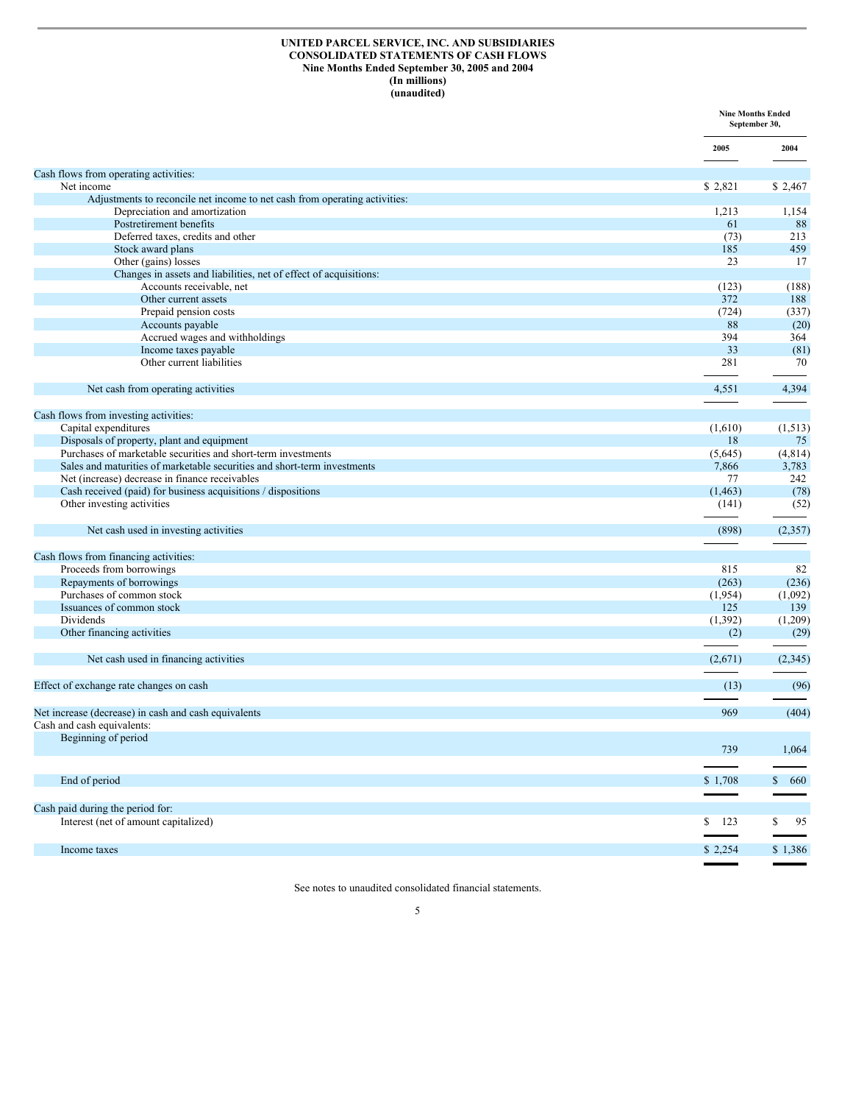#### **UNITED PARCEL SERVICE, INC. AND SUBSIDIARIES CONSOLIDATED STATEMENTS OF CASH FLOWS Nine Months Ended September 30, 2005 and 2004 (In millions) (unaudited)**

|                                                                                                             |             | <b>Nine Months Ended</b><br>September 30, |
|-------------------------------------------------------------------------------------------------------------|-------------|-------------------------------------------|
|                                                                                                             | 2005        | 2004                                      |
| Cash flows from operating activities:                                                                       |             |                                           |
| Net income                                                                                                  | \$2,821     | \$ 2,467                                  |
| Adjustments to reconcile net income to net cash from operating activities:                                  |             |                                           |
| Depreciation and amortization                                                                               | 1,213       | 1,154                                     |
| Postretirement benefits                                                                                     | 61          | 88                                        |
| Deferred taxes, credits and other                                                                           | (73)        | 213                                       |
| Stock award plans                                                                                           | 185         | 459                                       |
| Other (gains) losses                                                                                        | 23          | 17                                        |
| Changes in assets and liabilities, net of effect of acquisitions:                                           |             |                                           |
| Accounts receivable, net                                                                                    | (123)       | (188)                                     |
| Other current assets                                                                                        | 372         | 188                                       |
| Prepaid pension costs                                                                                       | (724)       | (337)                                     |
| Accounts payable                                                                                            | 88          | (20)                                      |
| Accrued wages and withholdings                                                                              | 394         | 364                                       |
| Income taxes payable                                                                                        | 33          | (81)                                      |
| Other current liabilities                                                                                   | 281         | 70                                        |
|                                                                                                             |             |                                           |
| Net cash from operating activities                                                                          | 4,551       | 4,394                                     |
|                                                                                                             |             |                                           |
| Cash flows from investing activities:                                                                       |             |                                           |
| Capital expenditures                                                                                        | (1,610)     | (1,513)                                   |
| Disposals of property, plant and equipment<br>Purchases of marketable securities and short-term investments | 18          | 75                                        |
| Sales and maturities of marketable securities and short-term investments                                    | (5,645)     | (4, 814)                                  |
| Net (increase) decrease in finance receivables                                                              | 7,866<br>77 | 3,783<br>242                              |
| Cash received (paid) for business acquisitions / dispositions                                               |             |                                           |
| Other investing activities                                                                                  | (1, 463)    | (78)                                      |
|                                                                                                             | (141)       | (52)                                      |
| Net cash used in investing activities                                                                       | (898)       | (2, 357)                                  |
| Cash flows from financing activities:                                                                       |             |                                           |
| Proceeds from borrowings                                                                                    | 815         | 82                                        |
| Repayments of borrowings                                                                                    | (263)       | (236)                                     |
| Purchases of common stock                                                                                   | (1,954)     | (1,092)                                   |
| Issuances of common stock                                                                                   | 125         | 139                                       |
| Dividends                                                                                                   | (1, 392)    | (1,209)                                   |
| Other financing activities                                                                                  | (2)         | (29)                                      |
| Net cash used in financing activities                                                                       | (2,671)     | (2, 345)                                  |
|                                                                                                             |             |                                           |
| Effect of exchange rate changes on cash                                                                     | (13)        | (96)                                      |
|                                                                                                             |             |                                           |
| Net increase (decrease) in cash and cash equivalents                                                        | 969         | (404)                                     |
| Cash and cash equivalents:                                                                                  |             |                                           |
| Beginning of period                                                                                         |             |                                           |
|                                                                                                             | 739         | 1,064                                     |
|                                                                                                             |             |                                           |
| End of period                                                                                               | \$1,708     | $\mathbb{S}$<br>660                       |
|                                                                                                             |             |                                           |
| Cash paid during the period for:                                                                            |             |                                           |
| Interest (net of amount capitalized)                                                                        | \$123       | \$<br>95                                  |
|                                                                                                             |             |                                           |
| Income taxes                                                                                                | \$2,254     | \$1,386                                   |
|                                                                                                             |             |                                           |

See notes to unaudited consolidated financial statements.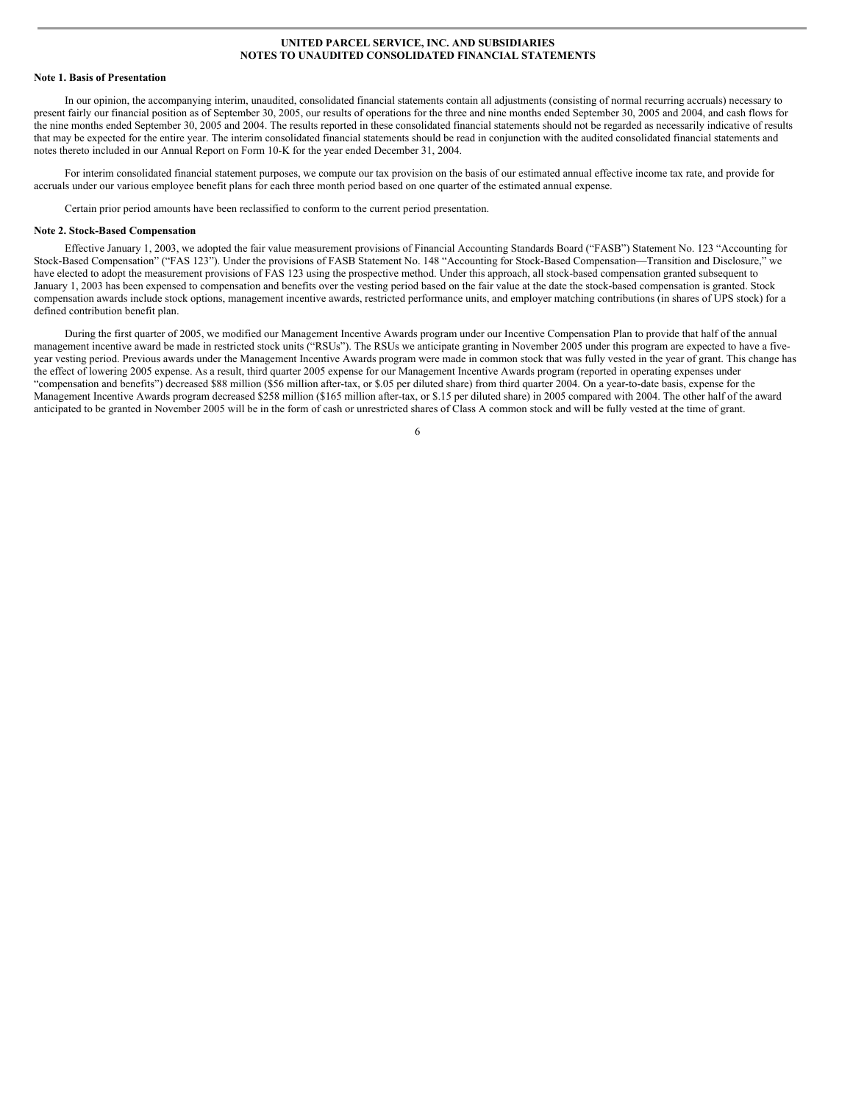#### **Note 1. Basis of Presentation**

In our opinion, the accompanying interim, unaudited, consolidated financial statements contain all adjustments (consisting of normal recurring accruals) necessary to present fairly our financial position as of September 30, 2005, our results of operations for the three and nine months ended September 30, 2005 and 2004, and cash flows for the nine months ended September 30, 2005 and 2004. The results reported in these consolidated financial statements should not be regarded as necessarily indicative of results that may be expected for the entire year. The interim consolidated financial statements should be read in conjunction with the audited consolidated financial statements and notes thereto included in our Annual Report on Form 10-K for the year ended December 31, 2004.

For interim consolidated financial statement purposes, we compute our tax provision on the basis of our estimated annual effective income tax rate, and provide for accruals under our various employee benefit plans for each three month period based on one quarter of the estimated annual expense.

Certain prior period amounts have been reclassified to conform to the current period presentation.

#### **Note 2. Stock-Based Compensation**

Effective January 1, 2003, we adopted the fair value measurement provisions of Financial Accounting Standards Board ("FASB") Statement No. 123 "Accounting for Stock-Based Compensation" ("FAS 123"). Under the provisions of FASB Statement No. 148 "Accounting for Stock-Based Compensation—Transition and Disclosure," we have elected to adopt the measurement provisions of FAS 123 using the prospective method. Under this approach, all stock-based compensation granted subsequent to January 1, 2003 has been expensed to compensation and benefits over the vesting period based on the fair value at the date the stock-based compensation is granted. Stock compensation awards include stock options, management incentive awards, restricted performance units, and employer matching contributions (in shares of UPS stock) for a defined contribution benefit plan.

During the first quarter of 2005, we modified our Management Incentive Awards program under our Incentive Compensation Plan to provide that half of the annual management incentive award be made in restricted stock units ("RSUs"). The RSUs we anticipate granting in November 2005 under this program are expected to have a fiveyear vesting period. Previous awards under the Management Incentive Awards program were made in common stock that was fully vested in the year of grant. This change has the effect of lowering 2005 expense. As a result, third quarter 2005 expense for our Management Incentive Awards program (reported in operating expenses under "compensation and benefits") decreased \$88 million (\$56 million after-tax, or \$.05 per diluted share) from third quarter 2004. On a year-to-date basis, expense for the Management Incentive Awards program decreased \$258 million (\$165 million after-tax, or \$.15 per diluted share) in 2005 compared with 2004. The other half of the award anticipated to be granted in November 2005 will be in the form of cash or unrestricted shares of Class A common stock and will be fully vested at the time of grant.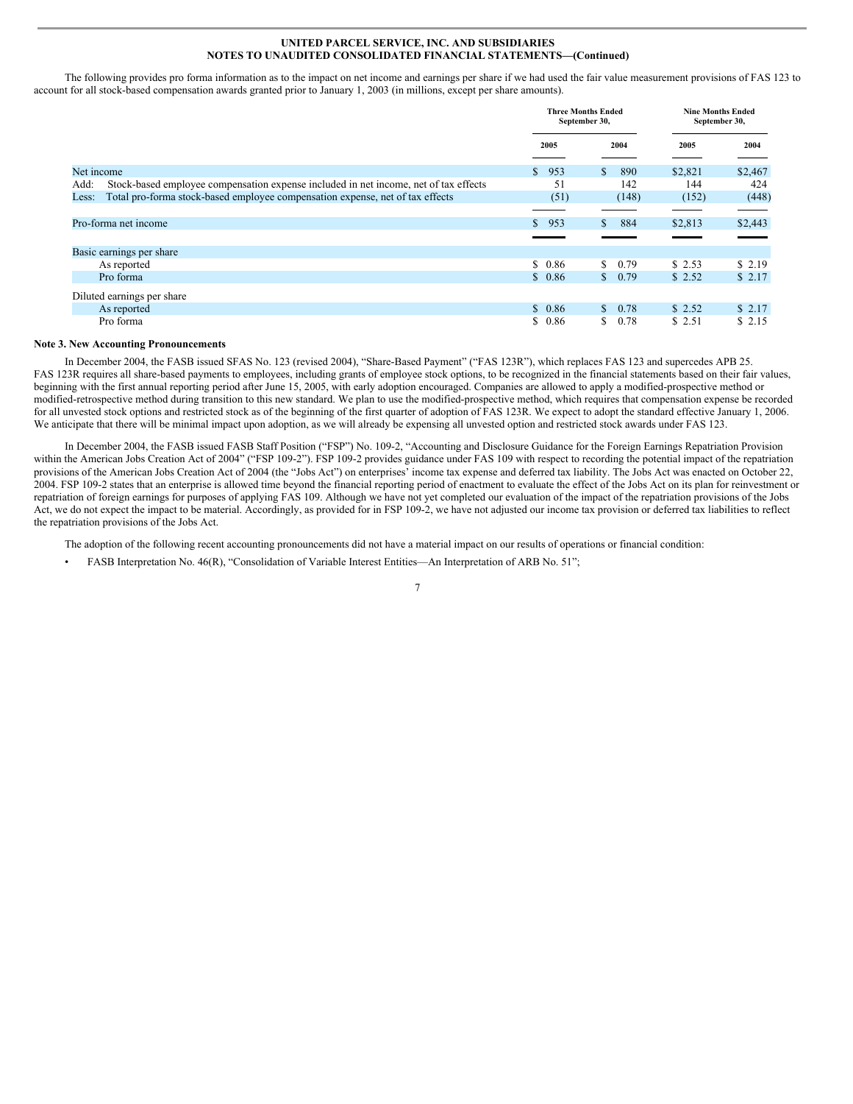The following provides pro forma information as to the impact on net income and earnings per share if we had used the fair value measurement provisions of FAS 123 to account for all stock-based compensation awards granted prior to January 1, 2003 (in millions, except per share amounts).

|                                                                                              | <b>Three Months Ended</b><br>September 30, |            | <b>Nine Months Ended</b><br>September 30, |         |
|----------------------------------------------------------------------------------------------|--------------------------------------------|------------|-------------------------------------------|---------|
|                                                                                              | 2005                                       | 2004       | 2005                                      | 2004    |
| Net income                                                                                   | S.<br>953                                  | 890<br>S.  | \$2,821                                   | \$2,467 |
| Stock-based employee compensation expense included in net income, net of tax effects<br>Add: | 51                                         | 142        | 144                                       | 424     |
| Total pro-forma stock-based employee compensation expense, net of tax effects<br>Less:       | (51)                                       | (148)      | (152)                                     | (448)   |
|                                                                                              |                                            |            |                                           |         |
| Pro-forma net income                                                                         | 953                                        | 884<br>S.  | \$2,813                                   | \$2,443 |
|                                                                                              |                                            |            |                                           |         |
| Basic earnings per share                                                                     |                                            |            |                                           |         |
| As reported                                                                                  | \$0.86                                     | 0.79<br>S. | \$2.53                                    | \$2.19  |
| Pro forma                                                                                    | \$0.86                                     | \$0.79     | \$2.52                                    | \$2.17  |
| Diluted earnings per share                                                                   |                                            |            |                                           |         |
| As reported                                                                                  | \$0.86                                     | \$0.78     | \$2.52                                    | \$2.17  |
| Pro forma                                                                                    | S.<br>0.86                                 | 0.78<br>S. | \$2.51                                    | \$2.15  |

#### **Note 3. New Accounting Pronouncements**

In December 2004, the FASB issued SFAS No. 123 (revised 2004), "Share-Based Payment" ("FAS 123R"), which replaces FAS 123 and supercedes APB 25. FAS 123R requires all share-based payments to employees, including grants of employee stock options, to be recognized in the financial statements based on their fair values, beginning with the first annual reporting period after June 15, 2005, with early adoption encouraged. Companies are allowed to apply a modified-prospective method or modified-retrospective method during transition to this new standard. We plan to use the modified-prospective method, which requires that compensation expense be recorded for all unvested stock options and restricted stock as of the beginning of the first quarter of adoption of FAS 123R. We expect to adopt the standard effective January 1, 2006. We anticipate that there will be minimal impact upon adoption, as we will already be expensing all unvested option and restricted stock awards under FAS 123.

In December 2004, the FASB issued FASB Staff Position ("FSP") No. 109-2, "Accounting and Disclosure Guidance for the Foreign Earnings Repatriation Provision within the American Jobs Creation Act of 2004" ("FSP 109-2"). FSP 109-2 provides guidance under FAS 109 with respect to recording the potential impact of the repatriation provisions of the American Jobs Creation Act of 2004 (the "Jobs Act") on enterprises' income tax expense and deferred tax liability. The Jobs Act was enacted on October 22, 2004. FSP 109-2 states that an enterprise is allowed time beyond the financial reporting period of enactment to evaluate the effect of the Jobs Act on its plan for reinvestment or repatriation of foreign earnings for purposes of applying FAS 109. Although we have not yet completed our evaluation of the impact of the repatriation provisions of the Jobs Act, we do not expect the impact to be material. Accordingly, as provided for in FSP 109-2, we have not adjusted our income tax provision or deferred tax liabilities to reflect the repatriation provisions of the Jobs Act.

The adoption of the following recent accounting pronouncements did not have a material impact on our results of operations or financial condition:

• FASB Interpretation No. 46(R), "Consolidation of Variable Interest Entities—An Interpretation of ARB No. 51";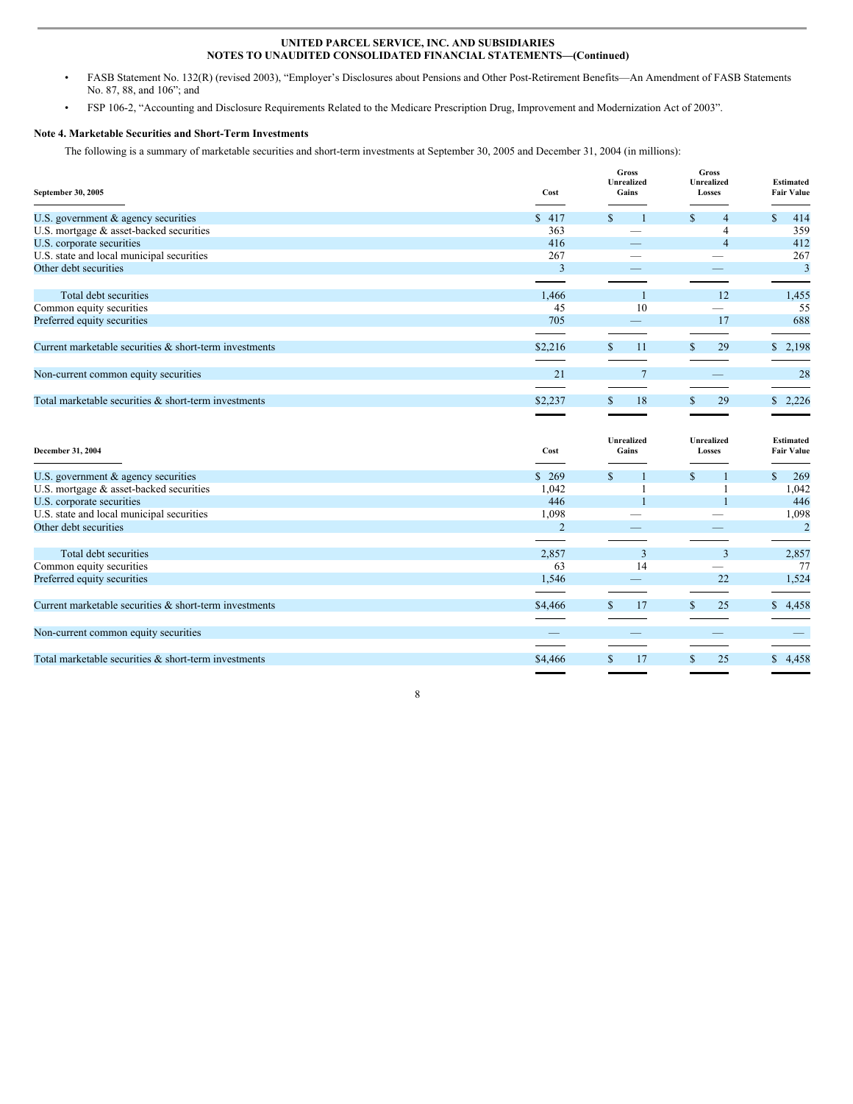- FASB Statement No. 132(R) (revised 2003), "Employer's Disclosures about Pensions and Other Post-Retirement Benefits—An Amendment of FASB Statements No. 87, 88, and 106"; and
- FSP 106-2, "Accounting and Disclosure Requirements Related to the Medicare Prescription Drug, Improvement and Modernization Act of 2003".

# **Note 4. Marketable Securities and Short-Term Investments**

The following is a summary of marketable securities and short-term investments at September 30, 2005 and December 31, 2004 (in millions):

| September 30, 2005                                     | Cost           | <b>Gross</b><br>Unrealized<br>Gains | <b>Gross</b><br>Unrealized<br>Losses | Estimated<br><b>Fair Value</b>        |
|--------------------------------------------------------|----------------|-------------------------------------|--------------------------------------|---------------------------------------|
| U.S. government $&$ agency securities                  | \$417          | $\mathbf{s}$                        | $\mathbf{s}$<br>$\overline{4}$       | \$<br>414                             |
| U.S. mortgage & asset-backed securities                | 363            |                                     | $\overline{4}$                       | 359                                   |
| U.S. corporate securities                              | 416            |                                     | $\overline{4}$                       | 412                                   |
| U.S. state and local municipal securities              | 267            |                                     |                                      | 267                                   |
| Other debt securities                                  | $\overline{3}$ |                                     |                                      | 3                                     |
|                                                        |                |                                     |                                      |                                       |
| Total debt securities                                  | 1,466          |                                     | 12                                   | 1,455                                 |
| Common equity securities                               | 45             | 10                                  |                                      | 55                                    |
| Preferred equity securities                            | 705            |                                     | 17                                   | 688                                   |
|                                                        |                |                                     |                                      |                                       |
| Current marketable securities & short-term investments | \$2,216        | S.<br>11                            | 29<br>S                              | \$2,198                               |
|                                                        |                |                                     |                                      |                                       |
| Non-current common equity securities                   | 21             | $\overline{7}$                      |                                      | 28                                    |
|                                                        |                |                                     |                                      |                                       |
| Total marketable securities & short-term investments   | \$2,237        | 18                                  | 29                                   | \$2,226                               |
| December 31, 2004                                      | Cost           | Unrealized<br>Gains                 | Unrealized<br>Losses                 | <b>Estimated</b><br><b>Fair Value</b> |
|                                                        |                |                                     |                                      |                                       |
| U.S. government & agency securities                    | \$269          | $\mathbb{S}$                        | $\mathbb{S}$                         | \$<br>269                             |
| U.S. mortgage & asset-backed securities                | 1,042          |                                     |                                      | 1,042                                 |
| U.S. corporate securities                              | 446            |                                     |                                      | 446                                   |
| U.S. state and local municipal securities              | 1,098          |                                     |                                      | 1,098                                 |
| Other debt securities                                  | $\overline{2}$ |                                     |                                      | $\overline{2}$                        |
|                                                        |                |                                     |                                      |                                       |
| Total debt securities                                  | 2,857          | 3                                   | 3                                    | 2,857                                 |
| Common equity securities                               | 63             | 14                                  |                                      | 77                                    |
| Preferred equity securities                            | 1,546          |                                     | 22                                   | 1,524                                 |
|                                                        |                |                                     |                                      |                                       |

| Current marketable securities $\&$ short-term investments | \$4,466                  |                          |                          | 4.458 |
|-----------------------------------------------------------|--------------------------|--------------------------|--------------------------|-------|
|                                                           |                          |                          |                          |       |
| Non-current common equity securities                      | $\overline{\phantom{a}}$ | $\overline{\phantom{a}}$ | $\overline{\phantom{a}}$ |       |
|                                                           |                          |                          |                          |       |
| Total marketable securities & short-term investments      | \$4.466                  |                          |                          | 4.458 |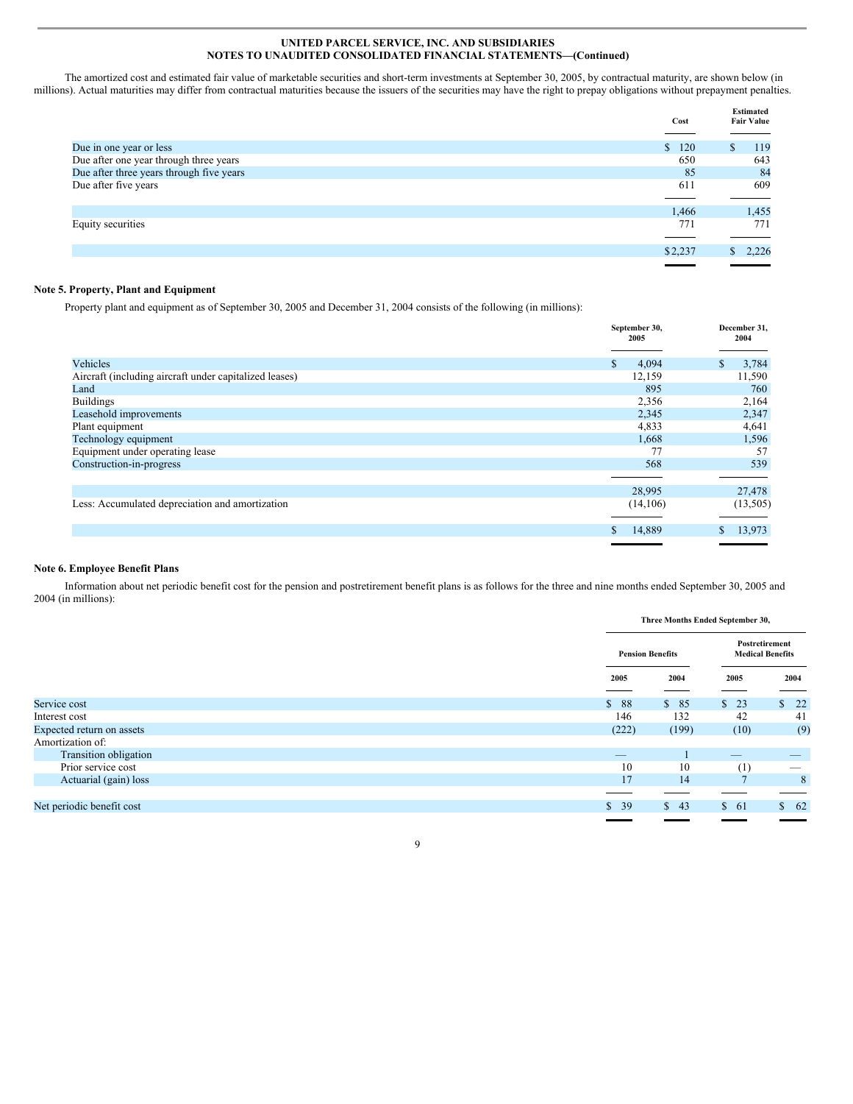The amortized cost and estimated fair value of marketable securities and short-term investments at September 30, 2005, by contractual maturity, are shown below (in millions). Actual maturities may differ from contractual maturities because the issuers of the securities may have the right to prepay obligations without prepayment penalties.

|                                          | Cost    | Estimated<br><b>Fair Value</b> |
|------------------------------------------|---------|--------------------------------|
| Due in one year or less                  | \$120   | 119<br>\$.                     |
| Due after one year through three years   | 650     | 643                            |
| Due after three years through five years | 85      | 84                             |
| Due after five years                     | 611     | 609                            |
|                                          |         |                                |
|                                          | 1,466   | 1,455                          |
| Equity securities                        | 771     | 771                            |
|                                          |         |                                |
|                                          | \$2,237 | 2.226                          |
|                                          |         |                                |

# **Note 5. Property, Plant and Equipment**

Property plant and equipment as of September 30, 2005 and December 31, 2004 consists of the following (in millions):

|                                                        | September 30,<br>2005 | December 31,<br>2004 |
|--------------------------------------------------------|-----------------------|----------------------|
| Vehicles                                               | 4,094<br>\$           | 3,784<br>\$.         |
| Aircraft (including aircraft under capitalized leases) | 12,159                | 11,590               |
| Land                                                   | 895                   | 760                  |
| <b>Buildings</b>                                       | 2,356                 | 2,164                |
| Leasehold improvements                                 | 2,345                 | 2,347                |
| Plant equipment                                        | 4,833                 | 4,641                |
| Technology equipment                                   | 1,668                 | 1,596                |
| Equipment under operating lease                        | 77                    | 57                   |
| Construction-in-progress                               | 568                   | 539                  |
|                                                        |                       |                      |
|                                                        | 28,995                | 27,478               |
| Less: Accumulated depreciation and amortization        | (14,106)              | (13, 505)            |
|                                                        | 14,889                | 13,973<br>\$         |
|                                                        |                       |                      |

## **Note 6. Employee Benefit Plans**

Information about net periodic benefit cost for the pension and postretirement benefit plans is as follows for the three and nine months ended September 30, 2005 and 2004 (in millions):

|                           |                    | Three Months Ended September 30, |                                           |                |  |
|---------------------------|--------------------|----------------------------------|-------------------------------------------|----------------|--|
|                           |                    | <b>Pension Benefits</b>          | Postretirement<br><b>Medical Benefits</b> |                |  |
|                           | 2005               | 2004                             | 2005                                      | 2004           |  |
| Service cost              | \$88               | \$85                             | $\frac{1}{2}$                             | $\frac{1}{22}$ |  |
| Interest cost             | 146                | 132                              | 42                                        | 41             |  |
| Expected return on assets | (222)              | (199)                            | (10)                                      | (9)            |  |
| Amortization of:          |                    |                                  |                                           |                |  |
| Transition obligation     |                    |                                  | _                                         |                |  |
| Prior service cost        | 10                 | 10                               | (1)                                       |                |  |
| Actuarial (gain) loss     | 17                 | 14                               |                                           | 8              |  |
|                           |                    |                                  |                                           |                |  |
| Net periodic benefit cost | 39<br>$\mathbb{S}$ | \$43                             | \$61                                      | \$62           |  |
|                           |                    |                                  |                                           |                |  |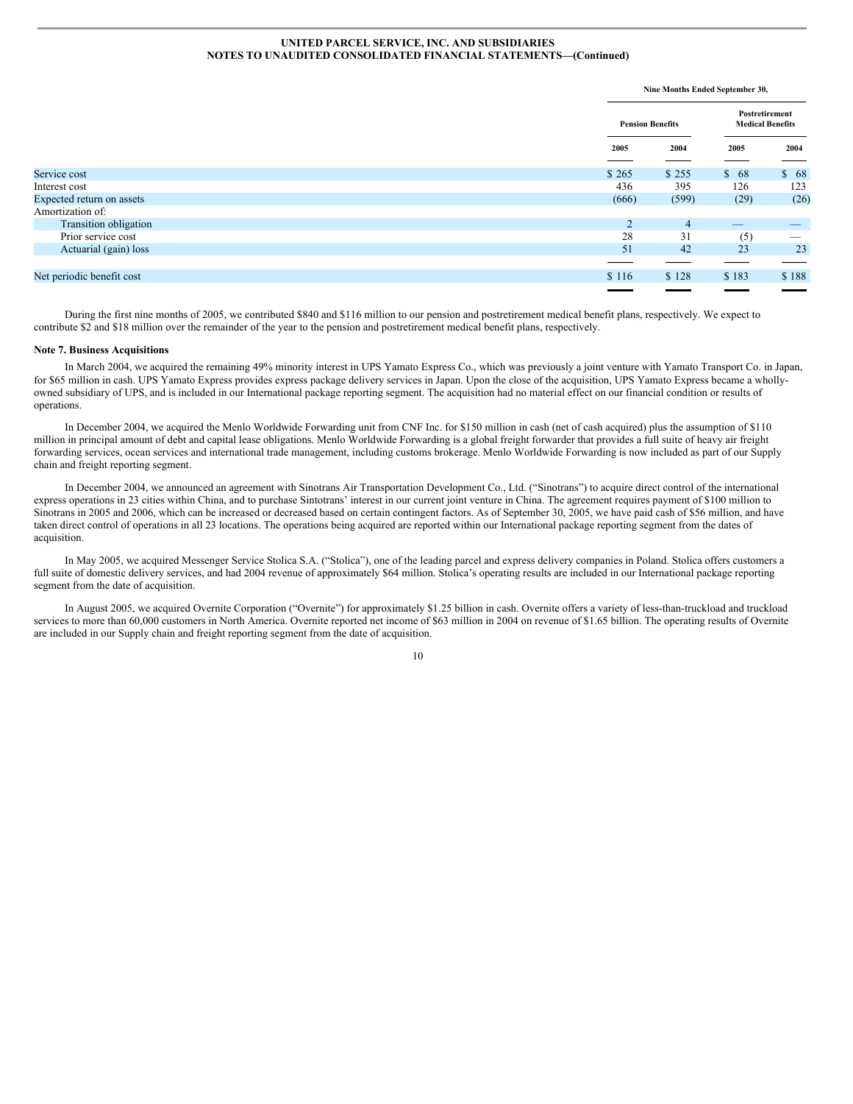# **Nine Months Ended September 30, Pension Benefits Postretirement Medical Benefits 2005 2004 2005 2004** Service cost  $$ 255 \t$ 68 \t$ 68$ Interest cost 236 395 126 123 Expected return on assets  $(666)$   $(599)$   $(29)$   $(26)$ Amortization of: Transition obligation 2 4 — — Prior service cost  $28 \t 31 \t (5)$  — Actuarial (gain) loss 51 42 23 23 Net periodic benefit cost \$ 183 \$ 188 \$ 188 \$ 188 \$ 188 \$ 189 \$ 188 \$ 189 \$ 189 \$ 189 \$ 189 \$ 189 \$ 188 \$ 188 \$ 189 \$ 189 \$ 189 \$ 189 \$ 189 \$ 189 \$ 189 \$ 189 \$ 189 \$ 189 \$ 189 \$ 189 \$ 189 \$ 189 \$ 189 \$ 189 \$ 189 \$ 189 \$ 18

During the first nine months of 2005, we contributed \$840 and \$116 million to our pension and postretirement medical benefit plans, respectively. We expect to contribute \$2 and \$18 million over the remainder of the year to the pension and postretirement medical benefit plans, respectively.

#### **Note 7. Business Acquisitions**

In March 2004, we acquired the remaining 49% minority interest in UPS Yamato Express Co., which was previously a joint venture with Yamato Transport Co. in Japan, for \$65 million in cash. UPS Yamato Express provides express package delivery services in Japan. Upon the close of the acquisition, UPS Yamato Express became a whollyowned subsidiary of UPS, and is included in our International package reporting segment. The acquisition had no material effect on our financial condition or results of operations.

In December 2004, we acquired the Menlo Worldwide Forwarding unit from CNF Inc. for \$150 million in cash (net of cash acquired) plus the assumption of \$110 million in principal amount of debt and capital lease obligations. Menlo Worldwide Forwarding is a global freight forwarder that provides a full suite of heavy air freight forwarding services, ocean services and international trade management, including customs brokerage. Menlo Worldwide Forwarding is now included as part of our Supply chain and freight reporting segment.

In December 2004, we announced an agreement with Sinotrans Air Transportation Development Co., Ltd. ("Sinotrans") to acquire direct control of the international express operations in 23 cities within China, and to purchase Sintotrans' interest in our current joint venture in China. The agreement requires payment of \$100 million to Sinotrans in 2005 and 2006, which can be increased or decreased based on certain contingent factors. As of September 30, 2005, we have paid cash of \$56 million, and have taken direct control of operations in all 23 locations. The operations being acquired are reported within our International package reporting segment from the dates of acquisition.

In May 2005, we acquired Messenger Service Stolica S.A. ("Stolica"), one of the leading parcel and express delivery companies in Poland. Stolica offers customers a full suite of domestic delivery services, and had 2004 revenue of approximately \$64 million. Stolica's operating results are included in our International package reporting segment from the date of acquisition.

In August 2005, we acquired Overnite Corporation ("Overnite") for approximately \$1.25 billion in cash. Overnite offers a variety of less-than-truckload and truckload services to more than 60,000 customers in North America. Overnite reported net income of \$63 million in 2004 on revenue of \$1.65 billion. The operating results of Overnite are included in our Supply chain and freight reporting segment from the date of acquisition.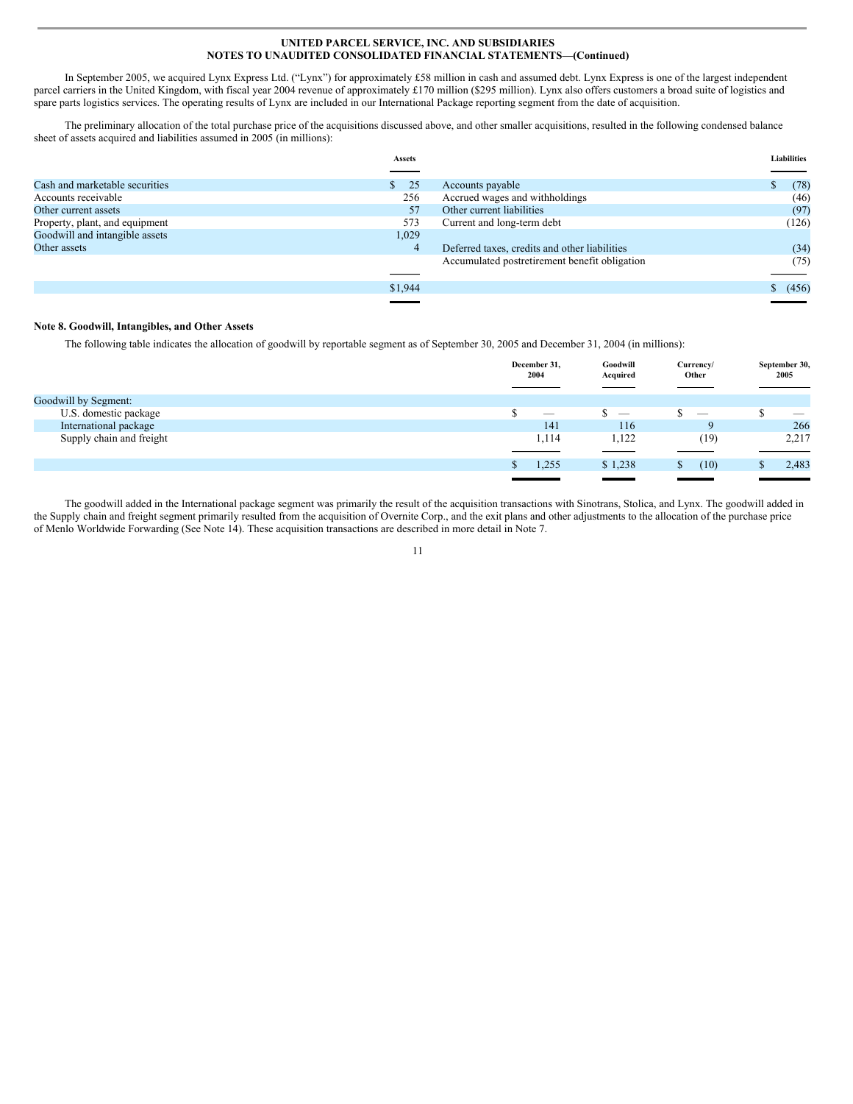In September 2005, we acquired Lynx Express Ltd. ("Lynx") for approximately £58 million in cash and assumed debt. Lynx Express is one of the largest independent parcel carriers in the United Kingdom, with fiscal year 2004 revenue of approximately £170 million (\$295 million). Lynx also offers customers a broad suite of logistics and spare parts logistics services. The operating results of Lynx are included in our International Package reporting segment from the date of acquisition.

The preliminary allocation of the total purchase price of the acquisitions discussed above, and other smaller acquisitions, resulted in the following condensed balance sheet of assets acquired and liabilities assumed in 2005 (in millions):

|                                | Assets         |                                               | <b>Liabilities</b> |
|--------------------------------|----------------|-----------------------------------------------|--------------------|
|                                |                |                                               |                    |
| Cash and marketable securities | $\frac{1}{25}$ | Accounts payable                              | (78)               |
| Accounts receivable            | 256            | Accrued wages and withholdings                | (46)               |
| Other current assets           | 57             | Other current liabilities                     | (97)               |
| Property, plant, and equipment | 573            | Current and long-term debt                    | (126)              |
| Goodwill and intangible assets | 1,029          |                                               |                    |
| Other assets                   | 4              | Deferred taxes, credits and other liabilities | (34)               |
|                                |                | Accumulated postretirement benefit obligation | (75)               |
|                                |                |                                               |                    |
|                                | \$1,944        |                                               | (456)              |
|                                |                |                                               |                    |

# **Note 8. Goodwill, Intangibles, and Other Assets**

The following table indicates the allocation of goodwill by reportable segment as of September 30, 2005 and December 31, 2004 (in millions):

|                          | December 31,<br>2004                 | Goodwill<br>Acquired            | Currency/<br>Other              | September 30,<br>2005           |
|--------------------------|--------------------------------------|---------------------------------|---------------------------------|---------------------------------|
|                          |                                      |                                 |                                 |                                 |
| Goodwill by Segment:     |                                      |                                 |                                 |                                 |
| U.S. domestic package    | S<br>$\hspace{0.1mm}-\hspace{0.1mm}$ | $\hspace{0.1mm}-\hspace{0.1mm}$ | $\hspace{0.1mm}-\hspace{0.1mm}$ | $\hspace{0.1mm}-\hspace{0.1mm}$ |
| International package    | 141                                  | 116                             | 9                               | 266                             |
| Supply chain and freight | 1,114                                | 1,122                           | (19)                            | 2,217                           |
|                          | 1,255                                | \$1,238                         | (10)                            | 2,483                           |
|                          |                                      |                                 |                                 |                                 |

The goodwill added in the International package segment was primarily the result of the acquisition transactions with Sinotrans, Stolica, and Lynx. The goodwill added in the Supply chain and freight segment primarily resulted from the acquisition of Overnite Corp., and the exit plans and other adjustments to the allocation of the purchase price of Menlo Worldwide Forwarding (See Note 14). These acquisition transactions are described in more detail in Note 7.

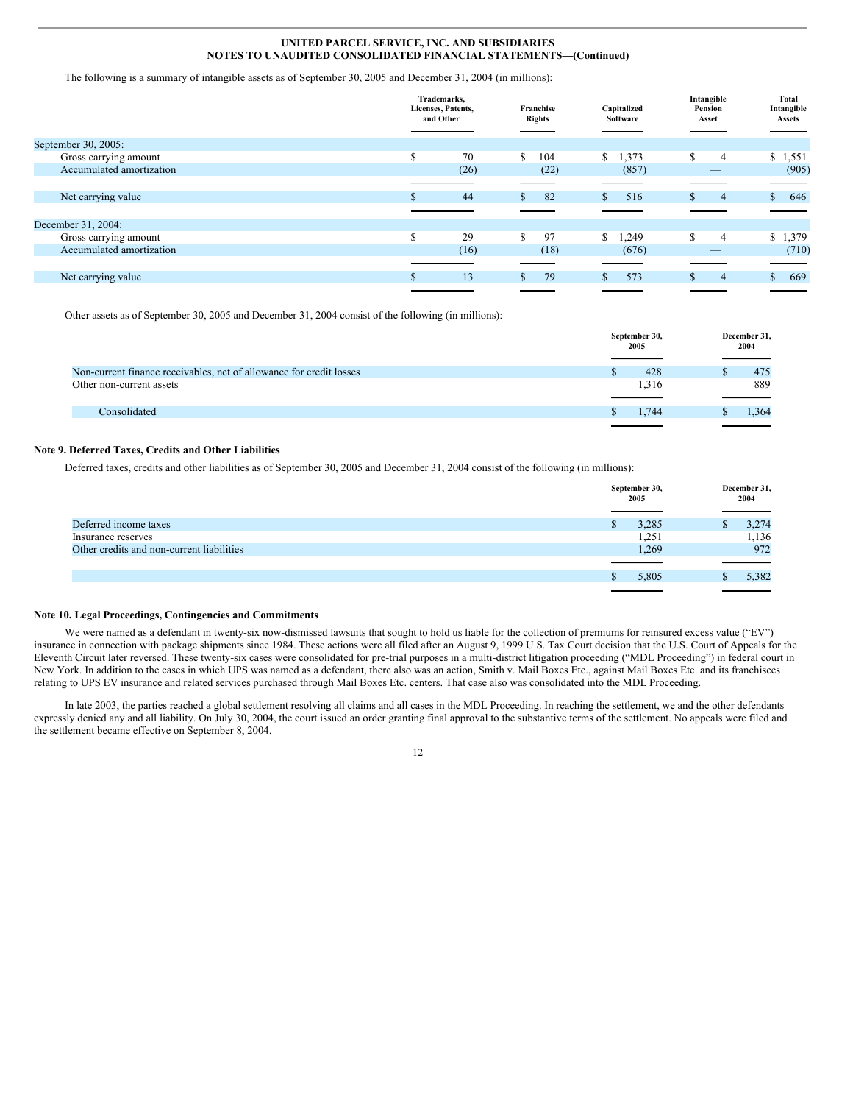The following is a summary of intangible assets as of September 30, 2005 and December 31, 2004 (in millions):

|                          | Trademarks,<br>Licenses, Patents,<br>and Other | Franchise<br><b>Rights</b> | Capitalized<br>Software | Intangible<br>Pension<br>Asset | Total<br>Intangible<br>Assets |
|--------------------------|------------------------------------------------|----------------------------|-------------------------|--------------------------------|-------------------------------|
|                          |                                                |                            |                         |                                |                               |
| September 30, 2005:      |                                                |                            |                         |                                |                               |
| Gross carrying amount    | S<br>70                                        | S<br>104                   | 1,373<br>S.             | S.<br>4                        | \$1,551                       |
| Accumulated amortization | (26)                                           | (22)                       | (857)                   | _                              | (905)                         |
|                          |                                                |                            |                         |                                |                               |
| Net carrying value       | 44<br>\$                                       | 82<br>S.                   | 516<br>\$               | $\overline{4}$                 | 646<br>\$.                    |
|                          |                                                |                            |                         |                                |                               |
| December 31, 2004:       |                                                |                            |                         |                                |                               |
| Gross carrying amount    | S<br>29                                        | 97<br>S                    | $\mathbb{S}$<br>.249    | S.<br>$\overline{4}$           | \$1,379                       |
| Accumulated amortization | (16)                                           | (18)                       | (676)                   |                                | (710)                         |
|                          |                                                |                            |                         |                                |                               |
| Net carrying value       | $\mathcal{S}$<br>13                            | 79                         | 573<br>\$               | $\overline{4}$                 | $\mathbf{s}$<br>669           |
|                          |                                                |                            |                         |                                |                               |

Other assets as of September 30, 2005 and December 31, 2004 consist of the following (in millions):

|                                                                                                 | September 30,<br>2005 | December 31,<br>2004 |
|-------------------------------------------------------------------------------------------------|-----------------------|----------------------|
| Non-current finance receivables, net of allowance for credit losses<br>Other non-current assets | 428<br>1,316          | 475<br>889           |
| Consolidated                                                                                    | 1.744                 | .364                 |

# **Note 9. Deferred Taxes, Credits and Other Liabilities**

Deferred taxes, credits and other liabilities as of September 30, 2005 and December 31, 2004 consist of the following (in millions):

|                                           | September 30,<br>2005 | December 31,<br>2004 |
|-------------------------------------------|-----------------------|----------------------|
| Deferred income taxes                     | 3,285                 | 3,274                |
| Insurance reserves                        | 1,251                 | 1,136                |
| Other credits and non-current liabilities | 1,269                 | 972                  |
|                                           |                       |                      |
|                                           | 5,805                 | 5.382                |
|                                           |                       |                      |

# **Note 10. Legal Proceedings, Contingencies and Commitments**

We were named as a defendant in twenty-six now-dismissed lawsuits that sought to hold us liable for the collection of premiums for reinsured excess value ("EV") insurance in connection with package shipments since 1984. These actions were all filed after an August 9, 1999 U.S. Tax Court decision that the U.S. Court of Appeals for the Eleventh Circuit later reversed. These twenty-six cases were consolidated for pre-trial purposes in a multi-district litigation proceeding ("MDL Proceeding") in federal court in New York. In addition to the cases in which UPS was named as a defendant, there also was an action, Smith v. Mail Boxes Etc., against Mail Boxes Etc. and its franchisees relating to UPS EV insurance and related services purchased through Mail Boxes Etc. centers. That case also was consolidated into the MDL Proceeding.

In late 2003, the parties reached a global settlement resolving all claims and all cases in the MDL Proceeding. In reaching the settlement, we and the other defendants expressly denied any and all liability. On July 30, 2004, the court issued an order granting final approval to the substantive terms of the settlement. No appeals were filed and the settlement became effective on September 8, 2004.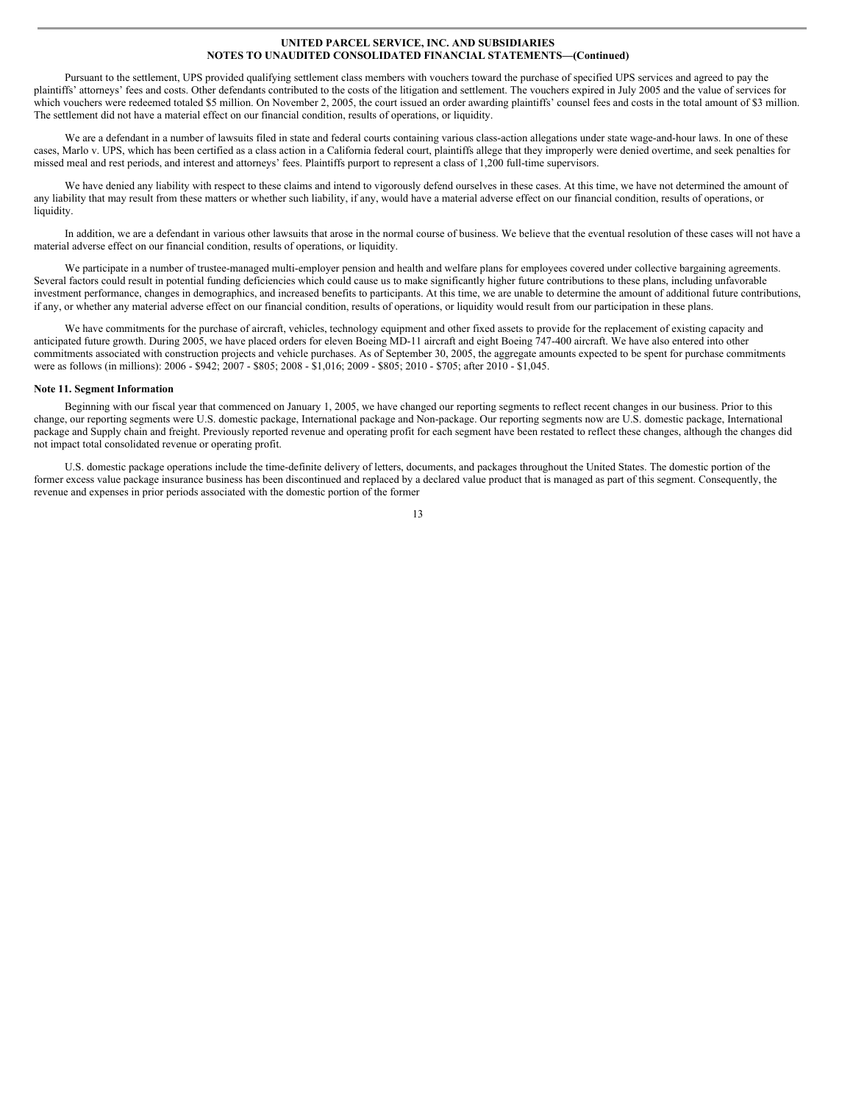Pursuant to the settlement, UPS provided qualifying settlement class members with vouchers toward the purchase of specified UPS services and agreed to pay the plaintiffs' attorneys' fees and costs. Other defendants contributed to the costs of the litigation and settlement. The vouchers expired in July 2005 and the value of services for which vouchers were redeemed totaled \$5 million. On November 2, 2005, the court issued an order awarding plaintiffs' counsel fees and costs in the total amount of \$3 million. The settlement did not have a material effect on our financial condition, results of operations, or liquidity.

We are a defendant in a number of lawsuits filed in state and federal courts containing various class-action allegations under state wage-and-hour laws. In one of these cases, Marlo v. UPS, which has been certified as a class action in a California federal court, plaintiffs allege that they improperly were denied overtime, and seek penalties for missed meal and rest periods, and interest and attorneys' fees. Plaintiffs purport to represent a class of 1,200 full-time supervisors.

We have denied any liability with respect to these claims and intend to vigorously defend ourselves in these cases. At this time, we have not determined the amount of any liability that may result from these matters or whether such liability, if any, would have a material adverse effect on our financial condition, results of operations, or liquidity.

In addition, we are a defendant in various other lawsuits that arose in the normal course of business. We believe that the eventual resolution of these cases will not have a material adverse effect on our financial condition, results of operations, or liquidity.

We participate in a number of trustee-managed multi-employer pension and health and welfare plans for employees covered under collective bargaining agreements. Several factors could result in potential funding deficiencies which could cause us to make significantly higher future contributions to these plans, including unfavorable investment performance, changes in demographics, and increased benefits to participants. At this time, we are unable to determine the amount of additional future contributions, if any, or whether any material adverse effect on our financial condition, results of operations, or liquidity would result from our participation in these plans.

We have commitments for the purchase of aircraft, vehicles, technology equipment and other fixed assets to provide for the replacement of existing capacity and anticipated future growth. During 2005, we have placed orders for eleven Boeing MD-11 aircraft and eight Boeing 747-400 aircraft. We have also entered into other commitments associated with construction projects and vehicle purchases. As of September 30, 2005, the aggregate amounts expected to be spent for purchase commitments were as follows (in millions): 2006 - \$942; 2007 - \$805; 2008 - \$1,016; 2009 - \$805; 2010 - \$705; after 2010 - \$1,045.

#### **Note 11. Segment Information**

Beginning with our fiscal year that commenced on January 1, 2005, we have changed our reporting segments to reflect recent changes in our business. Prior to this change, our reporting segments were U.S. domestic package, International package and Non-package. Our reporting segments now are U.S. domestic package, International package and Supply chain and freight. Previously reported revenue and operating profit for each segment have been restated to reflect these changes, although the changes did not impact total consolidated revenue or operating profit.

U.S. domestic package operations include the time-definite delivery of letters, documents, and packages throughout the United States. The domestic portion of the former excess value package insurance business has been discontinued and replaced by a declared value product that is managed as part of this segment. Consequently, the revenue and expenses in prior periods associated with the domestic portion of the former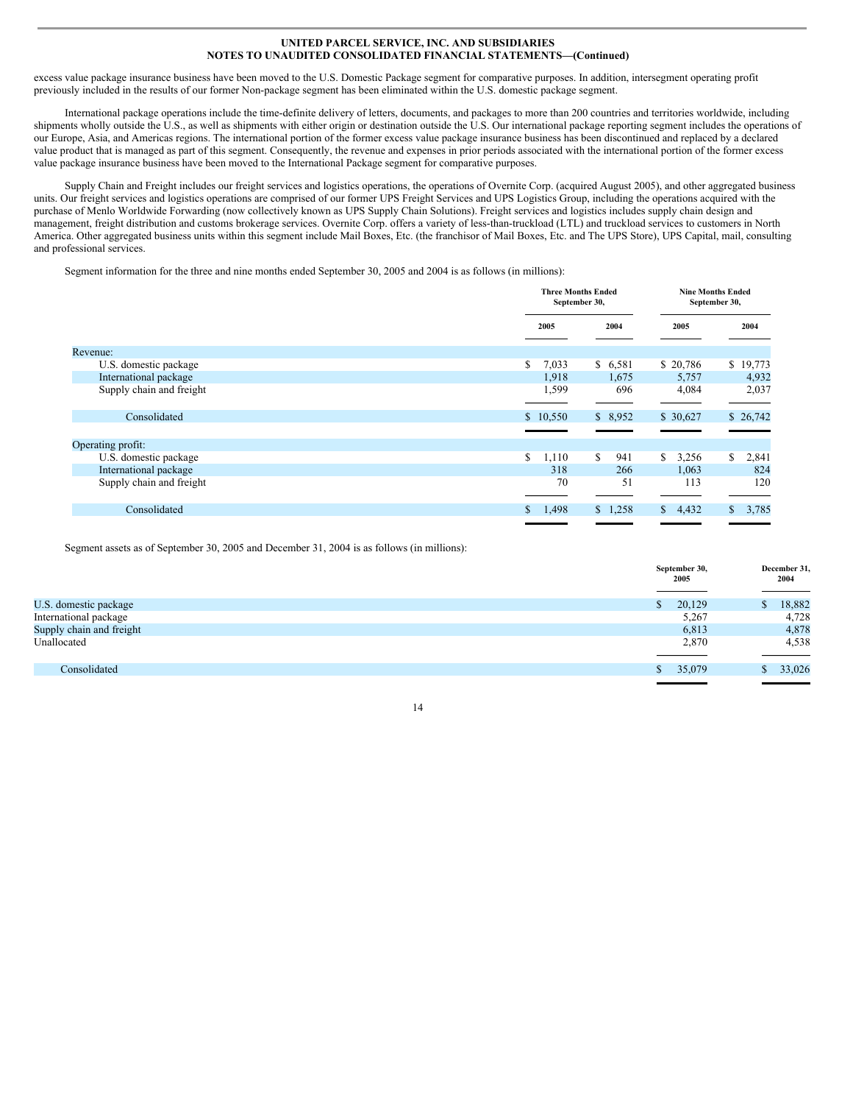excess value package insurance business have been moved to the U.S. Domestic Package segment for comparative purposes. In addition, intersegment operating profit previously included in the results of our former Non-package segment has been eliminated within the U.S. domestic package segment.

International package operations include the time-definite delivery of letters, documents, and packages to more than 200 countries and territories worldwide, including shipments wholly outside the U.S., as well as shipments with either origin or destination outside the U.S. Our international package reporting segment includes the operations of our Europe, Asia, and Americas regions. The international portion of the former excess value package insurance business has been discontinued and replaced by a declared value product that is managed as part of this segment. Consequently, the revenue and expenses in prior periods associated with the international portion of the former excess value package insurance business have been moved to the International Package segment for comparative purposes.

Supply Chain and Freight includes our freight services and logistics operations, the operations of Overnite Corp. (acquired August 2005), and other aggregated business units. Our freight services and logistics operations are comprised of our former UPS Freight Services and UPS Logistics Group, including the operations acquired with the purchase of Menlo Worldwide Forwarding (now collectively known as UPS Supply Chain Solutions). Freight services and logistics includes supply chain design and management, freight distribution and customs brokerage services. Overnite Corp. offers a variety of less-than-truckload (LTL) and truckload services to customers in North America. Other aggregated business units within this segment include Mail Boxes, Etc. (the franchisor of Mail Boxes, Etc. and The UPS Store), UPS Capital, mail, consulting and professional services.

Segment information for the three and nine months ended September 30, 2005 and 2004 is as follows (in millions):

|                          |             | <b>Three Months Ended</b><br>September 30, |             | <b>Nine Months Ended</b><br>September 30, |  |
|--------------------------|-------------|--------------------------------------------|-------------|-------------------------------------------|--|
|                          | 2005        | 2004                                       | 2005        | 2004                                      |  |
| Revenue:                 |             |                                            |             |                                           |  |
| U.S. domestic package    | \$<br>7,033 | \$6,581                                    | \$20,786    | \$19,773                                  |  |
| International package    | 1,918       | 1,675                                      | 5,757       | 4,932                                     |  |
| Supply chain and freight | 1,599       | 696                                        | 4,084       | 2,037                                     |  |
| Consolidated             | \$10,550    | \$8,952                                    | \$30,627    | \$26,742                                  |  |
|                          |             |                                            |             |                                           |  |
| Operating profit:        |             |                                            |             |                                           |  |
| U.S. domestic package    | \$<br>1,110 | \$<br>941                                  | S.<br>3,256 | \$<br>2,841                               |  |
| International package    | 318         | 266                                        | 1,063       | 824                                       |  |
| Supply chain and freight | 70          | 51                                         | 113         | 120                                       |  |
| Consolidated             | 1,498<br>\$ | \$1,258                                    | 4,432<br>\$ | 3,785<br>\$                               |  |

Segment assets as of September 30, 2005 and December 31, 2004 is as follows (in millions):

|                          | September 30,<br>2005 | December 31,<br>2004 |
|--------------------------|-----------------------|----------------------|
| U.S. domestic package    | 20,129                | 18,882               |
| International package    | 5,267                 | 4,728                |
| Supply chain and freight | 6,813                 | 4,878                |
| Unallocated              | 2,870                 | 4,538                |
| Consolidated             | 35,079                | 33,026               |
|                          |                       |                      |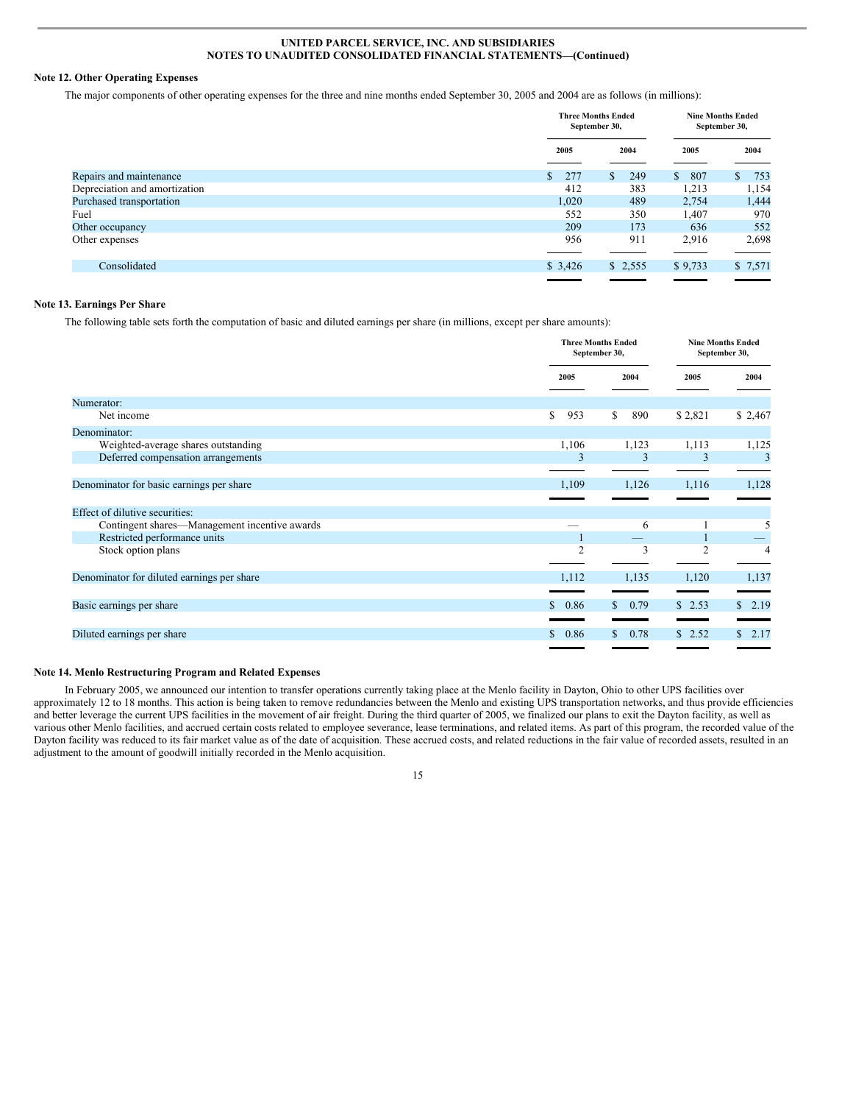# **Note 12. Other Operating Expenses**

The major components of other operating expenses for the three and nine months ended September 30, 2005 and 2004 are as follows (in millions):

|                               |                      | <b>Three Months Ended</b><br>September 30, |           | <b>Nine Months Ended</b><br>September 30, |  |
|-------------------------------|----------------------|--------------------------------------------|-----------|-------------------------------------------|--|
|                               | 2005                 | 2004                                       | 2005      | 2004                                      |  |
| Repairs and maintenance       | 277<br><sup>\$</sup> | 249<br>S                                   | 807<br>\$ | 753<br><sup>\$</sup>                      |  |
| Depreciation and amortization | 412                  | 383                                        | 1,213     | 1,154                                     |  |
| Purchased transportation      | 1,020                | 489                                        | 2,754     | 1,444                                     |  |
| Fuel                          | 552                  | 350                                        | 1,407     | 970                                       |  |
| Other occupancy               | 209                  | 173                                        | 636       | 552                                       |  |
| Other expenses                | 956                  | 911                                        | 2,916     | 2,698                                     |  |
|                               |                      |                                            |           |                                           |  |
| Consolidated                  | \$3,426              | \$2,555                                    | \$9,733   | \$7,571                                   |  |

#### **Note 13. Earnings Per Share**

The following table sets forth the computation of basic and diluted earnings per share (in millions, except per share amounts):

|                                               |            | <b>Three Months Ended</b><br>September 30, |         | <b>Nine Months Ended</b><br>September 30, |  |
|-----------------------------------------------|------------|--------------------------------------------|---------|-------------------------------------------|--|
|                                               | 2005       | 2004                                       | 2005    | 2004                                      |  |
| Numerator:                                    |            |                                            |         |                                           |  |
| Net income                                    | \$<br>953  | S<br>890                                   | \$2,821 | \$ 2,467                                  |  |
| Denominator:                                  |            |                                            |         |                                           |  |
| Weighted-average shares outstanding           | 1,106      | 1,123                                      | 1,113   | 1,125                                     |  |
| Deferred compensation arrangements            | 3          | 3                                          | 3       | 3                                         |  |
|                                               |            |                                            |         |                                           |  |
| Denominator for basic earnings per share      | 1,109      | 1,126                                      | 1,116   | 1,128                                     |  |
|                                               |            |                                            |         |                                           |  |
| Effect of dilutive securities:                |            |                                            |         |                                           |  |
| Contingent shares—Management incentive awards |            | 6                                          |         | 5                                         |  |
| Restricted performance units                  |            |                                            |         |                                           |  |
| Stock option plans                            | 2          | 3                                          | 2       | $\overline{4}$                            |  |
|                                               |            |                                            |         |                                           |  |
| Denominator for diluted earnings per share    | 1,112      | 1,135                                      | 1,120   | 1,137                                     |  |
|                                               |            |                                            |         |                                           |  |
| Basic earnings per share                      | 0.86<br>S. | 0.79                                       | \$2.53  | \$2.19                                    |  |
|                                               |            |                                            |         |                                           |  |
| Diluted earnings per share                    | 0.86<br>S. | 0.78                                       | \$2.52  | 2.17<br>\$                                |  |
|                                               |            |                                            |         |                                           |  |

#### **Note 14. Menlo Restructuring Program and Related Expenses**

In February 2005, we announced our intention to transfer operations currently taking place at the Menlo facility in Dayton, Ohio to other UPS facilities over approximately 12 to 18 months. This action is being taken to remove redundancies between the Menlo and existing UPS transportation networks, and thus provide efficiencies and better leverage the current UPS facilities in the movement of air freight. During the third quarter of 2005, we finalized our plans to exit the Dayton facility, as well as various other Menlo facilities, and accrued certain costs related to employee severance, lease terminations, and related items. As part of this program, the recorded value of the Dayton facility was reduced to its fair market value as of the date of acquisition. These accrued costs, and related reductions in the fair value of recorded assets, resulted in an adjustment to the amount of goodwill initially recorded in the Menlo acquisition.

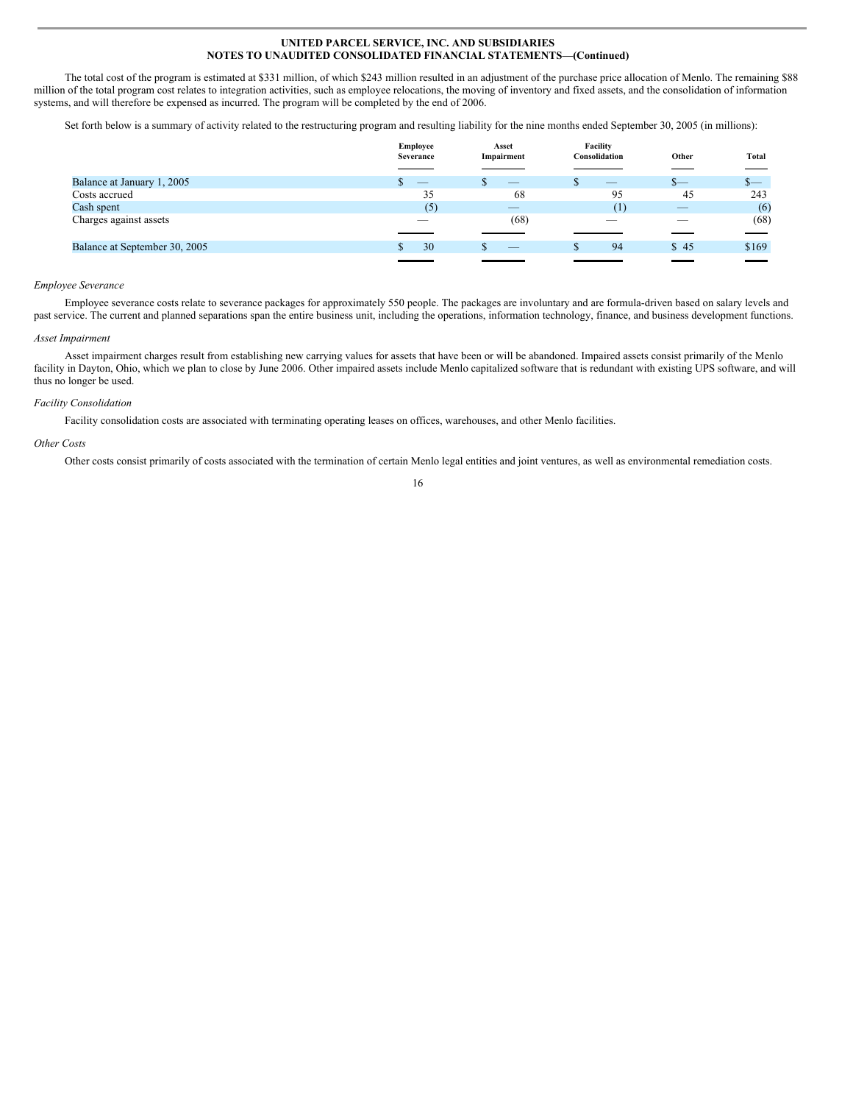The total cost of the program is estimated at \$331 million, of which \$243 million resulted in an adjustment of the purchase price allocation of Menlo. The remaining \$88 million of the total program cost relates to integration activities, such as employee relocations, the moving of inventory and fixed assets, and the consolidation of information systems, and will therefore be expensed as incurred. The program will be completed by the end of 2006.

Set forth below is a summary of activity related to the restructuring program and resulting liability for the nine months ended September 30, 2005 (in millions):

|                               | <b>Employee</b><br><b>Severance</b> | Asset<br>Impairment | Facility<br>Consolidation | Other | Total |
|-------------------------------|-------------------------------------|---------------------|---------------------------|-------|-------|
| Balance at January 1, 2005    | $\overline{\phantom{a}}$            | ъ<br>_              | P.<br>$-$                 | $s-$  | $s-$  |
| Costs accrued                 | 35                                  | 68                  | 95                        | 45    | 243   |
| Cash spent                    | (5)                                 | _                   | (1)                       | _     | (6)   |
| Charges against assets        | $\overline{\phantom{a}}$            | (68)                | $-$                       |       | (68)  |
| Balance at September 30, 2005 | 30                                  | _                   | 94                        | \$45  | \$169 |
|                               |                                     |                     |                           |       |       |

#### *Employee Severance*

Employee severance costs relate to severance packages for approximately 550 people. The packages are involuntary and are formula-driven based on salary levels and past service. The current and planned separations span the entire business unit, including the operations, information technology, finance, and business development functions.

#### *Asset Impairment*

Asset impairment charges result from establishing new carrying values for assets that have been or will be abandoned. Impaired assets consist primarily of the Menlo facility in Dayton, Ohio, which we plan to close by June 2006. Other impaired assets include Menlo capitalized software that is redundant with existing UPS software, and will thus no longer be used.

#### *Facility Consolidation*

Facility consolidation costs are associated with terminating operating leases on offices, warehouses, and other Menlo facilities.

#### *Other Costs*

Other costs consist primarily of costs associated with the termination of certain Menlo legal entities and joint ventures, as well as environmental remediation costs.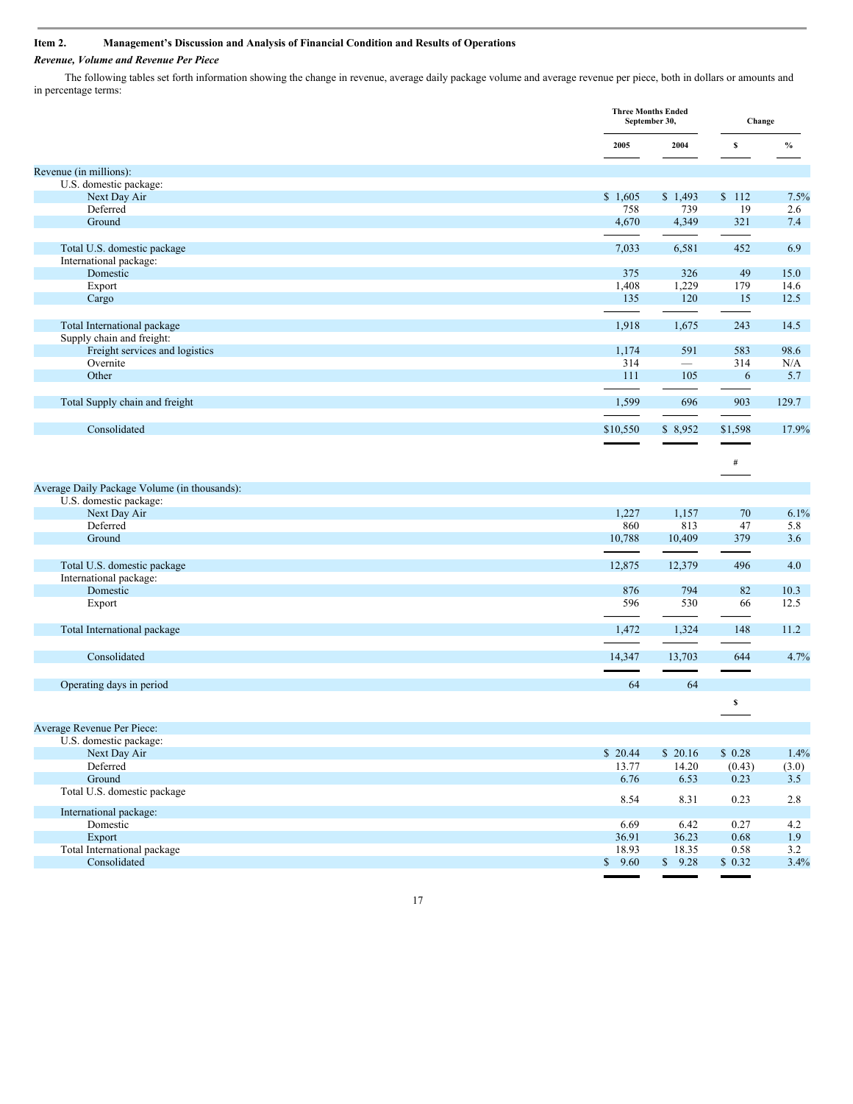# **Item 2. Management's Discussion and Analysis of Financial Condition and Results of Operations**

# *Revenue, Volume and Revenue Per Piece*

The following tables set forth information showing the change in revenue, average daily package volume and average revenue per piece, both in dollars or amounts and in percentage terms:

|                                              |            | <b>Three Months Ended</b><br>September 30, |              | Change        |  |
|----------------------------------------------|------------|--------------------------------------------|--------------|---------------|--|
|                                              | 2005       | 2004                                       | $\mathbb{S}$ | $\frac{0}{0}$ |  |
| Revenue (in millions):                       |            |                                            |              |               |  |
| U.S. domestic package:                       |            |                                            |              |               |  |
| Next Day Air                                 | \$1,605    | \$1,493                                    | \$112        | 7.5%          |  |
| Deferred                                     | 758        | 739                                        | 19           | 2.6           |  |
| Ground                                       | 4,670      | 4,349                                      | 321          | 7.4           |  |
| Total U.S. domestic package                  | 7,033      | 6,581                                      | 452          | 6.9           |  |
| International package:                       |            |                                            |              |               |  |
| Domestic                                     | 375        | 326                                        | 49           | 15.0          |  |
| Export                                       | 1,408      | 1,229                                      | 179          | 14.6          |  |
| Cargo                                        | 135        | 120                                        | 15           | 12.5          |  |
| Total International package                  | 1,918      | 1,675                                      | 243          | 14.5          |  |
|                                              |            |                                            |              |               |  |
| Supply chain and freight:                    |            |                                            |              | 98.6          |  |
| Freight services and logistics               | 1,174      | 591                                        | 583          |               |  |
| Overnite<br>Other                            | 314<br>111 | $\overline{\phantom{0}}$<br>105            | 314<br>6     | N/A<br>5.7    |  |
|                                              |            |                                            |              |               |  |
| Total Supply chain and freight               | 1,599      | 696                                        | 903          | 129.7         |  |
| Consolidated                                 | \$10,550   | \$ 8,952                                   | \$1,598      | 17.9%         |  |
|                                              |            |                                            | $\#$         |               |  |
|                                              |            |                                            |              |               |  |
| Average Daily Package Volume (in thousands): |            |                                            |              |               |  |
| U.S. domestic package:                       |            |                                            |              |               |  |
| Next Day Air                                 | 1,227      | 1,157                                      | 70           | 6.1%          |  |
| Deferred                                     | 860        | 813                                        | 47           | 5.8           |  |
| Ground                                       | 10,788     | 10,409                                     | 379          | 3.6           |  |
| Total U.S. domestic package                  | 12,875     | 12,379                                     | 496          | 4.0           |  |
| International package:                       |            |                                            |              |               |  |
| Domestic                                     | 876        | 794                                        | 82           | 10.3          |  |
| Export                                       | 596        | 530                                        | 66           | 12.5          |  |
| Total International package                  | 1,472      | 1,324                                      | 148          | 11.2          |  |
|                                              |            |                                            |              |               |  |
| Consolidated                                 | 14,347     | 13,703                                     | 644          | 4.7%          |  |
| Operating days in period                     | 64         | 64                                         |              |               |  |
|                                              |            |                                            | s            |               |  |
| Average Revenue Per Piece:                   |            |                                            |              |               |  |
| U.S. domestic package:                       |            |                                            |              |               |  |
| Next Day Air                                 | \$20.44    | \$20.16                                    | \$0.28       | 1.4%          |  |
| Deferred                                     | 13.77      | 14.20                                      | (0.43)       | (3.0)         |  |
| Ground                                       | 6.76       | 6.53                                       | 0.23         | 3.5           |  |
| Total U.S. domestic package                  | 8.54       | 8.31                                       | 0.23         | 2.8           |  |
| International package:                       |            |                                            |              |               |  |
| Domestic                                     | 6.69       | 6.42                                       | 0.27         | 4.2           |  |
| Export                                       | 36.91      | 36.23                                      | 0.68         | 1.9           |  |
| Total International package                  | 18.93      | 18.35                                      | 0.58         | 3.2           |  |
| Consolidated                                 | \$9.60     | \$9.28                                     | \$0.32       | 3.4%          |  |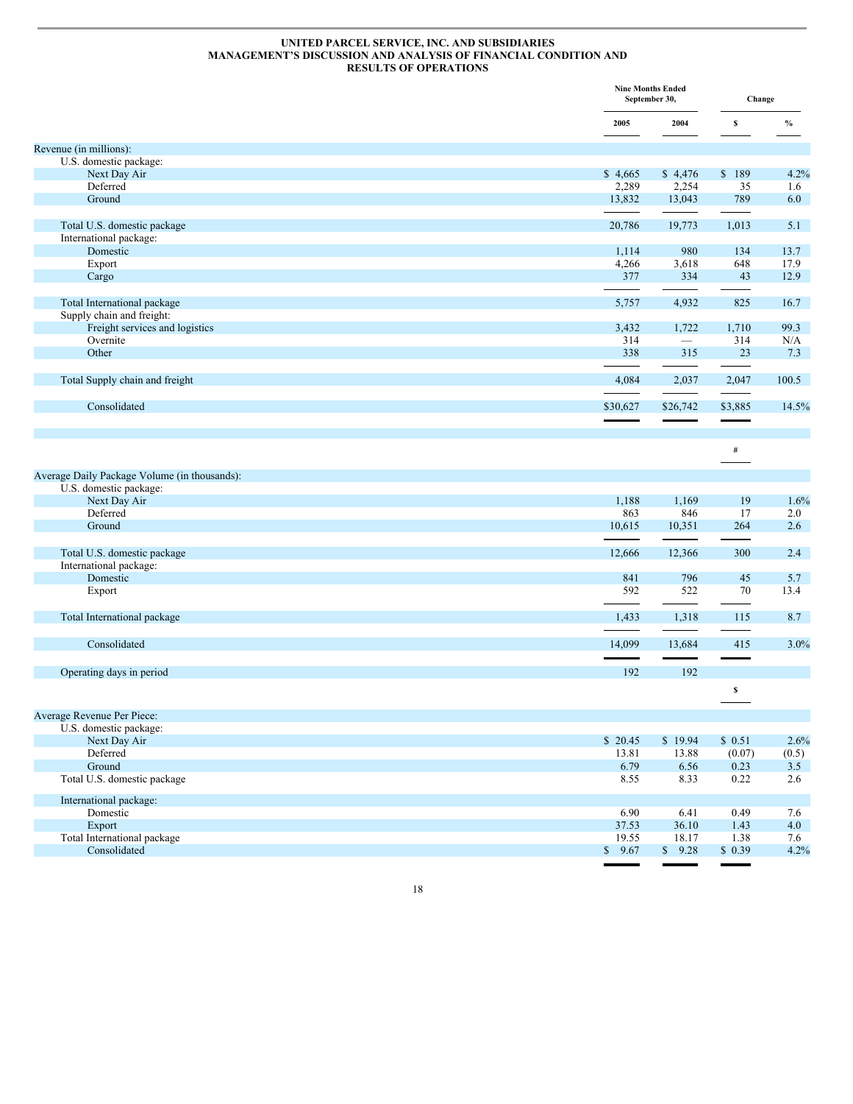|                                                                                        |          | <b>Nine Months Ended</b><br>September 30, |              | Change                             |  |
|----------------------------------------------------------------------------------------|----------|-------------------------------------------|--------------|------------------------------------|--|
|                                                                                        | 2005     | 2004                                      | $\mathbb S$  | $\mathbf{0}_{\mathbf{0}}^{\prime}$ |  |
| Revenue (in millions):                                                                 |          |                                           |              |                                    |  |
| U.S. domestic package:                                                                 |          |                                           |              |                                    |  |
| Next Day Air                                                                           | \$4,665  | \$4,476                                   | \$189        | 4.2%                               |  |
| Deferred                                                                               | 2,289    | 2,254                                     | 35           | 1.6                                |  |
| Ground                                                                                 | 13,832   | 13,043                                    | 789          | 6.0                                |  |
| Total U.S. domestic package                                                            | 20,786   | 19,773                                    | 1,013        | 5.1                                |  |
| International package:                                                                 |          |                                           |              |                                    |  |
| Domestic                                                                               | 1,114    | 980                                       | 134          | 13.7                               |  |
| Export                                                                                 | 4,266    | 3,618                                     | 648          | 17.9                               |  |
| Cargo                                                                                  | 377      | 334                                       | 43           | 12.9                               |  |
| Total International package                                                            | 5,757    | 4,932                                     | 825          | 16.7                               |  |
| Supply chain and freight:                                                              |          |                                           |              |                                    |  |
| Freight services and logistics                                                         | 3,432    | 1,722                                     | 1,710        | 99.3                               |  |
| Overnite                                                                               | 314      | $\overline{\phantom{0}}$                  | 314          | N/A                                |  |
| Other                                                                                  | 338      | 315                                       | 23           | 7.3                                |  |
| Total Supply chain and freight                                                         | 4,084    | 2,037                                     | 2,047        | 100.5                              |  |
|                                                                                        |          |                                           |              |                                    |  |
| Consolidated                                                                           | \$30,627 | \$26,742                                  | \$3,885      | 14.5%                              |  |
| Average Daily Package Volume (in thousands):<br>U.S. domestic package:<br>Next Day Air | 1,188    | 1,169                                     | 19           | 1.6%                               |  |
| Deferred                                                                               | 863      | 846                                       | 17           | 2.0                                |  |
| Ground                                                                                 | 10,615   | 10,351                                    | 264          | 2.6                                |  |
| Total U.S. domestic package                                                            | 12,666   | 12,366                                    | 300          | 2.4                                |  |
| International package:                                                                 |          |                                           |              |                                    |  |
| Domestic                                                                               | 841      | 796                                       | 45           | 5.7                                |  |
| Export                                                                                 | 592      | 522                                       | 70           | 13.4                               |  |
| Total International package                                                            | 1,433    | 1,318                                     | 115          | 8.7                                |  |
|                                                                                        |          |                                           |              |                                    |  |
| Consolidated                                                                           | 14,099   | 13,684                                    | 415          | 3.0%                               |  |
| Operating days in period                                                               | 192      | 192                                       |              |                                    |  |
|                                                                                        |          |                                           | $\mathbb{S}$ |                                    |  |
| Average Revenue Per Piece:                                                             |          |                                           |              |                                    |  |
| U.S. domestic package:                                                                 |          |                                           |              |                                    |  |
| Next Day Air                                                                           | \$20.45  | \$19.94                                   | \$0.51       | 2.6%                               |  |
| Deferred                                                                               | 13.81    | 13.88                                     | (0.07)       | (0.5)                              |  |
| Ground                                                                                 | 6.79     | 6.56                                      | 0.23         | 3.5                                |  |
| Total U.S. domestic package                                                            | 8.55     | 8.33                                      | 0.22         | 2.6                                |  |
| International package:                                                                 |          |                                           |              |                                    |  |
| Domestic                                                                               | 6.90     | 6.41                                      | 0.49         | 7.6                                |  |
| Export                                                                                 | 37.53    | 36.10                                     | 1.43         | 4.0                                |  |
| Total International package                                                            | 19.55    | 18.17                                     | 1.38         | 7.6                                |  |
| Consolidated                                                                           | \$9.67   | \$9.28                                    | \$0.39       | 4.2%                               |  |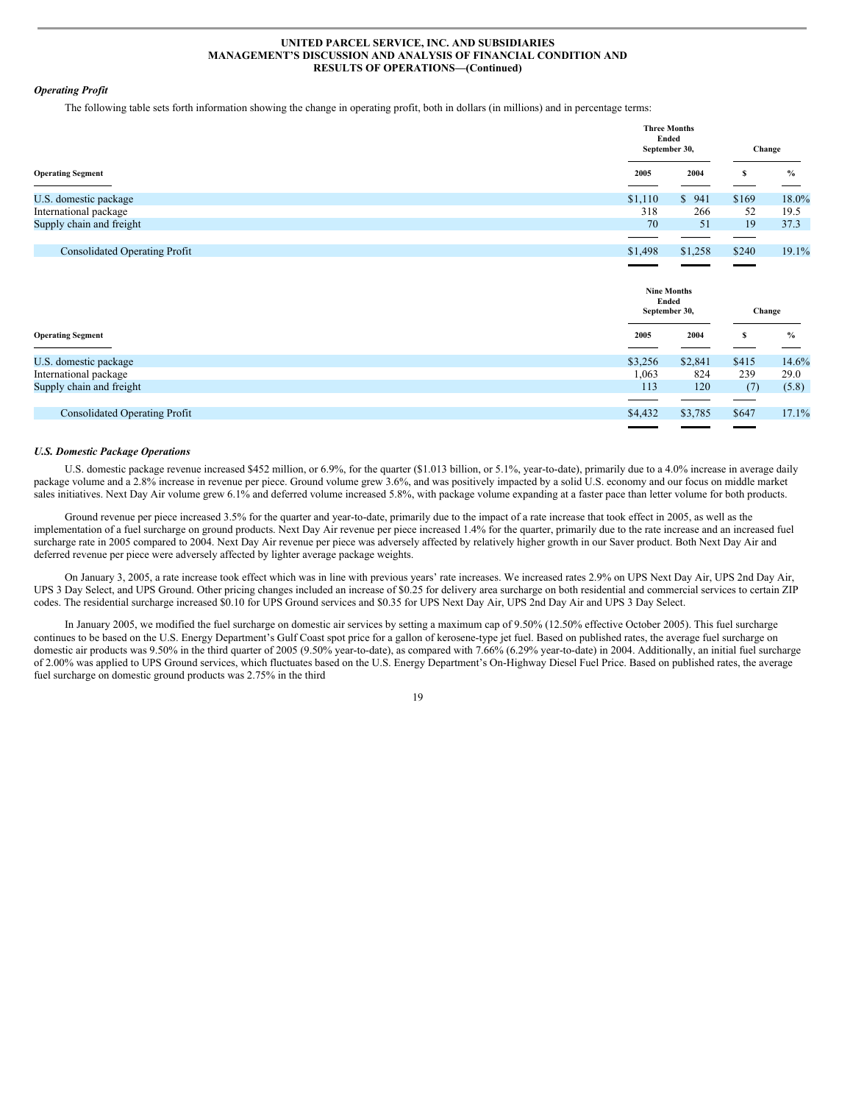#### *Operating Profit*

The following table sets forth information showing the change in operating profit, both in dollars (in millions) and in percentage terms:

|                                      | <b>Three Months</b><br>Ended<br>September 30, | Change |               |
|--------------------------------------|-----------------------------------------------|--------|---------------|
| <b>Operating Segment</b>             | 2005<br>2004                                  | \$     | $\frac{0}{0}$ |
| U.S. domestic package                | \$941<br>\$1,110                              | \$169  | 18.0%         |
| International package                | 266<br>318                                    | 52     | 19.5          |
| Supply chain and freight             | 70<br>51                                      | 19     | 37.3          |
|                                      |                                               |        |               |
| <b>Consolidated Operating Profit</b> | \$1,258<br>\$1,498                            | \$240  | 19.1%         |
|                                      | <b>Nine Months</b><br>Ended<br>September 30,  | Change |               |
| <b>Operating Segment</b>             | 2004<br>2005                                  | \$     | $\%$          |
| U.S. domestic package                | \$3,256<br>\$2,841                            | \$415  | 14.6%         |
| International package                | 824<br>1,063                                  | 239    | 29.0          |
| Supply chain and freight             | 113<br>120                                    | (7)    | (5.8)         |
|                                      |                                               |        |               |
| <b>Consolidated Operating Profit</b> |                                               |        |               |

#### *U.S. Domestic Package Operations*

U.S. domestic package revenue increased \$452 million, or 6.9%, for the quarter (\$1.013 billion, or 5.1%, year-to-date), primarily due to a 4.0% increase in average daily package volume and a 2.8% increase in revenue per piece. Ground volume grew 3.6%, and was positively impacted by a solid U.S. economy and our focus on middle market sales initiatives. Next Day Air volume grew 6.1% and deferred volume increased 5.8%, with package volume expanding at a faster pace than letter volume for both products.

Ground revenue per piece increased 3.5% for the quarter and year-to-date, primarily due to the impact of a rate increase that took effect in 2005, as well as the implementation of a fuel surcharge on ground products. Next Day Air revenue per piece increased 1.4% for the quarter, primarily due to the rate increase and an increased fuel surcharge rate in 2005 compared to 2004. Next Day Air revenue per piece was adversely affected by relatively higher growth in our Saver product. Both Next Day Air and deferred revenue per piece were adversely affected by lighter average package weights.

On January 3, 2005, a rate increase took effect which was in line with previous years' rate increases. We increased rates 2.9% on UPS Next Day Air, UPS 2nd Day Air, UPS 3 Day Select, and UPS Ground. Other pricing changes included an increase of \$0.25 for delivery area surcharge on both residential and commercial services to certain ZIP codes. The residential surcharge increased \$0.10 for UPS Ground services and \$0.35 for UPS Next Day Air, UPS 2nd Day Air and UPS 3 Day Select.

In January 2005, we modified the fuel surcharge on domestic air services by setting a maximum cap of 9.50% (12.50% effective October 2005). This fuel surcharge continues to be based on the U.S. Energy Department's Gulf Coast spot price for a gallon of kerosene-type jet fuel. Based on published rates, the average fuel surcharge on domestic air products was 9.50% in the third quarter of 2005 (9.50% year-to-date), as compared with 7.66% (6.29% year-to-date) in 2004. Additionally, an initial fuel surcharge of 2.00% was applied to UPS Ground services, which fluctuates based on the U.S. Energy Department's On-Highway Diesel Fuel Price. Based on published rates, the average fuel surcharge on domestic ground products was 2.75% in the third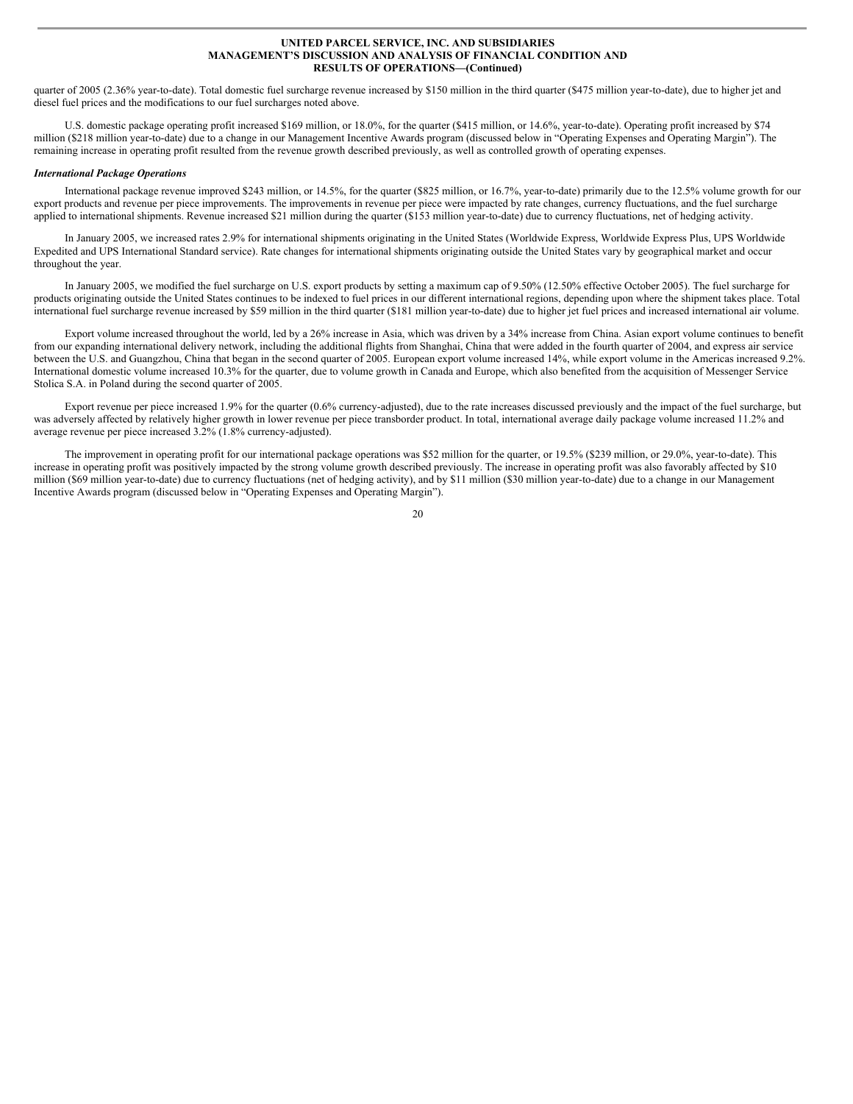quarter of 2005 (2.36% year-to-date). Total domestic fuel surcharge revenue increased by \$150 million in the third quarter (\$475 million year-to-date), due to higher jet and diesel fuel prices and the modifications to our fuel surcharges noted above.

U.S. domestic package operating profit increased \$169 million, or 18.0%, for the quarter (\$415 million, or 14.6%, year-to-date). Operating profit increased by \$74 million (\$218 million year-to-date) due to a change in our Management Incentive Awards program (discussed below in "Operating Expenses and Operating Margin"). The remaining increase in operating profit resulted from the revenue growth described previously, as well as controlled growth of operating expenses.

#### *International Package Operations*

International package revenue improved \$243 million, or 14.5%, for the quarter (\$825 million, or 16.7%, year-to-date) primarily due to the 12.5% volume growth for our export products and revenue per piece improvements. The improvements in revenue per piece were impacted by rate changes, currency fluctuations, and the fuel surcharge applied to international shipments. Revenue increased \$21 million during the quarter (\$153 million year-to-date) due to currency fluctuations, net of hedging activity.

In January 2005, we increased rates 2.9% for international shipments originating in the United States (Worldwide Express, Worldwide Express Plus, UPS Worldwide Expedited and UPS International Standard service). Rate changes for international shipments originating outside the United States vary by geographical market and occur throughout the year.

In January 2005, we modified the fuel surcharge on U.S. export products by setting a maximum cap of 9.50% (12.50% effective October 2005). The fuel surcharge for products originating outside the United States continues to be indexed to fuel prices in our different international regions, depending upon where the shipment takes place. Total international fuel surcharge revenue increased by \$59 million in the third quarter (\$181 million year-to-date) due to higher jet fuel prices and increased international air volume.

Export volume increased throughout the world, led by a 26% increase in Asia, which was driven by a 34% increase from China. Asian export volume continues to benefit from our expanding international delivery network, including the additional flights from Shanghai, China that were added in the fourth quarter of 2004, and express air service between the U.S. and Guangzhou, China that began in the second quarter of 2005. European export volume increased 14%, while export volume in the Americas increased 9.2%. International domestic volume increased 10.3% for the quarter, due to volume growth in Canada and Europe, which also benefited from the acquisition of Messenger Service Stolica S.A. in Poland during the second quarter of 2005.

Export revenue per piece increased 1.9% for the quarter (0.6% currency-adjusted), due to the rate increases discussed previously and the impact of the fuel surcharge, but was adversely affected by relatively higher growth in lower revenue per piece transborder product. In total, international average daily package volume increased 11.2% and average revenue per piece increased 3.2% (1.8% currency-adjusted).

The improvement in operating profit for our international package operations was \$52 million for the quarter, or 19.5% (\$239 million, or 29.0%, year-to-date). This increase in operating profit was positively impacted by the strong volume growth described previously. The increase in operating profit was also favorably affected by \$10 million (\$69 million year-to-date) due to currency fluctuations (net of hedging activity), and by \$11 million (\$30 million year-to-date) due to a change in our Management Incentive Awards program (discussed below in "Operating Expenses and Operating Margin").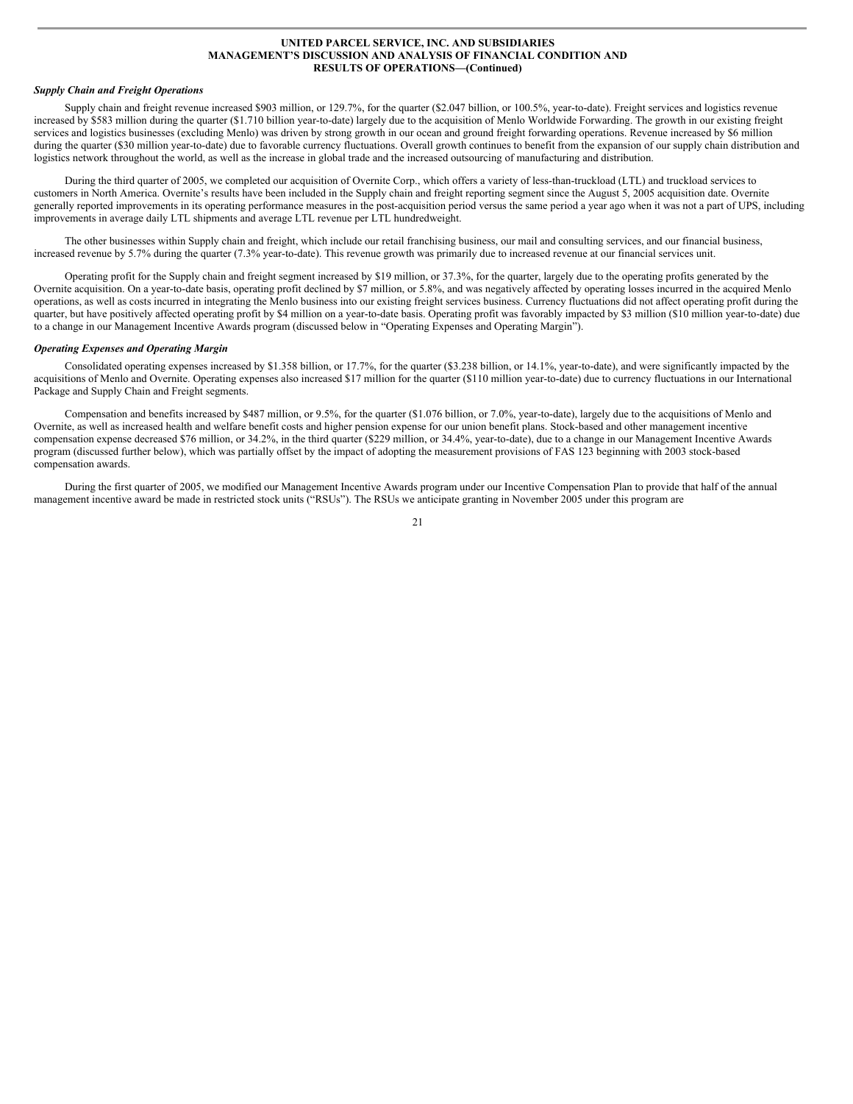#### *Supply Chain and Freight Operations*

Supply chain and freight revenue increased \$903 million, or 129.7%, for the quarter (\$2.047 billion, or 100.5%, year-to-date). Freight services and logistics revenue increased by \$583 million during the quarter (\$1.710 billion year-to-date) largely due to the acquisition of Menlo Worldwide Forwarding. The growth in our existing freight services and logistics businesses (excluding Menlo) was driven by strong growth in our ocean and ground freight forwarding operations. Revenue increased by \$6 million during the quarter (\$30 million year-to-date) due to favorable currency fluctuations. Overall growth continues to benefit from the expansion of our supply chain distribution and logistics network throughout the world, as well as the increase in global trade and the increased outsourcing of manufacturing and distribution.

During the third quarter of 2005, we completed our acquisition of Overnite Corp., which offers a variety of less-than-truckload (LTL) and truckload services to customers in North America. Overnite's results have been included in the Supply chain and freight reporting segment since the August 5, 2005 acquisition date. Overnite generally reported improvements in its operating performance measures in the post-acquisition period versus the same period a year ago when it was not a part of UPS, including improvements in average daily LTL shipments and average LTL revenue per LTL hundredweight.

The other businesses within Supply chain and freight, which include our retail franchising business, our mail and consulting services, and our financial business, increased revenue by 5.7% during the quarter (7.3% year-to-date). This revenue growth was primarily due to increased revenue at our financial services unit.

Operating profit for the Supply chain and freight segment increased by \$19 million, or 37.3%, for the quarter, largely due to the operating profits generated by the Overnite acquisition. On a year-to-date basis, operating profit declined by \$7 million, or 5.8%, and was negatively affected by operating losses incurred in the acquired Menlo operations, as well as costs incurred in integrating the Menlo business into our existing freight services business. Currency fluctuations did not affect operating profit during the quarter, but have positively affected operating profit by \$4 million on a year-to-date basis. Operating profit was favorably impacted by \$3 million (\$10 million year-to-date) due to a change in our Management Incentive Awards program (discussed below in "Operating Expenses and Operating Margin").

#### *Operating Expenses and Operating Margin*

Consolidated operating expenses increased by \$1.358 billion, or 17.7%, for the quarter (\$3.238 billion, or 14.1%, year-to-date), and were significantly impacted by the acquisitions of Menlo and Overnite. Operating expenses also increased \$17 million for the quarter (\$110 million year-to-date) due to currency fluctuations in our International Package and Supply Chain and Freight segments.

Compensation and benefits increased by \$487 million, or 9.5%, for the quarter (\$1.076 billion, or 7.0%, year-to-date), largely due to the acquisitions of Menlo and Overnite, as well as increased health and welfare benefit costs and higher pension expense for our union benefit plans. Stock-based and other management incentive compensation expense decreased \$76 million, or 34.2%, in the third quarter (\$229 million, or 34.4%, year-to-date), due to a change in our Management Incentive Awards program (discussed further below), which was partially offset by the impact of adopting the measurement provisions of FAS 123 beginning with 2003 stock-based compensation awards.

During the first quarter of 2005, we modified our Management Incentive Awards program under our Incentive Compensation Plan to provide that half of the annual management incentive award be made in restricted stock units ("RSUs"). The RSUs we anticipate granting in November 2005 under this program are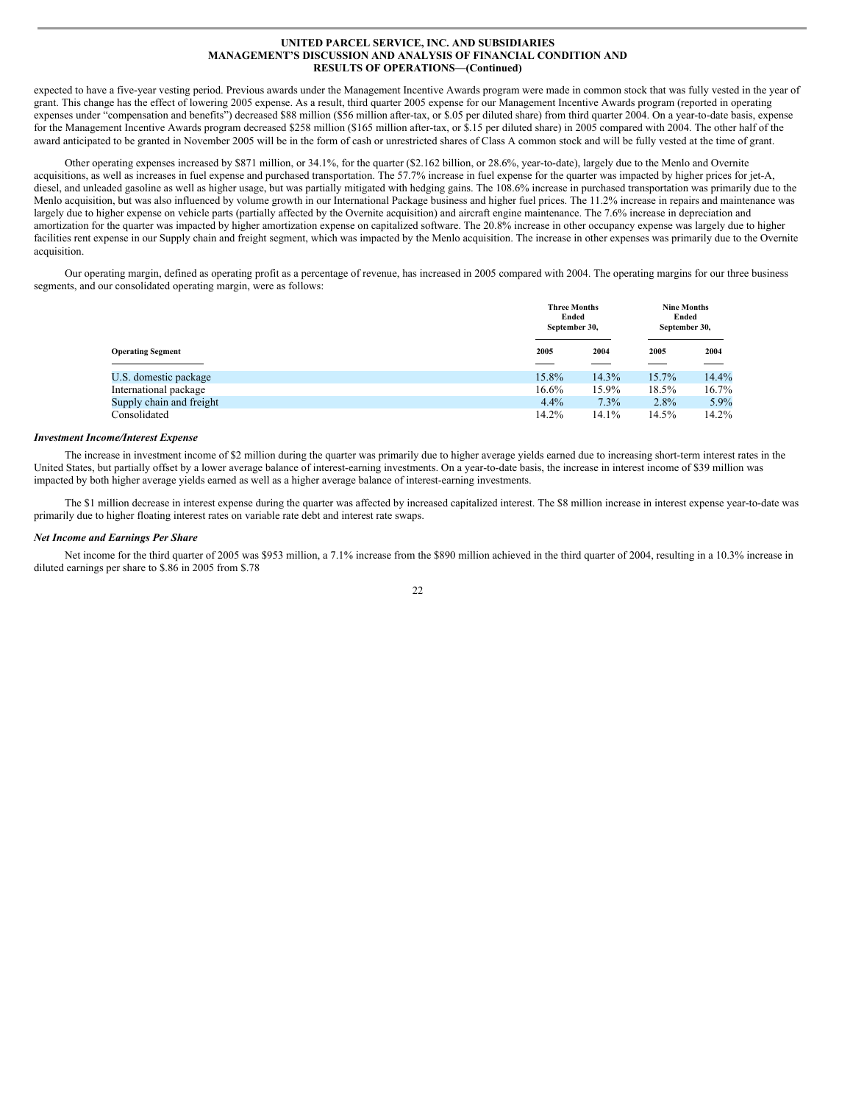expected to have a five-year vesting period. Previous awards under the Management Incentive Awards program were made in common stock that was fully vested in the year of grant. This change has the effect of lowering 2005 expense. As a result, third quarter 2005 expense for our Management Incentive Awards program (reported in operating expenses under "compensation and benefits") decreased \$88 million (\$56 million after-tax, or \$.05 per diluted share) from third quarter 2004. On a year-to-date basis, expense for the Management Incentive Awards program decreased \$258 million (\$165 million after-tax, or \$.15 per diluted share) in 2005 compared with 2004. The other half of the award anticipated to be granted in November 2005 will be in the form of cash or unrestricted shares of Class A common stock and will be fully vested at the time of grant.

Other operating expenses increased by \$871 million, or 34.1%, for the quarter (\$2.162 billion, or 28.6%, year-to-date), largely due to the Menlo and Overnite acquisitions, as well as increases in fuel expense and purchased transportation. The 57.7% increase in fuel expense for the quarter was impacted by higher prices for jet-A, diesel, and unleaded gasoline as well as higher usage, but was partially mitigated with hedging gains. The 108.6% increase in purchased transportation was primarily due to the Menlo acquisition, but was also influenced by volume growth in our International Package business and higher fuel prices. The 11.2% increase in repairs and maintenance was largely due to higher expense on vehicle parts (partially affected by the Overnite acquisition) and aircraft engine maintenance. The 7.6% increase in depreciation and amortization for the quarter was impacted by higher amortization expense on capitalized software. The 20.8% increase in other occupancy expense was largely due to higher facilities rent expense in our Supply chain and freight segment, which was impacted by the Menlo acquisition. The increase in other expenses was primarily due to the Overnite acquisition.

Our operating margin, defined as operating profit as a percentage of revenue, has increased in 2005 compared with 2004. The operating margins for our three business segments, and our consolidated operating margin, were as follows:

|                          | <b>Three Months</b><br>Ended<br>September 30, |         | <b>Nine Months</b><br>Ended<br>September 30, |          |
|--------------------------|-----------------------------------------------|---------|----------------------------------------------|----------|
| <b>Operating Segment</b> | 2005                                          | 2004    | 2005                                         | 2004     |
|                          |                                               |         |                                              |          |
| U.S. domestic package    | 15.8%                                         | 14.3%   | 15.7%                                        | 14.4%    |
| International package    | 16.6%                                         | 15.9%   | 18.5%                                        | $16.7\%$ |
| Supply chain and freight | 4.4%                                          | $7.3\%$ | $2.8\%$                                      | 5.9%     |
| Consolidated             | 14.2%                                         | 14.1%   | 14.5%                                        | 14.2%    |

#### *Investment Income/Interest Expense*

The increase in investment income of \$2 million during the quarter was primarily due to higher average yields earned due to increasing short-term interest rates in the United States, but partially offset by a lower average balance of interest-earning investments. On a year-to-date basis, the increase in interest income of \$39 million was impacted by both higher average yields earned as well as a higher average balance of interest-earning investments.

The \$1 million decrease in interest expense during the quarter was affected by increased capitalized interest. The \$8 million increase in interest expense year-to-date was primarily due to higher floating interest rates on variable rate debt and interest rate swaps.

#### *Net Income and Earnings Per Share*

Net income for the third quarter of 2005 was \$953 million, a 7.1% increase from the \$890 million achieved in the third quarter of 2004, resulting in a 10.3% increase in diluted earnings per share to \$.86 in 2005 from \$.78

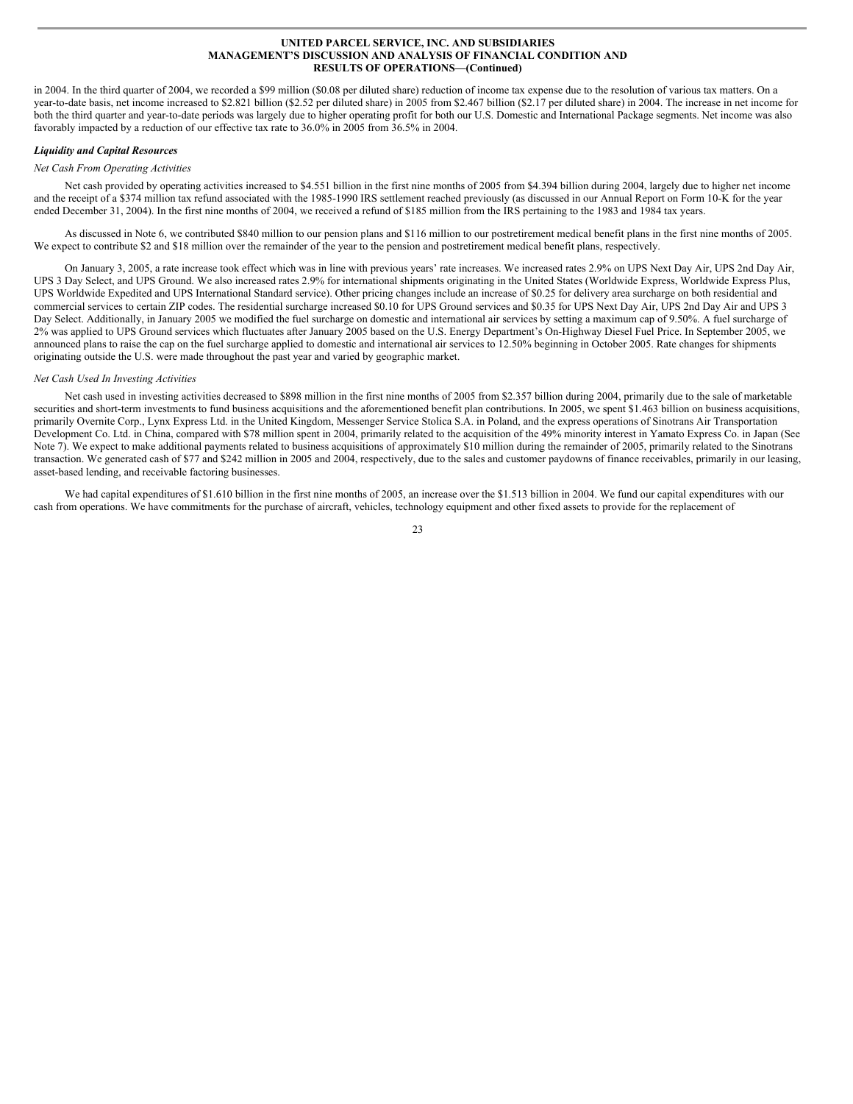in 2004. In the third quarter of 2004, we recorded a \$99 million (\$0.08 per diluted share) reduction of income tax expense due to the resolution of various tax matters. On a year-to-date basis, net income increased to \$2.821 billion (\$2.52 per diluted share) in 2005 from \$2.467 billion (\$2.17 per diluted share) in 2004. The increase in net income for both the third quarter and year-to-date periods was largely due to higher operating profit for both our U.S. Domestic and International Package segments. Net income was also favorably impacted by a reduction of our effective tax rate to 36.0% in 2005 from 36.5% in 2004.

### *Liquidity and Capital Resources*

#### *Net Cash From Operating Activities*

Net cash provided by operating activities increased to \$4.551 billion in the first nine months of 2005 from \$4.394 billion during 2004, largely due to higher net income and the receipt of a \$374 million tax refund associated with the 1985-1990 IRS settlement reached previously (as discussed in our Annual Report on Form 10-K for the year ended December 31, 2004). In the first nine months of 2004, we received a refund of \$185 million from the IRS pertaining to the 1983 and 1984 tax years.

As discussed in Note 6, we contributed \$840 million to our pension plans and \$116 million to our postretirement medical benefit plans in the first nine months of 2005. We expect to contribute \$2 and \$18 million over the remainder of the year to the pension and postretirement medical benefit plans, respectively.

On January 3, 2005, a rate increase took effect which was in line with previous years' rate increases. We increased rates 2.9% on UPS Next Day Air, UPS 2nd Day Air, UPS 3 Day Select, and UPS Ground. We also increased rates 2.9% for international shipments originating in the United States (Worldwide Express, Worldwide Express Plus, UPS Worldwide Expedited and UPS International Standard service). Other pricing changes include an increase of \$0.25 for delivery area surcharge on both residential and commercial services to certain ZIP codes. The residential surcharge increased \$0.10 for UPS Ground services and \$0.35 for UPS Next Day Air, UPS 2nd Day Air and UPS 3 Day Select. Additionally, in January 2005 we modified the fuel surcharge on domestic and international air services by setting a maximum cap of 9.50%. A fuel surcharge of 2% was applied to UPS Ground services which fluctuates after January 2005 based on the U.S. Energy Department's On-Highway Diesel Fuel Price. In September 2005, we announced plans to raise the cap on the fuel surcharge applied to domestic and international air services to 12.50% beginning in October 2005. Rate changes for shipments originating outside the U.S. were made throughout the past year and varied by geographic market.

#### *Net Cash Used In Investing Activities*

Net cash used in investing activities decreased to \$898 million in the first nine months of 2005 from \$2.357 billion during 2004, primarily due to the sale of marketable securities and short-term investments to fund business acquisitions and the aforementioned benefit plan contributions. In 2005, we spent \$1.463 billion on business acquisitions, primarily Overnite Corp., Lynx Express Ltd. in the United Kingdom, Messenger Service Stolica S.A. in Poland, and the express operations of Sinotrans Air Transportation Development Co. Ltd. in China, compared with \$78 million spent in 2004, primarily related to the acquisition of the 49% minority interest in Yamato Express Co. in Japan (See Note 7). We expect to make additional payments related to business acquisitions of approximately \$10 million during the remainder of 2005, primarily related to the Sinotrans transaction. We generated cash of \$77 and \$242 million in 2005 and 2004, respectively, due to the sales and customer paydowns of finance receivables, primarily in our leasing, asset-based lending, and receivable factoring businesses.

We had capital expenditures of \$1.610 billion in the first nine months of 2005, an increase over the \$1.513 billion in 2004. We fund our capital expenditures with our cash from operations. We have commitments for the purchase of aircraft, vehicles, technology equipment and other fixed assets to provide for the replacement of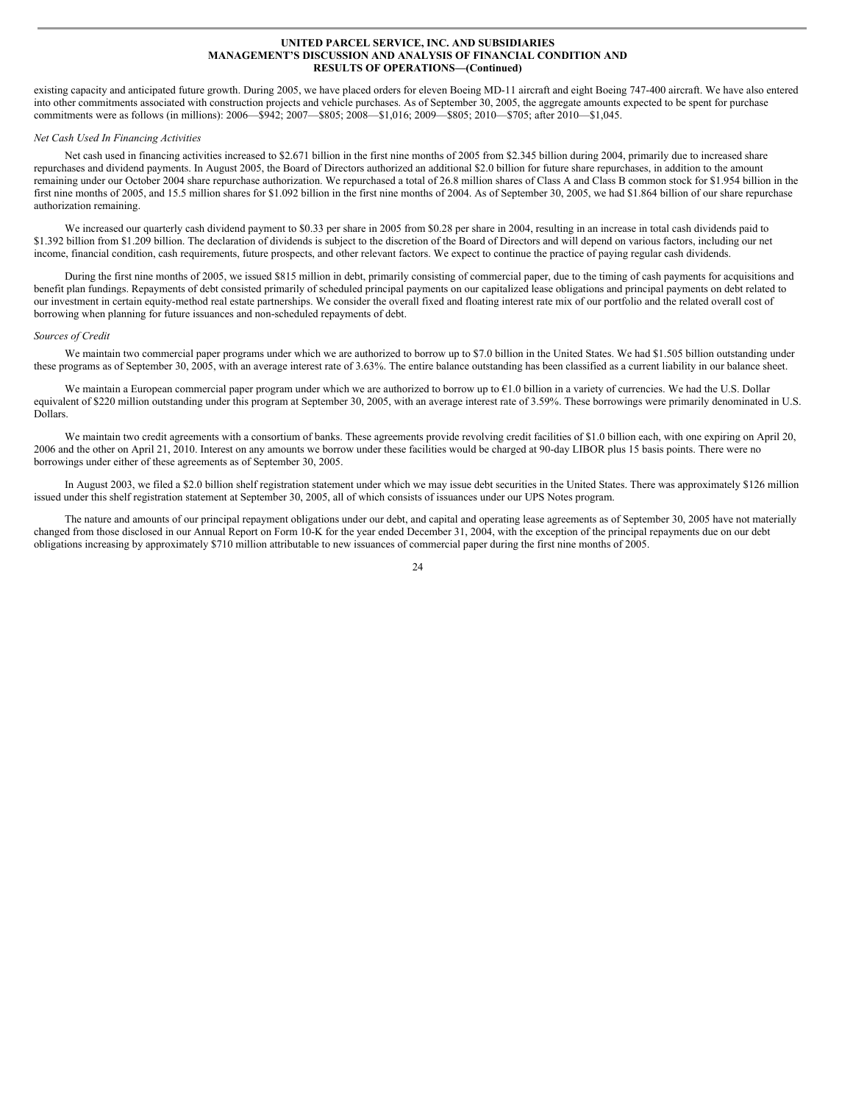existing capacity and anticipated future growth. During 2005, we have placed orders for eleven Boeing MD-11 aircraft and eight Boeing 747-400 aircraft. We have also entered into other commitments associated with construction projects and vehicle purchases. As of September 30, 2005, the aggregate amounts expected to be spent for purchase commitments were as follows (in millions): 2006—\$942; 2007—\$805; 2008—\$1,016; 2009—\$805; 2010—\$705; after 2010—\$1,045.

#### *Net Cash Used In Financing Activities*

Net cash used in financing activities increased to \$2.671 billion in the first nine months of 2005 from \$2.345 billion during 2004, primarily due to increased share repurchases and dividend payments. In August 2005, the Board of Directors authorized an additional \$2.0 billion for future share repurchases, in addition to the amount remaining under our October 2004 share repurchase authorization. We repurchased a total of 26.8 million shares of Class A and Class B common stock for \$1.954 billion in the first nine months of 2005, and 15.5 million shares for \$1.092 billion in the first nine months of 2004. As of September 30, 2005, we had \$1.864 billion of our share repurchase authorization remaining.

We increased our quarterly cash dividend payment to \$0.33 per share in 2005 from \$0.28 per share in 2004, resulting in an increase in total cash dividends paid to \$1.392 billion from \$1.209 billion. The declaration of dividends is subject to the discretion of the Board of Directors and will depend on various factors, including our net income, financial condition, cash requirements, future prospects, and other relevant factors. We expect to continue the practice of paying regular cash dividends.

During the first nine months of 2005, we issued \$815 million in debt, primarily consisting of commercial paper, due to the timing of cash payments for acquisitions and benefit plan fundings. Repayments of debt consisted primarily of scheduled principal payments on our capitalized lease obligations and principal payments on debt related to our investment in certain equity-method real estate partnerships. We consider the overall fixed and floating interest rate mix of our portfolio and the related overall cost of borrowing when planning for future issuances and non-scheduled repayments of debt.

#### *Sources of Credit*

We maintain two commercial paper programs under which we are authorized to borrow up to \$7.0 billion in the United States. We had \$1.505 billion outstanding under these programs as of September 30, 2005, with an average interest rate of 3.63%. The entire balance outstanding has been classified as a current liability in our balance sheet.

We maintain a European commercial paper program under which we are authorized to borrow up to €1.0 billion in a variety of currencies. We had the U.S. Dollar equivalent of \$220 million outstanding under this program at September 30, 2005, with an average interest rate of 3.59%. These borrowings were primarily denominated in U.S. Dollars.

We maintain two credit agreements with a consortium of banks. These agreements provide revolving credit facilities of \$1.0 billion each, with one expiring on April 20, 2006 and the other on April 21, 2010. Interest on any amounts we borrow under these facilities would be charged at 90-day LIBOR plus 15 basis points. There were no borrowings under either of these agreements as of September 30, 2005.

In August 2003, we filed a \$2.0 billion shelf registration statement under which we may issue debt securities in the United States. There was approximately \$126 million issued under this shelf registration statement at September 30, 2005, all of which consists of issuances under our UPS Notes program.

The nature and amounts of our principal repayment obligations under our debt, and capital and operating lease agreements as of September 30, 2005 have not materially changed from those disclosed in our Annual Report on Form 10-K for the year ended December 31, 2004, with the exception of the principal repayments due on our debt obligations increasing by approximately \$710 million attributable to new issuances of commercial paper during the first nine months of 2005.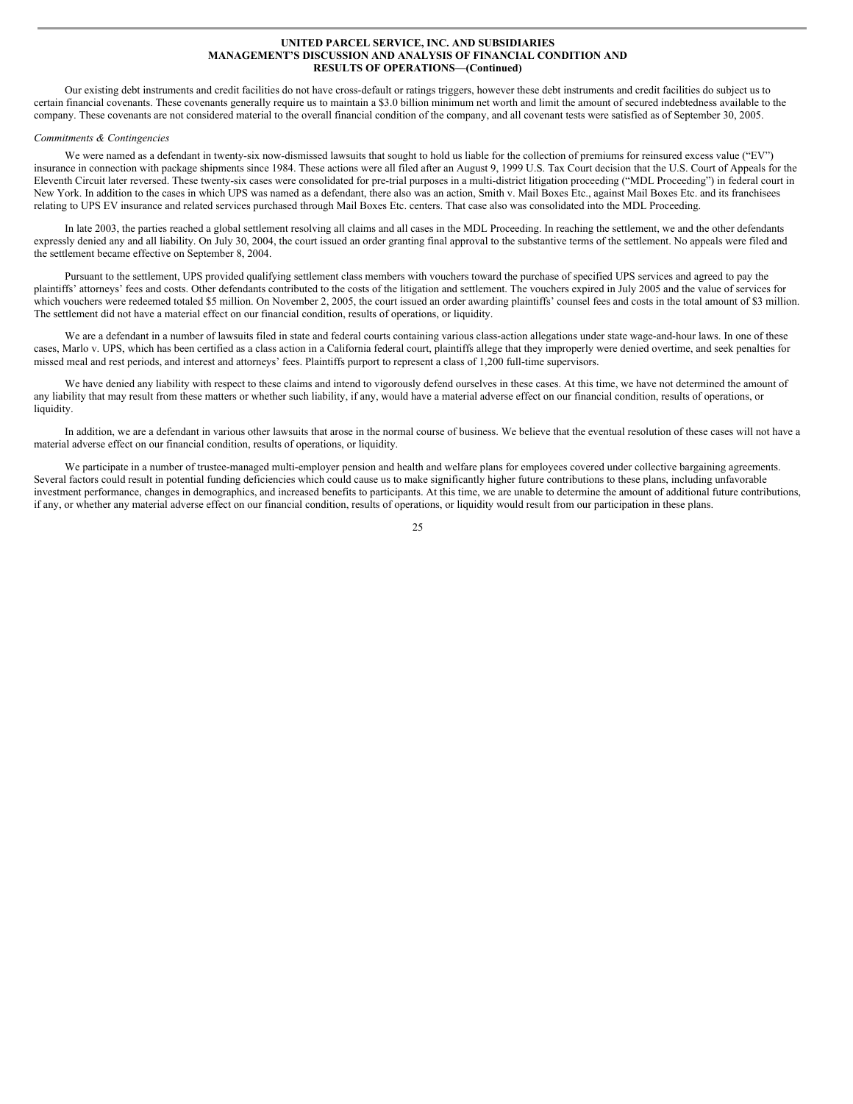Our existing debt instruments and credit facilities do not have cross-default or ratings triggers, however these debt instruments and credit facilities do subject us to certain financial covenants. These covenants generally require us to maintain a \$3.0 billion minimum net worth and limit the amount of secured indebtedness available to the company. These covenants are not considered material to the overall financial condition of the company, and all covenant tests were satisfied as of September 30, 2005.

#### *Commitments & Contingencies*

We were named as a defendant in twenty-six now-dismissed lawsuits that sought to hold us liable for the collection of premiums for reinsured excess value ("EV") insurance in connection with package shipments since 1984. These actions were all filed after an August 9, 1999 U.S. Tax Court decision that the U.S. Court of Appeals for the Eleventh Circuit later reversed. These twenty-six cases were consolidated for pre-trial purposes in a multi-district litigation proceeding ("MDL Proceeding") in federal court in New York. In addition to the cases in which UPS was named as a defendant, there also was an action, Smith v. Mail Boxes Etc., against Mail Boxes Etc. and its franchisees relating to UPS EV insurance and related services purchased through Mail Boxes Etc. centers. That case also was consolidated into the MDL Proceeding.

In late 2003, the parties reached a global settlement resolving all claims and all cases in the MDL Proceeding. In reaching the settlement, we and the other defendants expressly denied any and all liability. On July 30, 2004, the court issued an order granting final approval to the substantive terms of the settlement. No appeals were filed and the settlement became effective on September 8, 2004.

Pursuant to the settlement, UPS provided qualifying settlement class members with vouchers toward the purchase of specified UPS services and agreed to pay the plaintiffs' attorneys' fees and costs. Other defendants contributed to the costs of the litigation and settlement. The vouchers expired in July 2005 and the value of services for which vouchers were redeemed totaled \$5 million. On November 2, 2005, the court issued an order awarding plaintiffs' counsel fees and costs in the total amount of \$3 million. The settlement did not have a material effect on our financial condition, results of operations, or liquidity.

We are a defendant in a number of lawsuits filed in state and federal courts containing various class-action allegations under state wage-and-hour laws. In one of these cases, Marlo v. UPS, which has been certified as a class action in a California federal court, plaintiffs allege that they improperly were denied overtime, and seek penalties for missed meal and rest periods, and interest and attorneys' fees. Plaintiffs purport to represent a class of 1,200 full-time supervisors.

We have denied any liability with respect to these claims and intend to vigorously defend ourselves in these cases. At this time, we have not determined the amount of any liability that may result from these matters or whether such liability, if any, would have a material adverse effect on our financial condition, results of operations, or liquidity.

In addition, we are a defendant in various other lawsuits that arose in the normal course of business. We believe that the eventual resolution of these cases will not have a material adverse effect on our financial condition, results of operations, or liquidity.

We participate in a number of trustee-managed multi-employer pension and health and welfare plans for employees covered under collective bargaining agreements. Several factors could result in potential funding deficiencies which could cause us to make significantly higher future contributions to these plans, including unfavorable investment performance, changes in demographics, and increased benefits to participants. At this time, we are unable to determine the amount of additional future contributions, if any, or whether any material adverse effect on our financial condition, results of operations, or liquidity would result from our participation in these plans.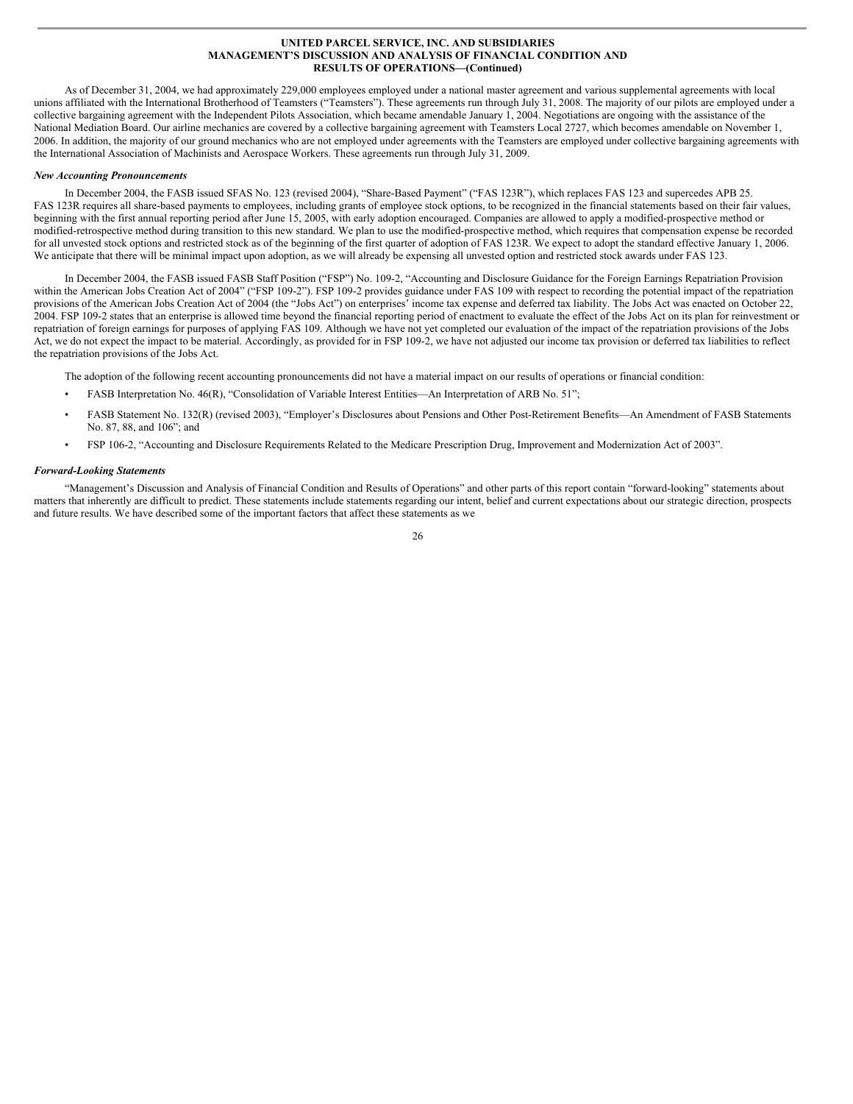As of December 31, 2004, we had approximately 229,000 employees employed under a national master agreement and various supplemental agreements with local unions affiliated with the International Brotherhood of Teamsters ("Teamsters"). These agreements run through July 31, 2008. The majority of our pilots are employed under a collective bargaining agreement with the Independent Pilots Association, which became amendable January 1, 2004. Negotiations are ongoing with the assistance of the National Mediation Board. Our airline mechanics are covered by a collective bargaining agreement with Teamsters Local 2727, which becomes amendable on November 1, 2006. In addition, the majority of our ground mechanics who are not employed under agreements with the Teamsters are employed under collective bargaining agreements with the International Association of Machinists and Aerospace Workers. These agreements run through July 31, 2009.

#### *New Accounting Pronouncements*

In December 2004, the FASB issued SFAS No. 123 (revised 2004), "Share-Based Payment" ("FAS 123R"), which replaces FAS 123 and supercedes APB 25. FAS 123R requires all share-based payments to employees, including grants of employee stock options, to be recognized in the financial statements based on their fair values, beginning with the first annual reporting period after June 15, 2005, with early adoption encouraged. Companies are allowed to apply a modified-prospective method or modified-retrospective method during transition to this new standard. We plan to use the modified-prospective method, which requires that compensation expense be recorded for all unvested stock options and restricted stock as of the beginning of the first quarter of adoption of FAS 123R. We expect to adopt the standard effective January 1, 2006. We anticipate that there will be minimal impact upon adoption, as we will already be expensing all unvested option and restricted stock awards under FAS 123.

In December 2004, the FASB issued FASB Staff Position ("FSP") No. 109-2, "Accounting and Disclosure Guidance for the Foreign Earnings Repatriation Provision within the American Jobs Creation Act of 2004" ("FSP 109-2"). FSP 109-2 provides guidance under FAS 109 with respect to recording the potential impact of the repatriation provisions of the American Jobs Creation Act of 2004 (the "Jobs Act") on enterprises' income tax expense and deferred tax liability. The Jobs Act was enacted on October 22, 2004. FSP 109-2 states that an enterprise is allowed time beyond the financial reporting period of enactment to evaluate the effect of the Jobs Act on its plan for reinvestment or repatriation of foreign earnings for purposes of applying FAS 109. Although we have not yet completed our evaluation of the impact of the repatriation provisions of the Jobs Act, we do not expect the impact to be material. Accordingly, as provided for in FSP 109-2, we have not adjusted our income tax provision or deferred tax liabilities to reflect the repatriation provisions of the Jobs Act.

The adoption of the following recent accounting pronouncements did not have a material impact on our results of operations or financial condition:

- FASB Interpretation No. 46(R), "Consolidation of Variable Interest Entities—An Interpretation of ARB No. 51";
- FASB Statement No. 132(R) (revised 2003), "Employer's Disclosures about Pensions and Other Post-Retirement Benefits—An Amendment of FASB Statements No. 87, 88, and 106"; and
- FSP 106-2, "Accounting and Disclosure Requirements Related to the Medicare Prescription Drug, Improvement and Modernization Act of 2003".

#### *Forward-Looking Statements*

"Management's Discussion and Analysis of Financial Condition and Results of Operations" and other parts of this report contain "forward-looking" statements about matters that inherently are difficult to predict. These statements include statements regarding our intent, belief and current expectations about our strategic direction, prospects and future results. We have described some of the important factors that affect these statements as we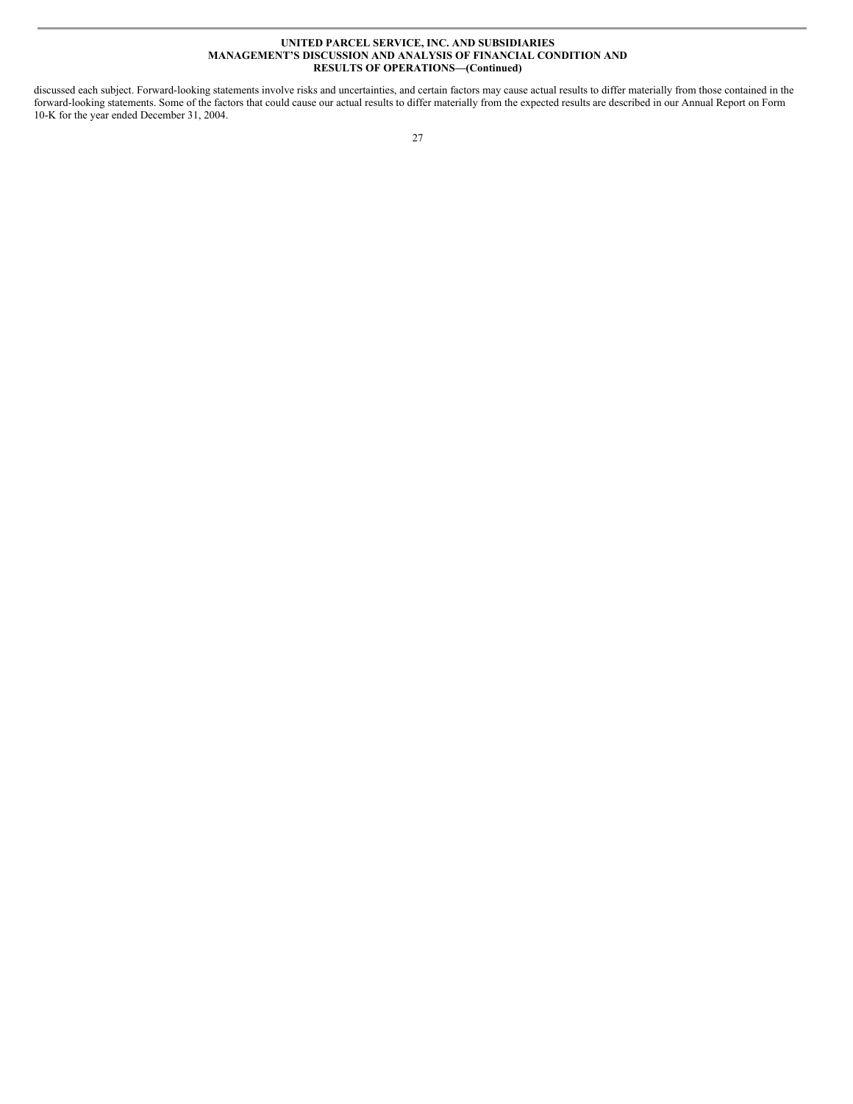discussed each subject. Forward-looking statements involve risks and uncertainties, and certain factors may cause actual results to differ materially from those contained in the forward-looking statements. Some of the factors that could cause our actual results to differ materially from the expected results are described in our Annual Report on Form 10-K for the year ended December 31, 2004.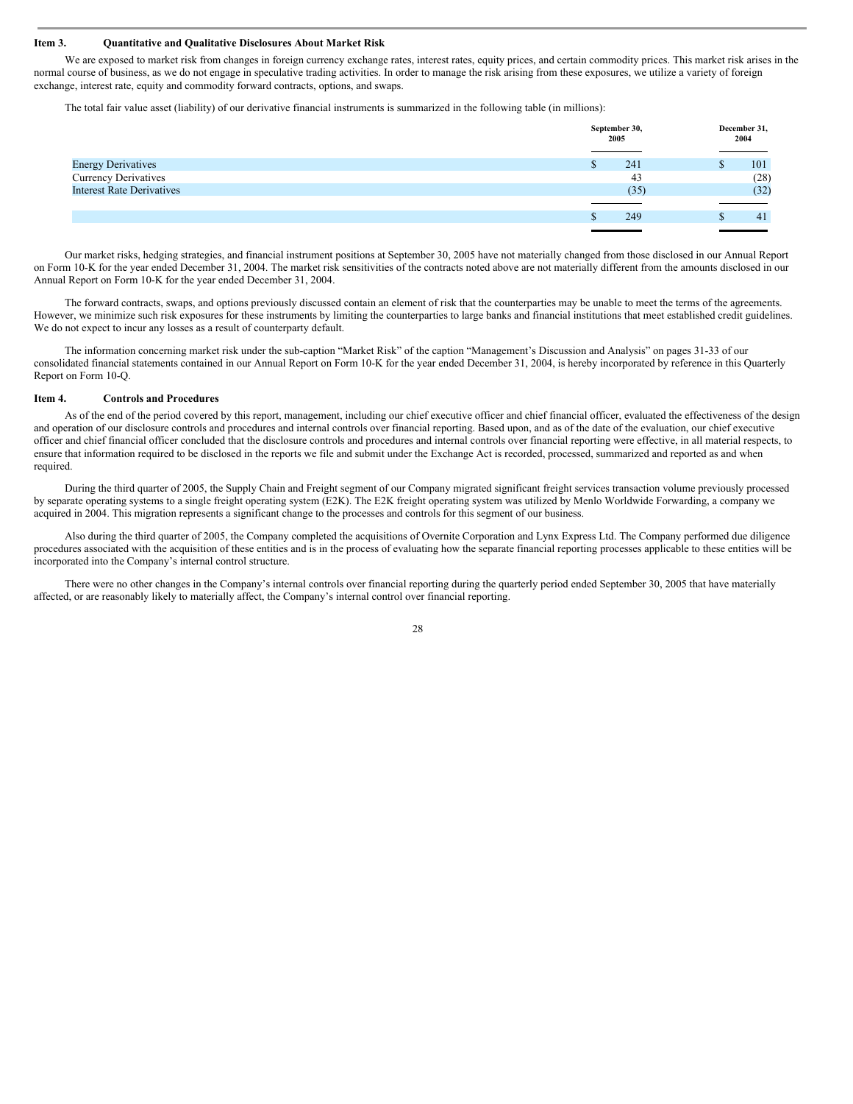#### **Item 3. Quantitative and Qualitative Disclosures About Market Risk**

We are exposed to market risk from changes in foreign currency exchange rates, interest rates, equity prices, and certain commodity prices. This market risk arises in the normal course of business, as we do not engage in speculative trading activities. In order to manage the risk arising from these exposures, we utilize a variety of foreign exchange, interest rate, equity and commodity forward contracts, options, and swaps.

The total fair value asset (liability) of our derivative financial instruments is summarized in the following table (in millions):

|                                  | September 30,<br>2005 | December 31,<br>2004 |      |
|----------------------------------|-----------------------|----------------------|------|
|                                  |                       |                      |      |
| <b>Energy Derivatives</b>        | 241                   |                      | 101  |
| <b>Currency Derivatives</b>      | 43                    |                      | (28) |
| <b>Interest Rate Derivatives</b> | (35)                  |                      | (32) |
|                                  |                       |                      |      |
|                                  | 249                   |                      | 41   |
|                                  |                       |                      |      |

Our market risks, hedging strategies, and financial instrument positions at September 30, 2005 have not materially changed from those disclosed in our Annual Report on Form 10-K for the year ended December 31, 2004. The market risk sensitivities of the contracts noted above are not materially different from the amounts disclosed in our Annual Report on Form 10-K for the year ended December 31, 2004.

The forward contracts, swaps, and options previously discussed contain an element of risk that the counterparties may be unable to meet the terms of the agreements. However, we minimize such risk exposures for these instruments by limiting the counterparties to large banks and financial institutions that meet established credit guidelines. We do not expect to incur any losses as a result of counterparty default.

The information concerning market risk under the sub-caption "Market Risk" of the caption "Management's Discussion and Analysis" on pages 31-33 of our consolidated financial statements contained in our Annual Report on Form 10-K for the year ended December 31, 2004, is hereby incorporated by reference in this Quarterly Report on Form 10-Q.

#### **Item 4. Controls and Procedures**

As of the end of the period covered by this report, management, including our chief executive officer and chief financial officer, evaluated the effectiveness of the design and operation of our disclosure controls and procedures and internal controls over financial reporting. Based upon, and as of the date of the evaluation, our chief executive officer and chief financial officer concluded that the disclosure controls and procedures and internal controls over financial reporting were effective, in all material respects, to ensure that information required to be disclosed in the reports we file and submit under the Exchange Act is recorded, processed, summarized and reported as and when required.

During the third quarter of 2005, the Supply Chain and Freight segment of our Company migrated significant freight services transaction volume previously processed by separate operating systems to a single freight operating system (E2K). The E2K freight operating system was utilized by Menlo Worldwide Forwarding, a company we acquired in 2004. This migration represents a significant change to the processes and controls for this segment of our business.

Also during the third quarter of 2005, the Company completed the acquisitions of Overnite Corporation and Lynx Express Ltd. The Company performed due diligence procedures associated with the acquisition of these entities and is in the process of evaluating how the separate financial reporting processes applicable to these entities will be incorporated into the Company's internal control structure.

There were no other changes in the Company's internal controls over financial reporting during the quarterly period ended September 30, 2005 that have materially affected, or are reasonably likely to materially affect, the Company's internal control over financial reporting.

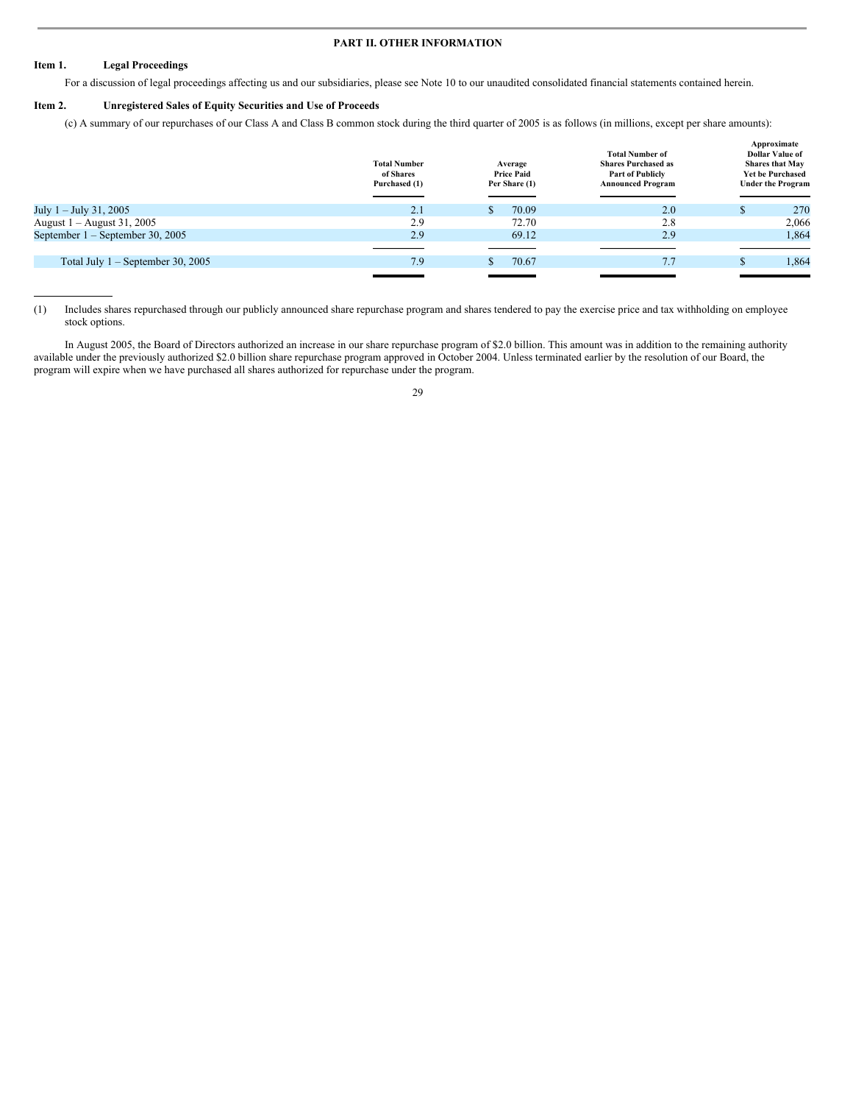# **PART II. OTHER INFORMATION**

#### **Item 1. Legal Proceedings**

For a discussion of legal proceedings affecting us and our subsidiaries, please see Note 10 to our unaudited consolidated financial statements contained herein.

#### **Item 2. Unregistered Sales of Equity Securities and Use of Proceeds**

(c) A summary of our repurchases of our Class A and Class B common stock during the third quarter of 2005 is as follows (in millions, except per share amounts):

|                                     | <b>Total Number</b><br>of Shares<br>Purchased (1) | Average<br><b>Price Paid</b><br>Per Share (1) | <b>Total Number of</b><br><b>Shares Purchased as</b><br>Part of Publicly<br><b>Announced Program</b> | Approximate<br><b>Dollar Value of</b><br><b>Shares that May</b><br><b>Yet be Purchased</b><br><b>Under the Program</b> |       |
|-------------------------------------|---------------------------------------------------|-----------------------------------------------|------------------------------------------------------------------------------------------------------|------------------------------------------------------------------------------------------------------------------------|-------|
| July 1 – July 31, 2005              | 2.1                                               | 70.09                                         | 2.0                                                                                                  | ъ                                                                                                                      | 270   |
| August $1 -$ August 31, 2005        | 2.9                                               | 72.70                                         | 2.8                                                                                                  |                                                                                                                        | 2,066 |
| September $1 -$ September 30, 2005  | 2.9                                               | 69.12                                         | 2.9                                                                                                  |                                                                                                                        | 1,864 |
|                                     |                                                   |                                               |                                                                                                      |                                                                                                                        |       |
| Total July $1 -$ September 30, 2005 | 7.9                                               | 70.67                                         | 7.7                                                                                                  | S                                                                                                                      | 1,864 |
|                                     |                                                   |                                               |                                                                                                      |                                                                                                                        |       |

(1) Includes shares repurchased through our publicly announced share repurchase program and shares tendered to pay the exercise price and tax withholding on employee stock options.

In August 2005, the Board of Directors authorized an increase in our share repurchase program of \$2.0 billion. This amount was in addition to the remaining authority available under the previously authorized \$2.0 billion share repurchase program approved in October 2004. Unless terminated earlier by the resolution of our Board, the program will expire when we have purchased all shares authorized for repurchase under the program.

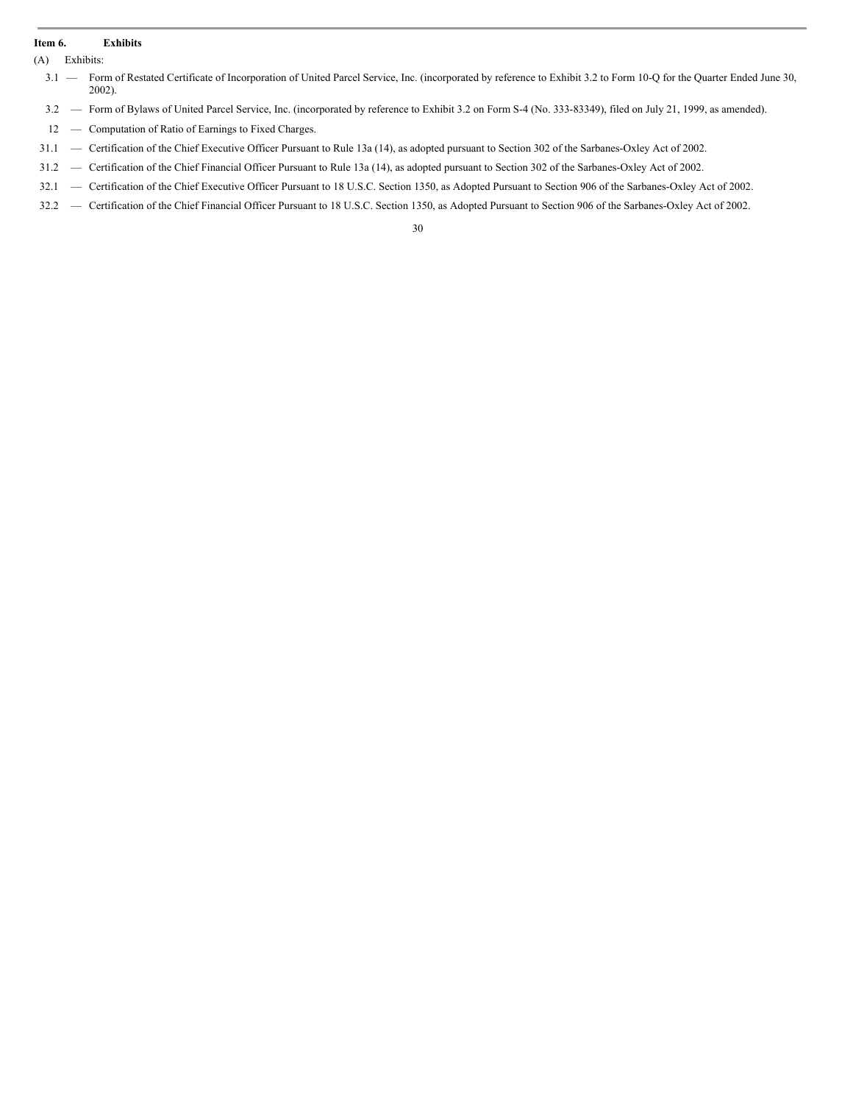### **Item 6. Exhibits**

(A) Exhibits:

- 3.1 Form of Restated Certificate of Incorporation of United Parcel Service, Inc. (incorporated by reference to Exhibit 3.2 to Form 10-Q for the Quarter Ended June 30, 2002).
- 3.2 Form of Bylaws of United Parcel Service, Inc. (incorporated by reference to Exhibit 3.2 on Form S-4 (No. 333-83349), filed on July 21, 1999, as amended).
- 12 Computation of Ratio of Earnings to Fixed Charges.
- 31.1 Certification of the Chief Executive Officer Pursuant to Rule 13a (14), as adopted pursuant to Section 302 of the Sarbanes-Oxley Act of 2002.
- 31.2 Certification of the Chief Financial Officer Pursuant to Rule 13a (14), as adopted pursuant to Section 302 of the Sarbanes-Oxley Act of 2002.
- 32.1 Certification of the Chief Executive Officer Pursuant to 18 U.S.C. Section 1350, as Adopted Pursuant to Section 906 of the Sarbanes-Oxley Act of 2002.
- 32.2 Certification of the Chief Financial Officer Pursuant to 18 U.S.C. Section 1350, as Adopted Pursuant to Section 906 of the Sarbanes-Oxley Act of 2002.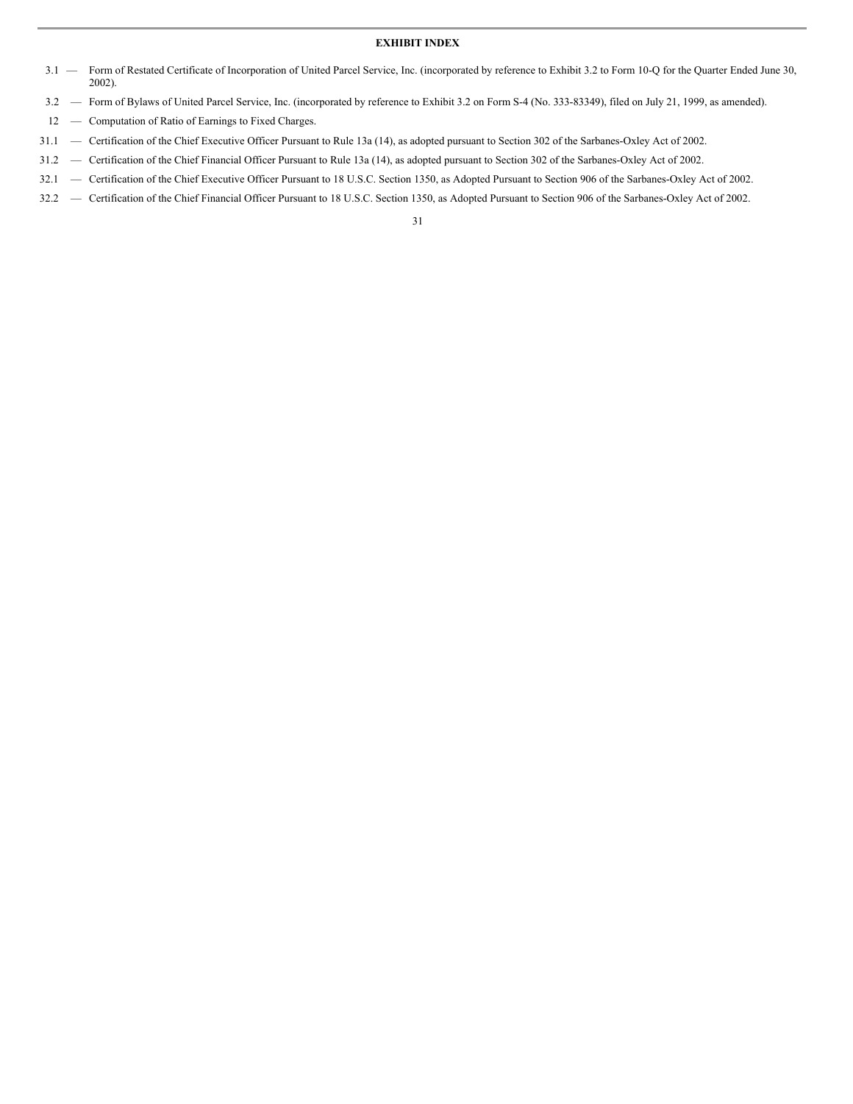# **EXHIBIT INDEX**

- 3.1 Form of Restated Certificate of Incorporation of United Parcel Service, Inc. (incorporated by reference to Exhibit 3.2 to Form 10-Q for the Quarter Ended June 30, 2002).
- 3.2 Form of Bylaws of United Parcel Service, Inc. (incorporated by reference to Exhibit 3.2 on Form S-4 (No. 333-83349), filed on July 21, 1999, as amended).
- 12 Computation of Ratio of Earnings to Fixed Charges.
- 31.1 Certification of the Chief Executive Officer Pursuant to Rule 13a (14), as adopted pursuant to Section 302 of the Sarbanes-Oxley Act of 2002.
- 31.2 Certification of the Chief Financial Officer Pursuant to Rule 13a (14), as adopted pursuant to Section 302 of the Sarbanes-Oxley Act of 2002.
- 32.1 Certification of the Chief Executive Officer Pursuant to 18 U.S.C. Section 1350, as Adopted Pursuant to Section 906 of the Sarbanes-Oxley Act of 2002.
- 32.2 Certification of the Chief Financial Officer Pursuant to 18 U.S.C. Section 1350, as Adopted Pursuant to Section 906 of the Sarbanes-Oxley Act of 2002.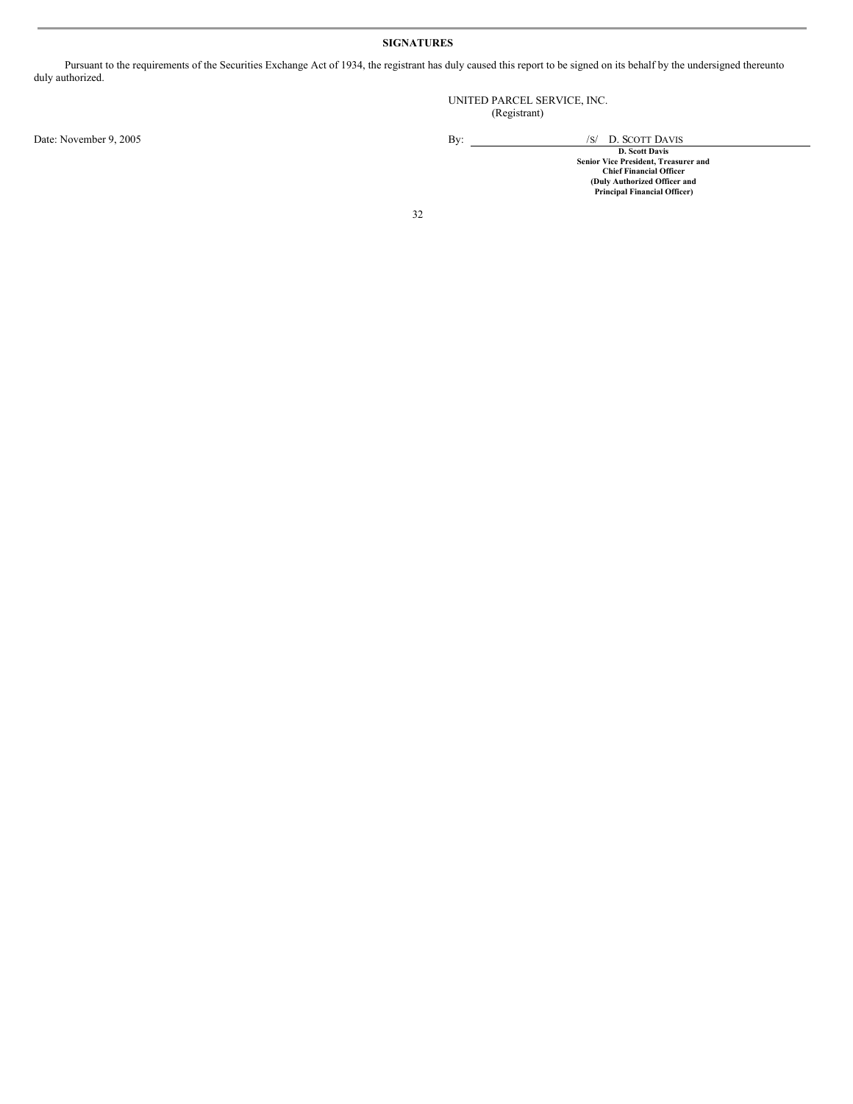# **SIGNATURES**

Pursuant to the requirements of the Securities Exchange Act of 1934, the registrant has duly caused this report to be signed on its behalf by the undersigned thereunto duly authorized.

> UNITED PARCEL SERVICE, INC. (Registrant)

Date: November 9, 2005<br>D. Scott Davis<br>Senior Vice President, Treasurer and<br>Chief Financial Officer<br>Chief Financial Officer and<br>Principal Financial Officer and<br>Principal Financial Officer and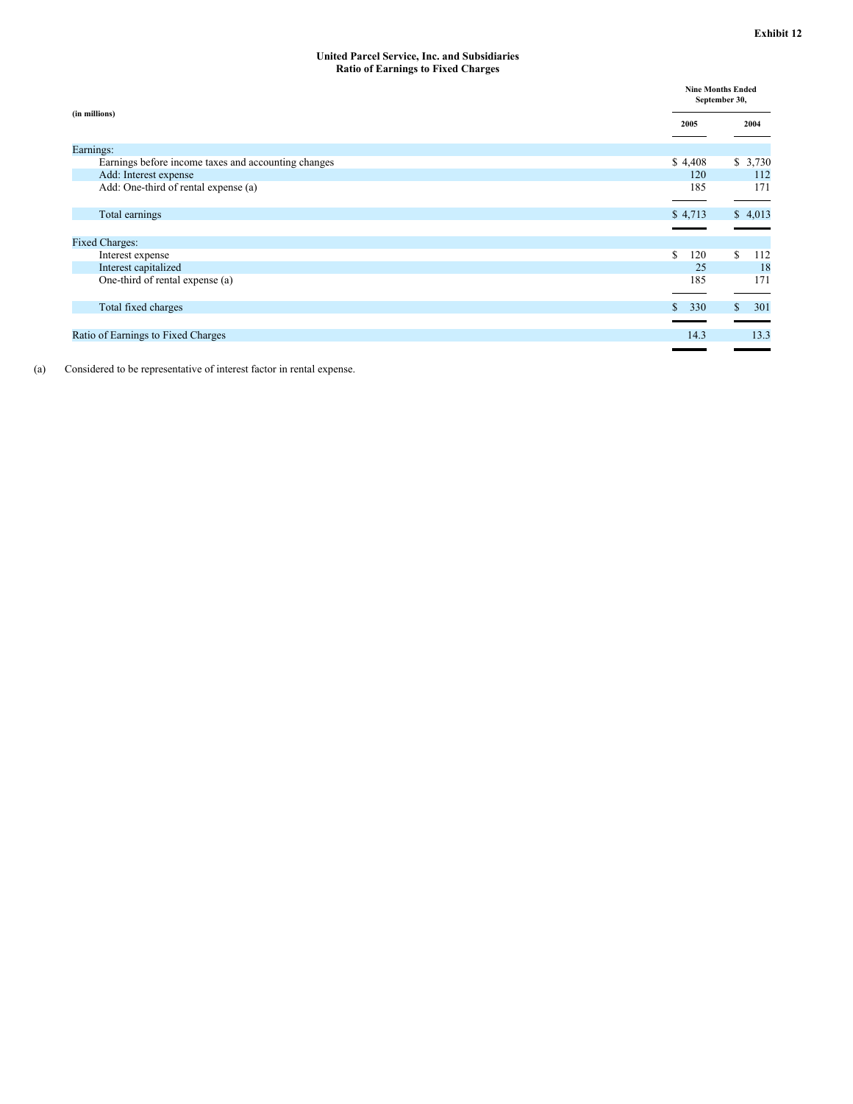#### **United Parcel Service, Inc. and Subsidiaries Ratio of Earnings to Fixed Charges**

|                                                     | <b>Nine Months Ended</b><br>September 30, |           |  |
|-----------------------------------------------------|-------------------------------------------|-----------|--|
| (in millions)                                       |                                           | 2004      |  |
| Earnings:                                           |                                           |           |  |
| Earnings before income taxes and accounting changes | \$4,408                                   | \$3,730   |  |
| Add: Interest expense                               | 120                                       | 112       |  |
| Add: One-third of rental expense (a)                | 185                                       | 171       |  |
| Total earnings                                      | \$4,713                                   | \$4,013   |  |
|                                                     |                                           |           |  |
| <b>Fixed Charges:</b>                               |                                           |           |  |
| Interest expense                                    | S<br>120                                  | S.<br>112 |  |
| Interest capitalized                                | 25                                        | 18        |  |
| One-third of rental expense (a)                     | 185                                       | 171       |  |
| Total fixed charges                                 | 330                                       | S.<br>301 |  |
|                                                     |                                           |           |  |
| Ratio of Earnings to Fixed Charges                  | 14.3                                      | 13.3      |  |

(a) Considered to be representative of interest factor in rental expense.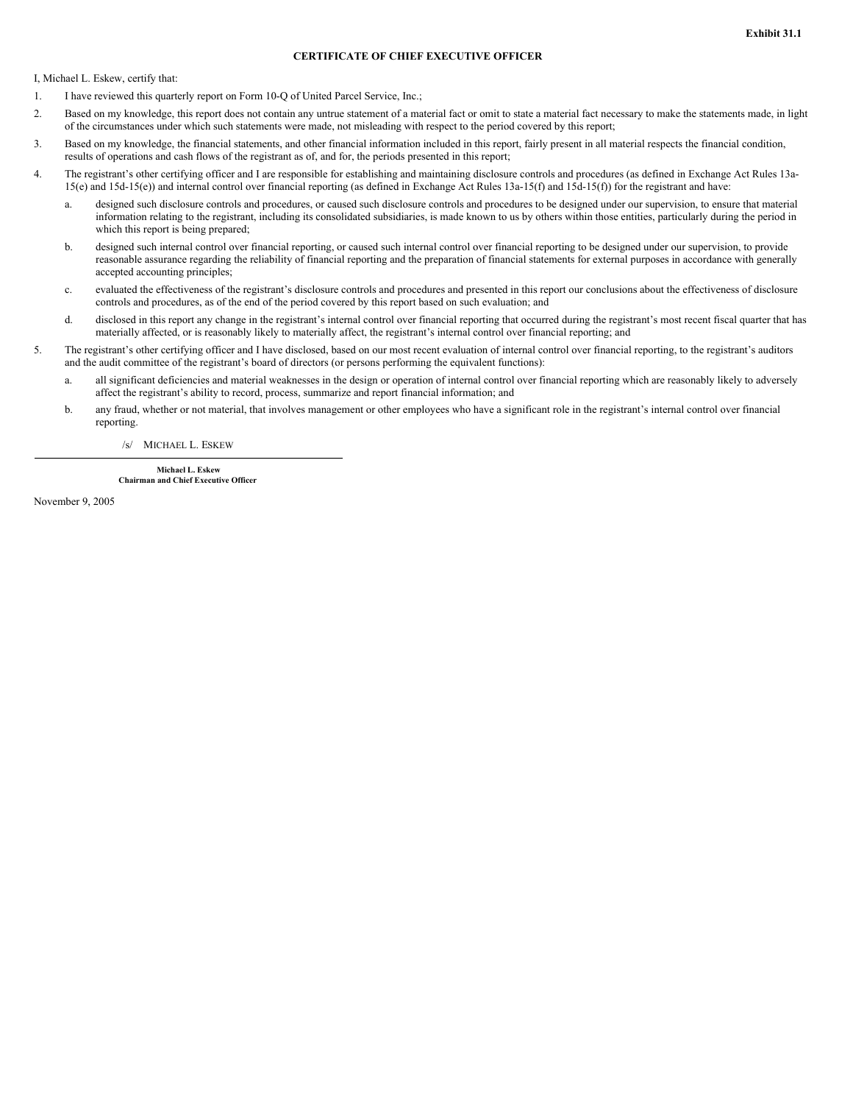# **CERTIFICATE OF CHIEF EXECUTIVE OFFICER**

I, Michael L. Eskew, certify that:

- 1. I have reviewed this quarterly report on Form 10-Q of United Parcel Service, Inc.;
- 2. Based on my knowledge, this report does not contain any untrue statement of a material fact or omit to state a material fact necessary to make the statements made, in light of the circumstances under which such statements were made, not misleading with respect to the period covered by this report;
- 3. Based on my knowledge, the financial statements, and other financial information included in this report, fairly present in all material respects the financial condition, results of operations and cash flows of the registrant as of, and for, the periods presented in this report;
- 4. The registrant's other certifying officer and I are responsible for establishing and maintaining disclosure controls and procedures (as defined in Exchange Act Rules 13a-15(e) and 15d-15(e)) and internal control over financial reporting (as defined in Exchange Act Rules 13a-15(f) and 15d-15(f)) for the registrant and have:
	- a. designed such disclosure controls and procedures, or caused such disclosure controls and procedures to be designed under our supervision, to ensure that material information relating to the registrant, including its consolidated subsidiaries, is made known to us by others within those entities, particularly during the period in which this report is being prepared;
	- b. designed such internal control over financial reporting, or caused such internal control over financial reporting to be designed under our supervision, to provide reasonable assurance regarding the reliability of financial reporting and the preparation of financial statements for external purposes in accordance with generally accepted accounting principles;
	- c. evaluated the effectiveness of the registrant's disclosure controls and procedures and presented in this report our conclusions about the effectiveness of disclosure controls and procedures, as of the end of the period covered by this report based on such evaluation; and
	- d. disclosed in this report any change in the registrant's internal control over financial reporting that occurred during the registrant's most recent fiscal quarter that has materially affected, or is reasonably likely to materially affect, the registrant's internal control over financial reporting; and
- 5. The registrant's other certifying officer and I have disclosed, based on our most recent evaluation of internal control over financial reporting, to the registrant's auditors and the audit committee of the registrant's board of directors (or persons performing the equivalent functions):
	- a. all significant deficiencies and material weaknesses in the design or operation of internal control over financial reporting which are reasonably likely to adversely affect the registrant's ability to record, process, summarize and report financial information; and
	- b. any fraud, whether or not material, that involves management or other employees who have a significant role in the registrant's internal control over financial reporting.

/s/ MICHAEL L. ESKEW

**Michael L. Eskew Chairman and Chief Executive Officer**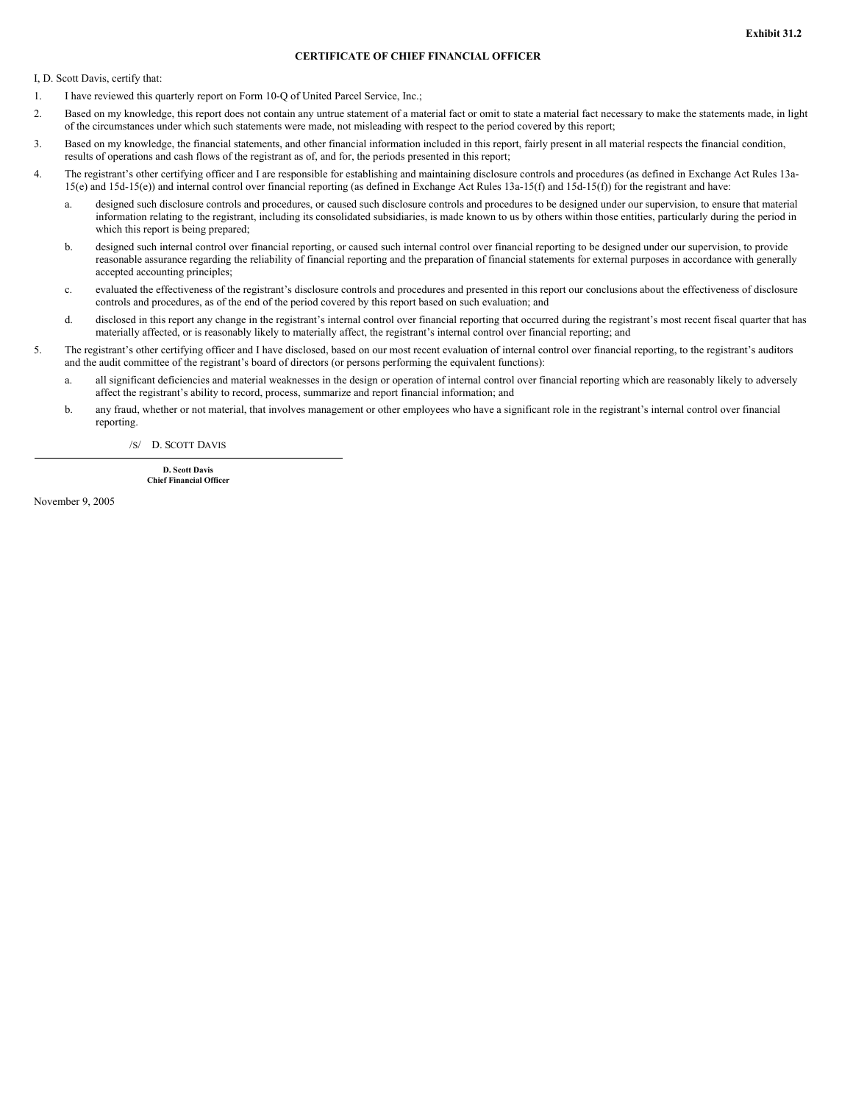# **CERTIFICATE OF CHIEF FINANCIAL OFFICER**

I, D. Scott Davis, certify that:

- 1. I have reviewed this quarterly report on Form 10-Q of United Parcel Service, Inc.;
- 2. Based on my knowledge, this report does not contain any untrue statement of a material fact or omit to state a material fact necessary to make the statements made, in light of the circumstances under which such statements were made, not misleading with respect to the period covered by this report;
- 3. Based on my knowledge, the financial statements, and other financial information included in this report, fairly present in all material respects the financial condition, results of operations and cash flows of the registrant as of, and for, the periods presented in this report;
- 4. The registrant's other certifying officer and I are responsible for establishing and maintaining disclosure controls and procedures (as defined in Exchange Act Rules 13a-15(e) and 15d-15(e)) and internal control over financial reporting (as defined in Exchange Act Rules 13a-15(f) and 15d-15(f)) for the registrant and have:
	- a. designed such disclosure controls and procedures, or caused such disclosure controls and procedures to be designed under our supervision, to ensure that material information relating to the registrant, including its consolidated subsidiaries, is made known to us by others within those entities, particularly during the period in which this report is being prepared;
	- b. designed such internal control over financial reporting, or caused such internal control over financial reporting to be designed under our supervision, to provide reasonable assurance regarding the reliability of financial reporting and the preparation of financial statements for external purposes in accordance with generally accepted accounting principles;
	- c. evaluated the effectiveness of the registrant's disclosure controls and procedures and presented in this report our conclusions about the effectiveness of disclosure controls and procedures, as of the end of the period covered by this report based on such evaluation; and
	- d. disclosed in this report any change in the registrant's internal control over financial reporting that occurred during the registrant's most recent fiscal quarter that has materially affected, or is reasonably likely to materially affect, the registrant's internal control over financial reporting; and
- 5. The registrant's other certifying officer and I have disclosed, based on our most recent evaluation of internal control over financial reporting, to the registrant's auditors and the audit committee of the registrant's board of directors (or persons performing the equivalent functions):
	- a. all significant deficiencies and material weaknesses in the design or operation of internal control over financial reporting which are reasonably likely to adversely affect the registrant's ability to record, process, summarize and report financial information; and
	- b. any fraud, whether or not material, that involves management or other employees who have a significant role in the registrant's internal control over financial reporting.

/S/ D. SCOTT DAVIS

**D. Scott Davis Chief Financial Officer**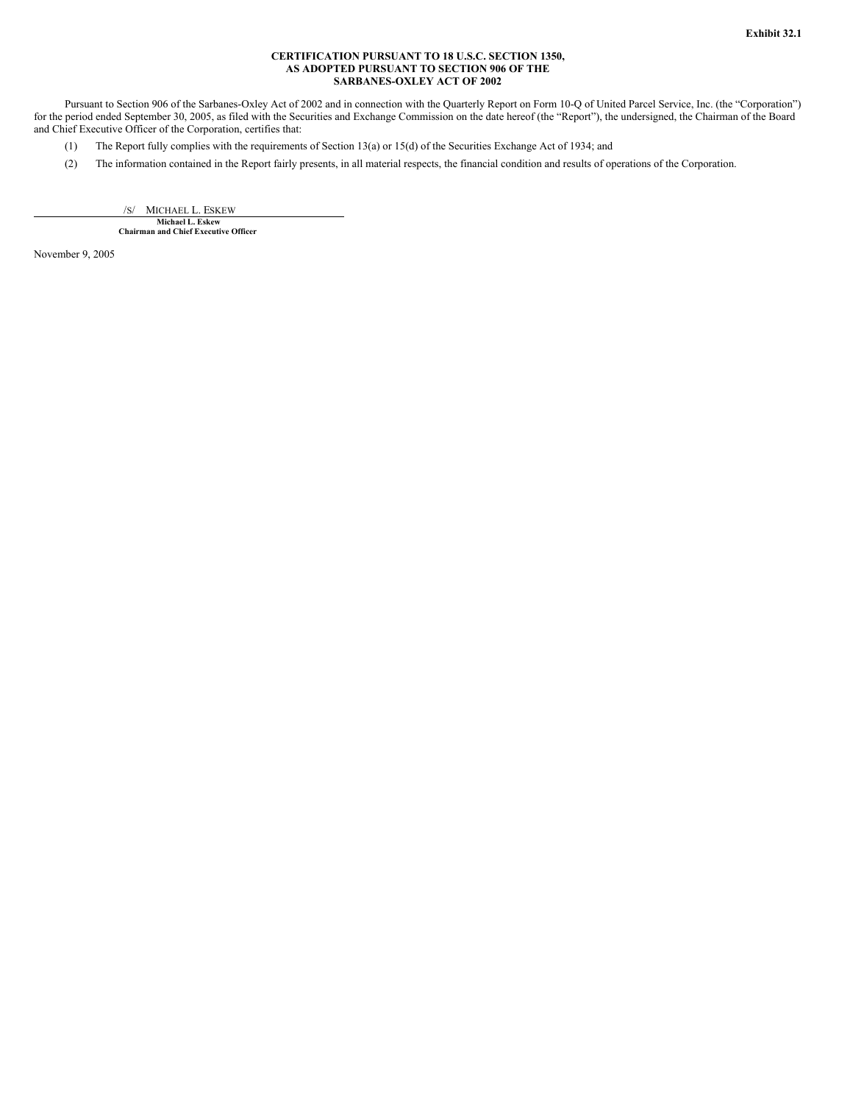#### **CERTIFICATION PURSUANT TO 18 U.S.C. SECTION 1350, AS ADOPTED PURSUANT TO SECTION 906 OF THE SARBANES-OXLEY ACT OF 2002**

Pursuant to Section 906 of the Sarbanes-Oxley Act of 2002 and in connection with the Quarterly Report on Form 10-Q of United Parcel Service, Inc. (the "Corporation") for the period ended September 30, 2005, as filed with the Securities and Exchange Commission on the date hereof (the "Report"), the undersigned, the Chairman of the Board and Chief Executive Officer of the Corporation, certifies that:

- (1) The Report fully complies with the requirements of Section 13(a) or 15(d) of the Securities Exchange Act of 1934; and
- (2) The information contained in the Report fairly presents, in all material respects, the financial condition and results of operations of the Corporation.

/S/ MICHAEL L. ESKEW **Michael L. Eskew**

**Chairman and Chief Executive Officer**